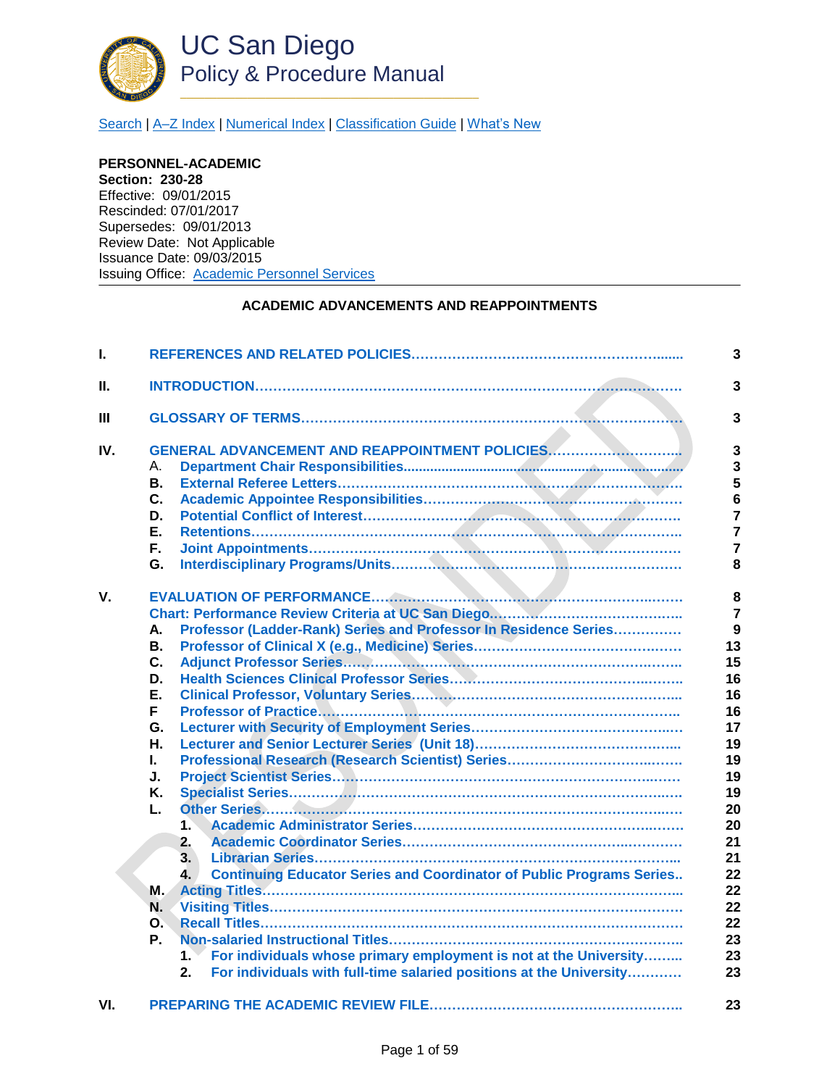

[Search](http://adminrecords.ucsd.edu/ppm/index.html) | [A–Z Index](http://adminrecords.ucsd.edu/ppm/ppmindex.html) [| Numerical Index](http://adminrecords.ucsd.edu/ppm/numerical.html) | [Classification Guide](http://adminrecords.ucsd.edu/ppm/alphabetical.html) [| What's New](http://adminrecords.ucsd.edu/ppm/whatsnew.html)

**PERSONNEL-ACADEMIC Section: 230-28**  Effective: 09/01/2015 Rescinded: 07/01/2017 Supersedes: 09/01/2013 Review Date: Not Applicable Issuance Date: 09/03/2015 Issuing Office: [Academic Personnel Services](http://academicaffairs.ucsd.edu/aps/)

# **ACADEMIC ADVANCEMENTS AND REAPPOINTMENTS**

| L.  |                                                                                                                                                                                                                                                                                                                                                                                                                                                           |                                                                                                                                                                     |  |  |  |  |
|-----|-----------------------------------------------------------------------------------------------------------------------------------------------------------------------------------------------------------------------------------------------------------------------------------------------------------------------------------------------------------------------------------------------------------------------------------------------------------|---------------------------------------------------------------------------------------------------------------------------------------------------------------------|--|--|--|--|
| Н.  |                                                                                                                                                                                                                                                                                                                                                                                                                                                           | $\overline{\mathbf{3}}$                                                                                                                                             |  |  |  |  |
| Ш   |                                                                                                                                                                                                                                                                                                                                                                                                                                                           |                                                                                                                                                                     |  |  |  |  |
| IV. | GENERAL ADVANCEMENT AND REAPPOINTMENT POLICIES<br>А.<br><b>B.</b><br>C.<br>D.<br>Е.<br>F.<br>G.                                                                                                                                                                                                                                                                                                                                                           | $\mathbf{3}$<br>$\overline{\mathbf{3}}$<br>5<br>$6\phantom{a}$<br>$\overline{7}$<br>$\overline{7}$<br>$\overline{7}$<br>8                                           |  |  |  |  |
| V.  | Professor (Ladder-Rank) Series and Professor In Residence Series<br>А.<br>В.<br>C.<br>D.<br>Е.<br>F.<br>G.<br>Н.<br>L.<br>J.<br>Κ.<br>L.<br>$\ddot{\phantom{a}}$<br>2.<br>3.<br><b>Continuing Educator Series and Coordinator of Public Programs Series</b><br>4.<br>M.<br>N.<br>$\Omega$ .<br>Р.<br>For individuals whose primary employment is not at the University<br>1.<br>For individuals with full-time salaried positions at the University<br>2. | 8<br>$\overline{7}$<br>$\overline{9}$<br>13<br>15<br>16<br>16<br>16<br>17<br>19<br>19<br>19<br>19<br>20<br>20<br>21<br>21<br>22<br>22<br>22<br>22<br>23<br>23<br>23 |  |  |  |  |
| VI. |                                                                                                                                                                                                                                                                                                                                                                                                                                                           | 23                                                                                                                                                                  |  |  |  |  |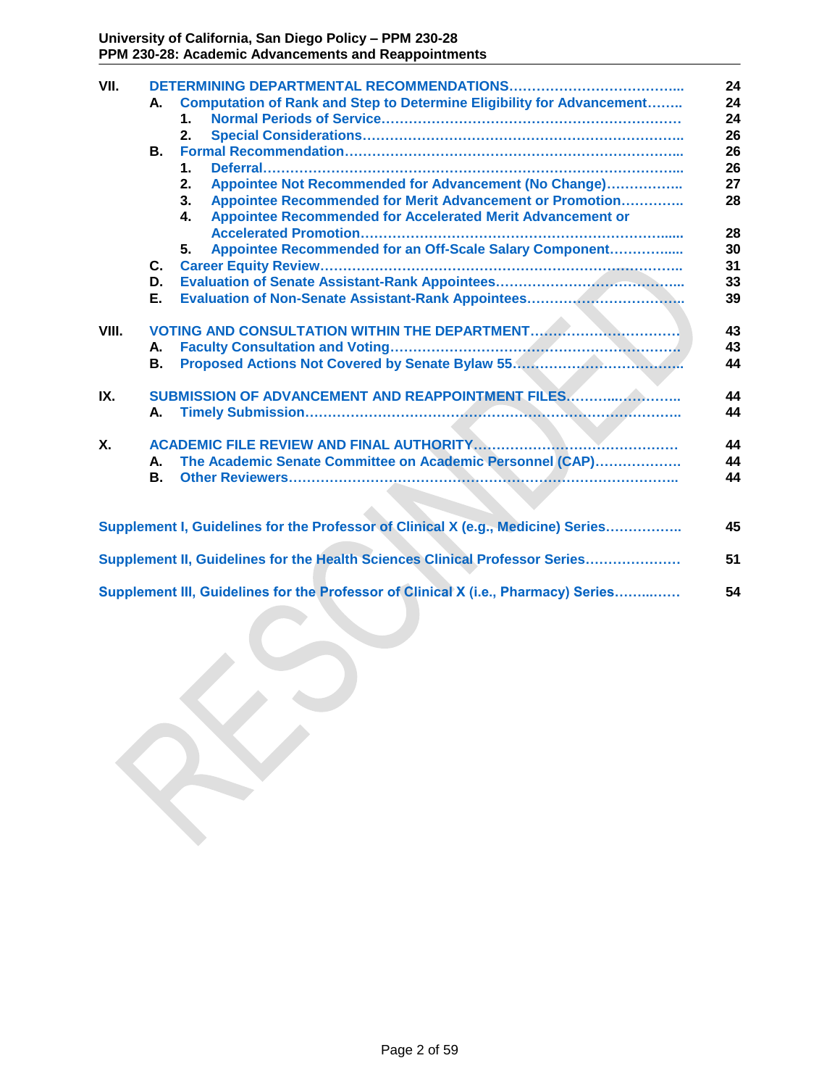| VII.  |    |                                                                                    | 24       |
|-------|----|------------------------------------------------------------------------------------|----------|
|       | А. | <b>Computation of Rank and Step to Determine Eligibility for Advancement</b>       | 24       |
|       |    | 1.                                                                                 | 24       |
|       |    | 2.                                                                                 | 26       |
|       | В. |                                                                                    | 26       |
|       |    | 1.<br>Appointee Not Recommended for Advancement (No Change)                        | 26<br>27 |
|       |    | 2.<br>Appointee Recommended for Merit Advancement or Promotion<br>3.               | 28       |
|       |    | Appointee Recommended for Accelerated Merit Advancement or<br>4.                   |          |
|       |    |                                                                                    | 28       |
|       |    | Appointee Recommended for an Off-Scale Salary Component<br>5.                      | 30       |
|       | С. |                                                                                    | 31       |
|       | D. |                                                                                    | 33       |
|       | Е. | <b>Evaluation of Non-Senate Assistant-Rank Appointees</b>                          | 39       |
|       |    |                                                                                    |          |
| VIII. |    |                                                                                    | 43       |
|       | А. |                                                                                    | 43       |
|       | В. |                                                                                    | 44       |
| IX.   |    | SUBMISSION OF ADVANCEMENT AND REAPPOINTMENT FILES                                  | 44       |
|       | А. |                                                                                    | 44       |
|       |    |                                                                                    |          |
| Χ.    |    |                                                                                    | 44       |
|       | А. | The Academic Senate Committee on Academic Personnel (CAP)                          | 44       |
|       | В. |                                                                                    | 44       |
|       |    |                                                                                    |          |
|       |    | Supplement I, Guidelines for the Professor of Clinical X (e.g., Medicine) Series   | 45       |
|       |    |                                                                                    |          |
|       |    | Supplement II, Guidelines for the Health Sciences Clinical Professor Series        | 51       |
|       |    | Supplement III, Guidelines for the Professor of Clinical X (i.e., Pharmacy) Series | 54       |
|       |    |                                                                                    |          |
|       |    |                                                                                    |          |
|       |    |                                                                                    |          |
|       |    |                                                                                    |          |
|       |    |                                                                                    |          |
|       |    |                                                                                    |          |
|       |    |                                                                                    |          |
|       |    |                                                                                    |          |
|       |    |                                                                                    |          |
|       |    |                                                                                    |          |
|       |    |                                                                                    |          |
|       |    |                                                                                    |          |
|       |    |                                                                                    |          |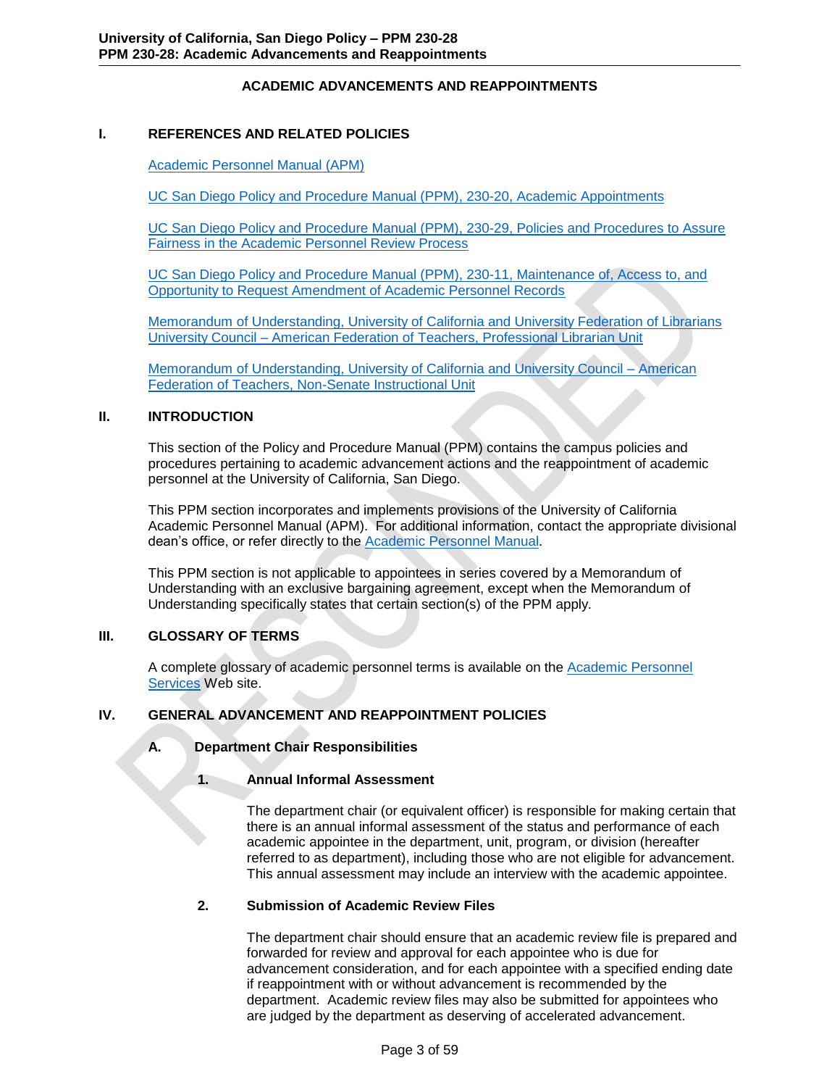# **ACADEMIC ADVANCEMENTS AND REAPPOINTMENTS**

### <span id="page-2-0"></span>**I. REFERENCES AND RELATED POLICIES**

[Academic Personnel Manual \(APM\)](http://www.ucop.edu/acadadv/acadpers/apm/)

UC San Diego [Policy and Procedure Manual \(PPM\), 230-20, Academic Appointments](http://adminrecords.ucsd.edu/PPM/docs/230-20.html)

UC San Diego Policy and Procedure Manual (PPM), [230-29, Policies and Procedures to Assure](http://adminrecords.ucsd.edu/ppm/docs/230-29.html)  [Fairness in the Academic Personnel Review Process](http://adminrecords.ucsd.edu/ppm/docs/230-29.html)

UC San Diego Policy and Procedure Manual (PPM), [230-11, Maintenance of, Access to, and](http://adminrecords.ucsd.edu/PPM/docs/230-11.pdf)  [Opportunity to Request Amendment of Academic Personnel Records](http://adminrecords.ucsd.edu/PPM/docs/230-11.pdf)

[Memorandum of Understanding, University of California and University Federation of Librarians](http://atyourservice.ucop.edu/employees/policies_employee_labor_relations/collective_bargaining_units/librarians_lib/agreement.html)  University Council – [American Federation of Teachers, Professional Librarian Unit](http://atyourservice.ucop.edu/employees/policies_employee_labor_relations/collective_bargaining_units/librarians_lib/agreement.html)

[Memorandum of Understanding, University of California and University Council –](http://atyourservice.ucop.edu/employees/policies_employee_labor_relations/collective_bargaining_units/nonsenateinstructional_nsi/agreement.html) American [Federation of Teachers, Non-Senate Instructional Unit](http://atyourservice.ucop.edu/employees/policies_employee_labor_relations/collective_bargaining_units/nonsenateinstructional_nsi/agreement.html)

# <span id="page-2-1"></span>**II. INTRODUCTION**

This section of the Policy and Procedure Manual (PPM) contains the campus policies and procedures pertaining to academic advancement actions and the reappointment of academic personnel at the University of California, San Diego.

This PPM section incorporates and implements provisions of the University of California Academic Personnel Manual (APM). For additional information, contact the appropriate divisional dean's office, or refer directly to the **Academic Personnel Manual**.

This PPM section is not applicable to appointees in series covered by a Memorandum of Understanding with an exclusive bargaining agreement, except when the Memorandum of Understanding specifically states that certain section(s) of the PPM apply.

# **III. GLOSSARY OF TERMS**

<span id="page-2-2"></span>A complete glossary of academic personnel terms is available on the [Academic Personnel](http://academicaffairs.ucsd.edu/_files/aps/docs/Glossary-AP-Terms.pdf)  [Services](http://academicaffairs.ucsd.edu/_files/aps/docs/Glossary-AP-Terms.pdf) Web site.

# **IV. GENERAL ADVANCEMENT AND REAPPOINTMENT POLICIES**

<span id="page-2-3"></span>**A. Department Chair Responsibilities**

### <span id="page-2-4"></span>**1. Annual Informal Assessment**

The department chair (or equivalent officer) is responsible for making certain that there is an annual informal assessment of the status and performance of each academic appointee in the department, unit, program, or division (hereafter referred to as department), including those who are not eligible for advancement. This annual assessment may include an interview with the academic appointee.

# **2. Submission of Academic Review Files**

The department chair should ensure that an academic review file is prepared and forwarded for review and approval for each appointee who is due for advancement consideration, and for each appointee with a specified ending date if reappointment with or without advancement is recommended by the department. Academic review files may also be submitted for appointees who are judged by the department as deserving of accelerated advancement.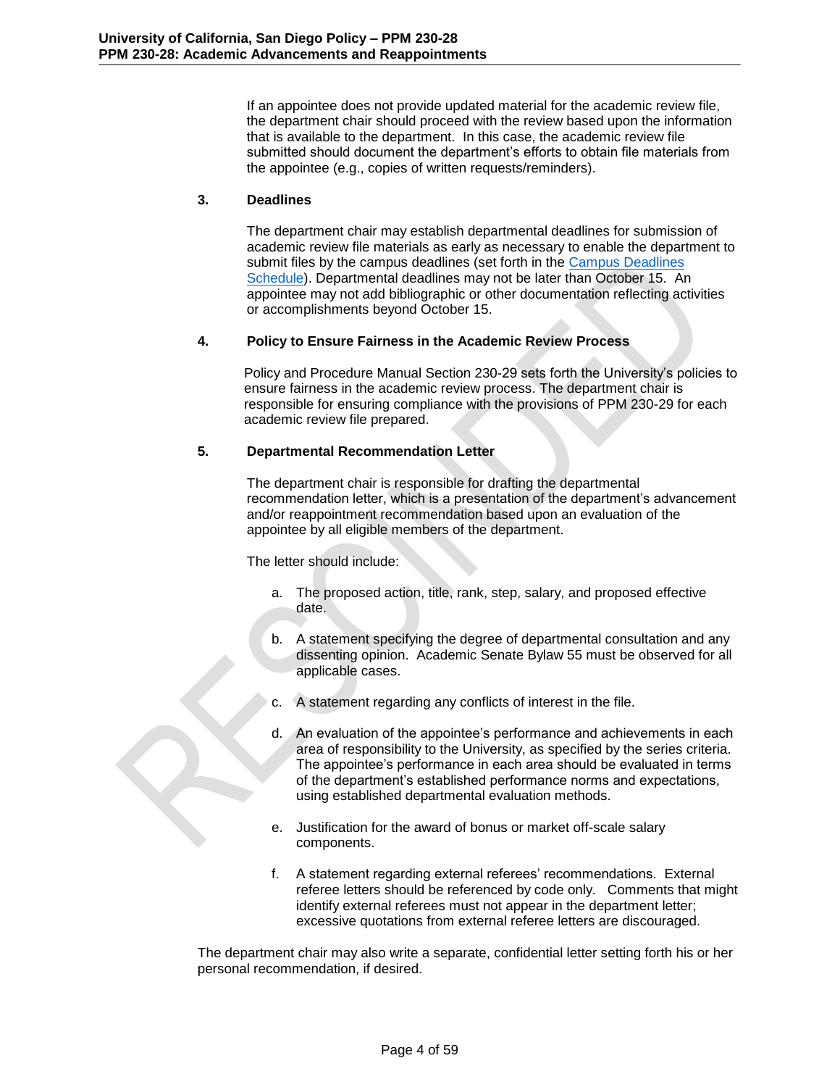If an appointee does not provide updated material for the academic review file, the department chair should proceed with the review based upon the information that is available to the department. In this case, the academic review file submitted should document the department's efforts to obtain file materials from the appointee (e.g., copies of written requests/reminders).

## **3. Deadlines**

The department chair may establish departmental deadlines for submission of academic review file materials as early as necessary to enable the department to submit files by the campus deadlines (set forth in the [Campus Deadlines](http://academicaffairs.ucsd.edu/aps/advance-train/file-deadlines.html) [Schedule\)](http://academicaffairs.ucsd.edu/aps/advance-train/file-deadlines.html). Departmental deadlines may not be later than October 15. An appointee may not add bibliographic or other documentation reflecting activities or accomplishments beyond October 15.

## **4. Policy to Ensure Fairness in the Academic Review Process**

Policy and Procedure Manual Section 230-29 sets forth the University's policies to ensure fairness in the academic review process. The department chair is responsible for ensuring compliance with the provisions of PPM 230-29 for each academic review file prepared.

# **5. Departmental Recommendation Letter**

The department chair is responsible for drafting the departmental recommendation letter, which is a presentation of the department's advancement and/or reappointment recommendation based upon an evaluation of the appointee by all eligible members of the department.

The letter should include:

- a. The proposed action, title, rank, step, salary, and proposed effective date.
- b. A statement specifying the degree of departmental consultation and any dissenting opinion. Academic Senate Bylaw 55 must be observed for all applicable cases.
- c. A statement regarding any conflicts of interest in the file.
- d. An evaluation of the appointee's performance and achievements in each area of responsibility to the University, as specified by the series criteria. The appointee's performance in each area should be evaluated in terms of the department's established performance norms and expectations, using established departmental evaluation methods.
- e. Justification for the award of bonus or market off-scale salary components.
- f. A statement regarding external referees' recommendations. External referee letters should be referenced by code only. Comments that might identify external referees must not appear in the department letter; excessive quotations from external referee letters are discouraged.

The department chair may also write a separate, confidential letter setting forth his or her personal recommendation, if desired.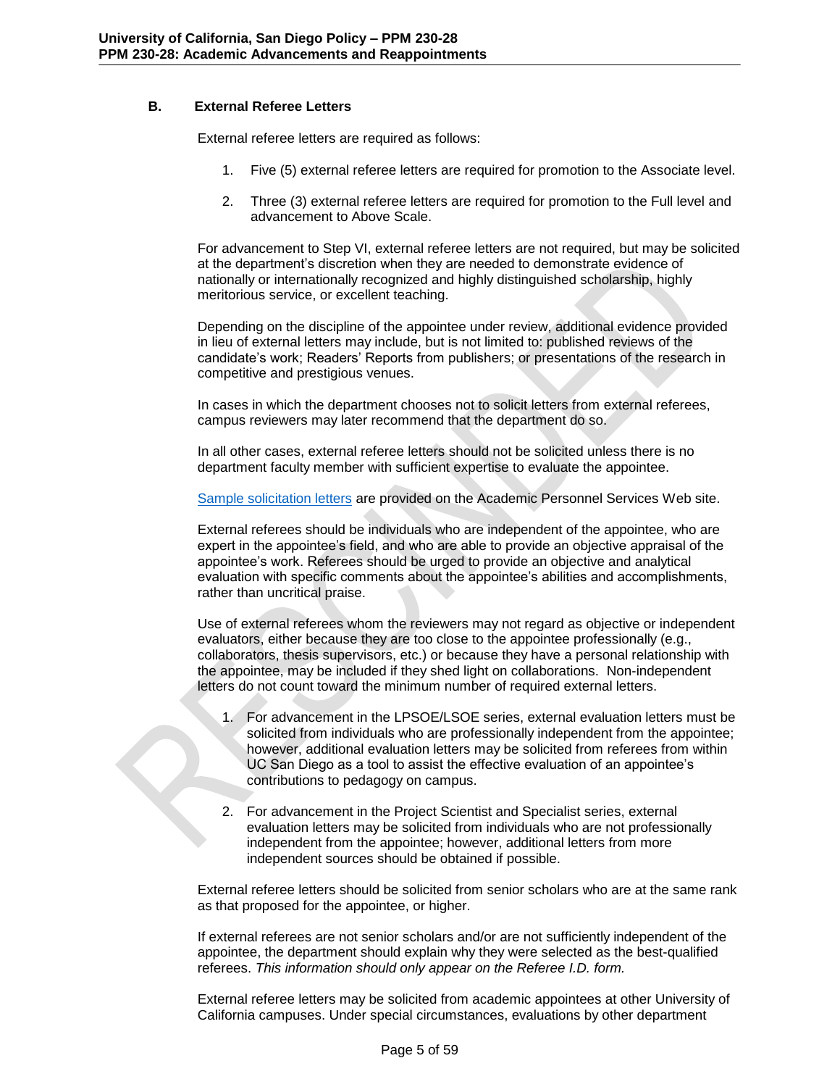# **B. External Referee Letters**

<span id="page-4-0"></span>External referee letters are required as follows:

- 1. Five (5) external referee letters are required for promotion to the Associate level.
- 2. Three (3) external referee letters are required for promotion to the Full level and advancement to Above Scale.

For advancement to Step VI, external referee letters are not required, but may be solicited at the department's discretion when they are needed to demonstrate evidence of nationally or internationally recognized and highly distinguished scholarship, highly meritorious service, or excellent teaching.

Depending on the discipline of the appointee under review, additional evidence provided in lieu of external letters may include, but is not limited to: published reviews of the candidate's work; Readers' Reports from publishers; or presentations of the research in competitive and prestigious venues.

In cases in which the department chooses not to solicit letters from external referees, campus reviewers may later recommend that the department do so.

In all other cases, external referee letters should not be solicited unless there is no department faculty member with sufficient expertise to evaluate the appointee.

[Sample solicitation letters](http://academicaffairs.ucsd.edu/aps/advance-train/forms.html) are provided on the Academic Personnel Services Web site.

External referees should be individuals who are independent of the appointee, who are expert in the appointee's field, and who are able to provide an objective appraisal of the appointee's work. Referees should be urged to provide an objective and analytical evaluation with specific comments about the appointee's abilities and accomplishments, rather than uncritical praise.

Use of external referees whom the reviewers may not regard as objective or independent evaluators, either because they are too close to the appointee professionally (e.g., collaborators, thesis supervisors, etc.) or because they have a personal relationship with the appointee, may be included if they shed light on collaborations. Non-independent letters do not count toward the minimum number of required external letters.

- 1. For advancement in the LPSOE/LSOE series, external evaluation letters must be solicited from individuals who are professionally independent from the appointee; however, additional evaluation letters may be solicited from referees from within UC San Diego as a tool to assist the effective evaluation of an appointee's contributions to pedagogy on campus.
- 2. For advancement in the Project Scientist and Specialist series, external evaluation letters may be solicited from individuals who are not professionally independent from the appointee; however, additional letters from more independent sources should be obtained if possible.

External referee letters should be solicited from senior scholars who are at the same rank as that proposed for the appointee, or higher.

If external referees are not senior scholars and/or are not sufficiently independent of the appointee, the department should explain why they were selected as the best-qualified referees. *This information should only appear on the Referee I.D. form.*

External referee letters may be solicited from academic appointees at other University of California campuses. Under special circumstances, evaluations by other department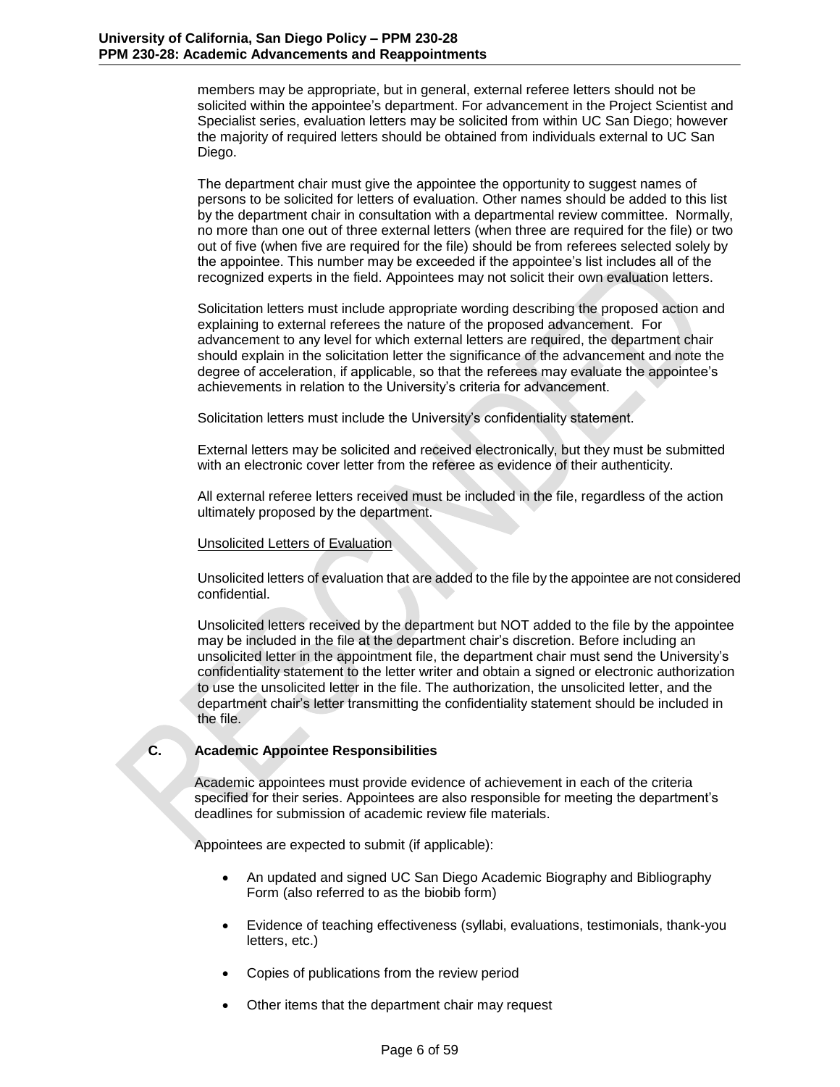members may be appropriate, but in general, external referee letters should not be solicited within the appointee's department. For advancement in the Project Scientist and Specialist series, evaluation letters may be solicited from within UC San Diego; however the majority of required letters should be obtained from individuals external to UC San Diego.

The department chair must give the appointee the opportunity to suggest names of persons to be solicited for letters of evaluation. Other names should be added to this list by the department chair in consultation with a departmental review committee. Normally, no more than one out of three external letters (when three are required for the file) or two out of five (when five are required for the file) should be from referees selected solely by the appointee. This number may be exceeded if the appointee's list includes all of the recognized experts in the field. Appointees may not solicit their own evaluation letters.

Solicitation letters must include appropriate wording describing the proposed action and explaining to external referees the nature of the proposed advancement. For advancement to any level for which external letters are required, the department chair should explain in the solicitation letter the significance of the advancement and note the degree of acceleration, if applicable, so that the referees may evaluate the appointee's achievements in relation to the University's criteria for advancement.

Solicitation letters must include the University's confidentiality statement.

External letters may be solicited and received electronically, but they must be submitted with an electronic cover letter from the referee as evidence of their authenticity.

All external referee letters received must be included in the file, regardless of the action ultimately proposed by the department.

### Unsolicited Letters of Evaluation

Unsolicited letters of evaluation that are added to the file by the appointee are not considered confidential.

Unsolicited letters received by the department but NOT added to the file by the appointee may be included in the file at the department chair's discretion. Before including an unsolicited letter in the appointment file, the department chair must send the University's confidentiality statement to the letter writer and obtain a signed or electronic authorization to use the unsolicited letter in the file. The authorization, the unsolicited letter, and the department chair's letter transmitting the confidentiality statement should be included in the file.

### **C. Academic Appointee Responsibilities**

<span id="page-5-0"></span>Academic appointees must provide evidence of achievement in each of the criteria specified for their series. Appointees are also responsible for meeting the department's deadlines for submission of academic review file materials.

Appointees are expected to submit (if applicable):

- An updated and signed UC San Diego Academic Biography and Bibliography Form (also referred to as the biobib form)
- Evidence of teaching effectiveness (syllabi, evaluations, testimonials, thank-you letters, etc.)
- Copies of publications from the review period
- Other items that the department chair may request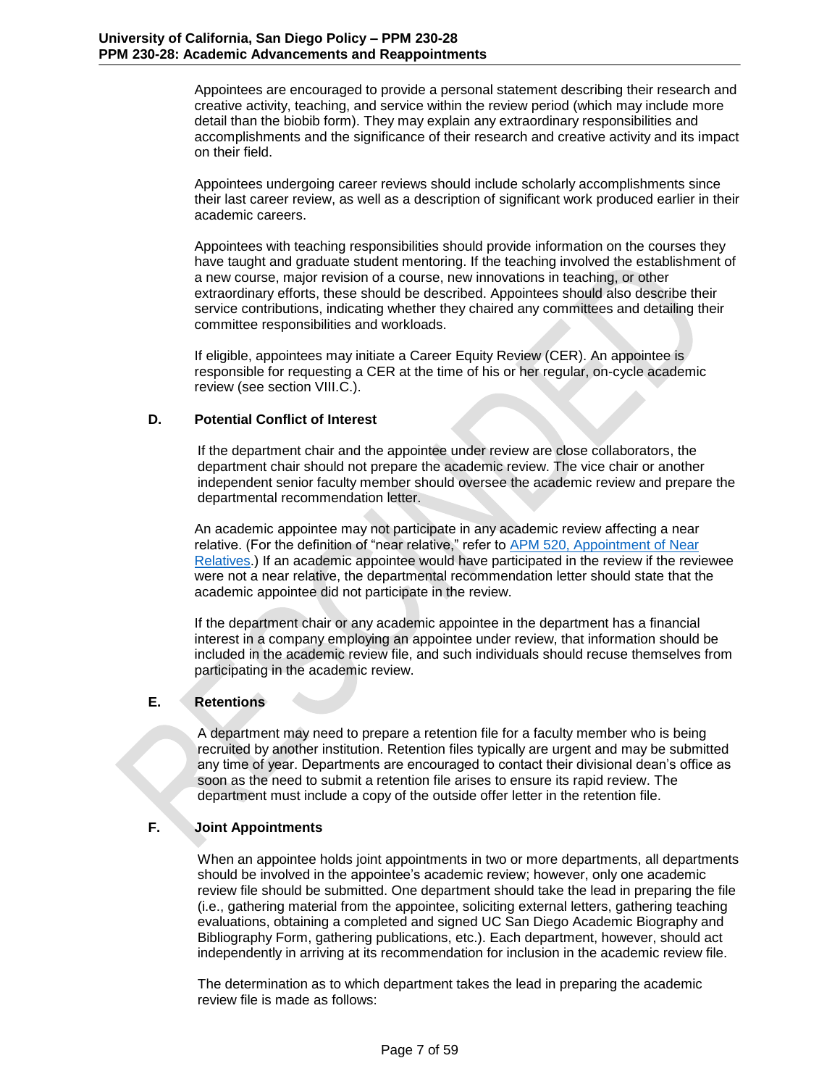Appointees are encouraged to provide a personal statement describing their research and creative activity, teaching, and service within the review period (which may include more detail than the biobib form). They may explain any extraordinary responsibilities and accomplishments and the significance of their research and creative activity and its impact on their field.

Appointees undergoing career reviews should include scholarly accomplishments since their last career review, as well as a description of significant work produced earlier in their academic careers.

Appointees with teaching responsibilities should provide information on the courses they have taught and graduate student mentoring. If the teaching involved the establishment of a new course, major revision of a course, new innovations in teaching, or other extraordinary efforts, these should be described. Appointees should also describe their service contributions, indicating whether they chaired any committees and detailing their committee responsibilities and workloads.

If eligible, appointees may initiate a Career Equity Review (CER). An appointee is responsible for requesting a CER at the time of his or her regular, on-cycle academic review (see section VIII.C.).

## **D. Potential Conflict of Interest**

<span id="page-6-0"></span>If the department chair and the appointee under review are close collaborators, the department chair should not prepare the academic review. The vice chair or another independent senior faculty member should oversee the academic review and prepare the departmental recommendation letter.

An academic appointee may not participate in any academic review affecting a near relative. (For the definition of "near relative," refer to **APM 520, Appointment of Near** [Relatives.](http://www.ucop.edu/academic-personnel/_files/apm/apm-520.pdf)) If an academic appointee would have participated in the review if the reviewee were not a near relative, the departmental recommendation letter should state that the academic appointee did not participate in the review.

If the department chair or any academic appointee in the department has a financial interest in a company employing an appointee under review, that information should be included in the academic review file, and such individuals should recuse themselves from participating in the academic review.

# **E. Retentions**

<span id="page-6-1"></span>A department may need to prepare a retention file for a faculty member who is being recruited by another institution. Retention files typically are urgent and may be submitted any time of year. Departments are encouraged to contact their divisional dean's office as soon as the need to submit a retention file arises to ensure its rapid review. The department must include a copy of the outside offer letter in the retention file.

### **F. Joint Appointments**

<span id="page-6-2"></span>When an appointee holds joint appointments in two or more departments, all departments should be involved in the appointee's academic review; however, only one academic review file should be submitted. One department should take the lead in preparing the file (i.e., gathering material from the appointee, soliciting external letters, gathering teaching evaluations, obtaining a completed and signed UC San Diego Academic Biography and Bibliography Form, gathering publications, etc.). Each department, however, should act independently in arriving at its recommendation for inclusion in the academic review file.

The determination as to which department takes the lead in preparing the academic review file is made as follows: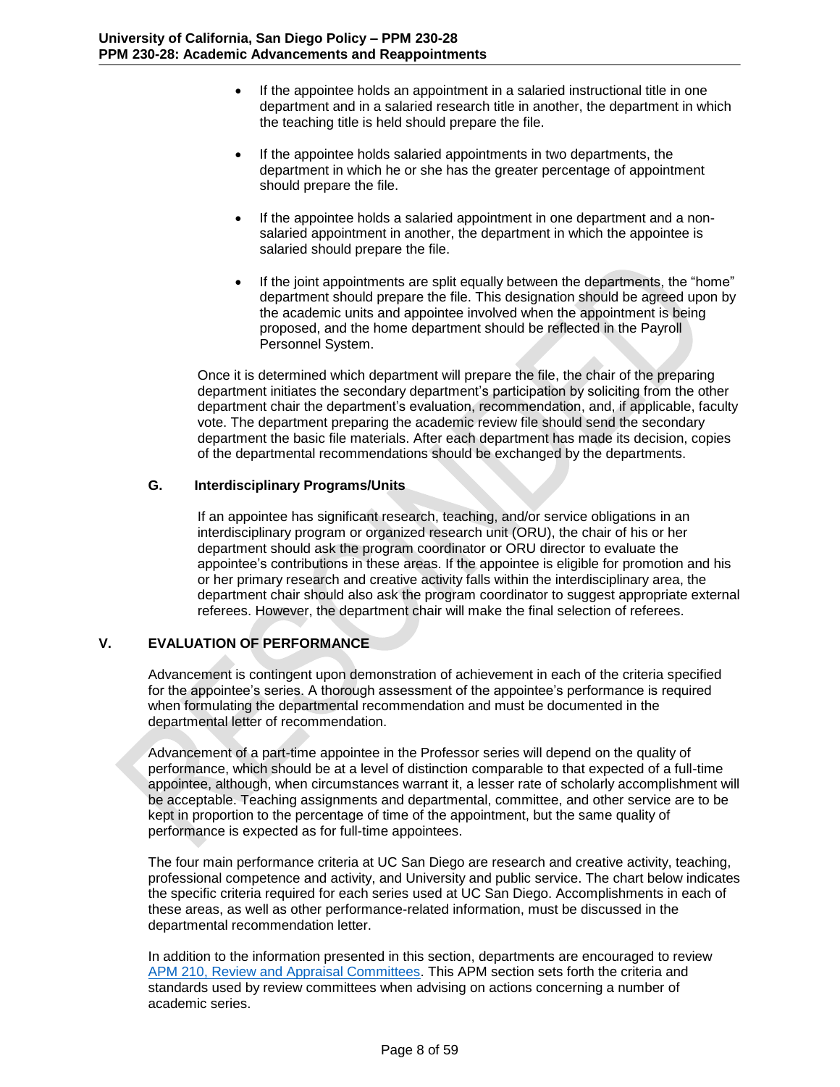- If the appointee holds an appointment in a salaried instructional title in one department and in a salaried research title in another, the department in which the teaching title is held should prepare the file.
- If the appointee holds salaried appointments in two departments, the department in which he or she has the greater percentage of appointment should prepare the file.
- If the appointee holds a salaried appointment in one department and a nonsalaried appointment in another, the department in which the appointee is salaried should prepare the file.
- If the joint appointments are split equally between the departments, the "home" department should prepare the file. This designation should be agreed upon by the academic units and appointee involved when the appointment is being proposed, and the home department should be reflected in the Payroll Personnel System.

Once it is determined which department will prepare the file, the chair of the preparing department initiates the secondary department's participation by soliciting from the other department chair the department's evaluation, recommendation, and, if applicable, faculty vote. The department preparing the academic review file should send the secondary department the basic file materials. After each department has made its decision, copies of the departmental recommendations should be exchanged by the departments.

## **G. Interdisciplinary Programs/Units**

<span id="page-7-0"></span>If an appointee has significant research, teaching, and/or service obligations in an interdisciplinary program or organized research unit (ORU), the chair of his or her department should ask the program coordinator or ORU director to evaluate the appointee's contributions in these areas. If the appointee is eligible for promotion and his or her primary research and creative activity falls within the interdisciplinary area, the department chair should also ask the program coordinator to suggest appropriate external referees. However, the department chair will make the final selection of referees.

# <span id="page-7-1"></span>**V. EVALUATION OF PERFORMANCE**

Advancement is contingent upon demonstration of achievement in each of the criteria specified for the appointee's series. A thorough assessment of the appointee's performance is required when formulating the departmental recommendation and must be documented in the departmental letter of recommendation.

Advancement of a part-time appointee in the Professor series will depend on the quality of performance, which should be at a level of distinction comparable to that expected of a full-time appointee, although, when circumstances warrant it, a lesser rate of scholarly accomplishment will be acceptable. Teaching assignments and departmental, committee, and other service are to be kept in proportion to the percentage of time of the appointment, but the same quality of performance is expected as for full-time appointees.

The four main performance criteria at UC San Diego are research and creative activity, teaching, professional competence and activity, and University and public service. The chart below indicates the specific criteria required for each series used at UC San Diego. Accomplishments in each of these areas, as well as other performance-related information, must be discussed in the departmental recommendation letter.

In addition to the information presented in this section, departments are encouraged to review [APM 210, Review and Appraisal Committees.](http://www.ucop.edu/academic-personnel/_files/apm/apm-210.pdf) This APM section sets forth the criteria and standards used by review committees when advising on actions concerning a number of academic series.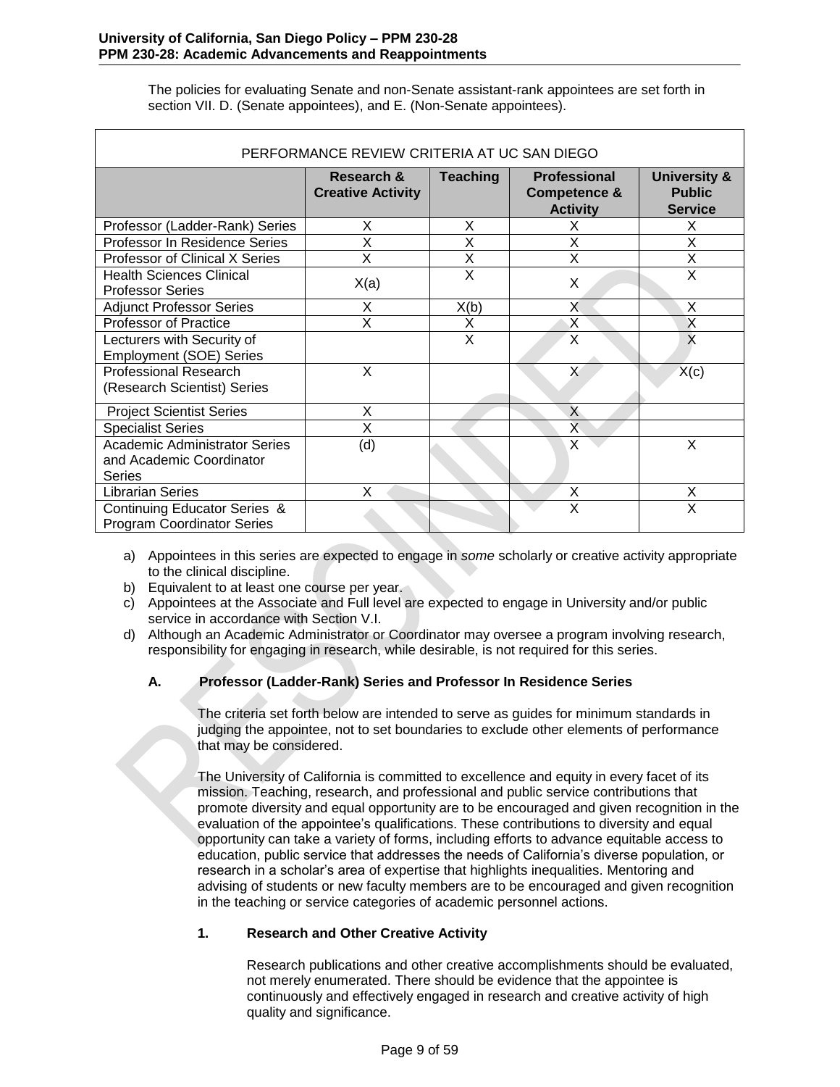The policies for evaluating Senate and non-Senate assistant-rank appointees are set forth in section VII. D. (Senate appointees), and E. (Non-Senate appointees).

<span id="page-8-0"></span>

| PERFORMANCE REVIEW CRITERIA AT UC SAN DIEGO                                       |                                        |                 |                                                                   |                                                            |
|-----------------------------------------------------------------------------------|----------------------------------------|-----------------|-------------------------------------------------------------------|------------------------------------------------------------|
|                                                                                   | Research &<br><b>Creative Activity</b> | <b>Teaching</b> | <b>Professional</b><br><b>Competence &amp;</b><br><b>Activity</b> | <b>University &amp;</b><br><b>Public</b><br><b>Service</b> |
| Professor (Ladder-Rank) Series                                                    | X                                      | X               | X                                                                 | X                                                          |
| Professor In Residence Series                                                     | X                                      | X               | X                                                                 | X                                                          |
| Professor of Clinical X Series                                                    | X                                      | X               | X                                                                 | $\overline{\mathsf{x}}$                                    |
| <b>Health Sciences Clinical</b><br><b>Professor Series</b>                        | X(a)                                   | X               | X                                                                 | X                                                          |
| <b>Adjunct Professor Series</b>                                                   | X                                      | X(b)            | X                                                                 | X                                                          |
| Professor of Practice                                                             | X                                      | X               | X                                                                 | $\mathsf{X}$                                               |
| Lecturers with Security of<br><b>Employment (SOE) Series</b>                      |                                        | X               | X                                                                 | X                                                          |
| <b>Professional Research</b><br>(Research Scientist) Series                       | X                                      |                 | X                                                                 | X(c)                                                       |
| <b>Project Scientist Series</b>                                                   | X                                      |                 | X                                                                 |                                                            |
| <b>Specialist Series</b>                                                          | X                                      |                 | X.                                                                |                                                            |
| <b>Academic Administrator Series</b><br>and Academic Coordinator<br><b>Series</b> | (d)                                    |                 | X                                                                 | X                                                          |
| <b>Librarian Series</b>                                                           | X                                      |                 | X                                                                 | X                                                          |
| Continuing Educator Series &<br><b>Program Coordinator Series</b>                 |                                        |                 | X                                                                 | X                                                          |

- a) Appointees in this series are expected to engage in *some* scholarly or creative activity appropriate to the clinical discipline.
- b) Equivalent to at least one course per year.
- c) Appointees at the Associate and Full level are expected to engage in University and/or public service in accordance with Section V.I.
- d) Although an Academic Administrator or Coordinator may oversee a program involving research, responsibility for engaging in research, while desirable, is not required for this series.

# **A. Professor (Ladder-Rank) Series and Professor In Residence Series**

<span id="page-8-1"></span>The criteria set forth below are intended to serve as guides for minimum standards in judging the appointee, not to set boundaries to exclude other elements of performance that may be considered.

The University of California is committed to excellence and equity in every facet of its mission. Teaching, research, and professional and public service contributions that promote diversity and equal opportunity are to be encouraged and given recognition in the evaluation of the appointee's qualifications. These contributions to diversity and equal opportunity can take a variety of forms, including efforts to advance equitable access to education, public service that addresses the needs of California's diverse population, or research in a scholar's area of expertise that highlights inequalities. Mentoring and advising of students or new faculty members are to be encouraged and given recognition in the teaching or service categories of academic personnel actions.

# **1. Research and Other Creative Activity**

Research publications and other creative accomplishments should be evaluated, not merely enumerated. There should be evidence that the appointee is continuously and effectively engaged in research and creative activity of high quality and significance.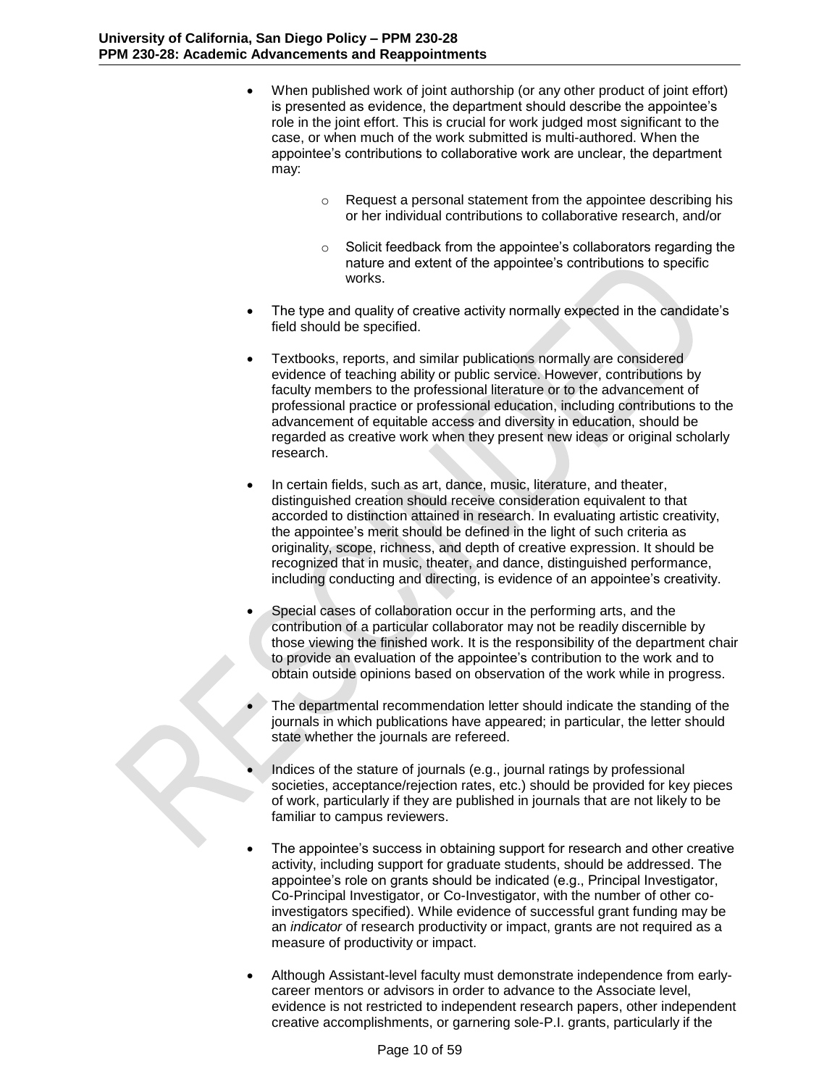- When published work of joint authorship (or any other product of joint effort) is presented as evidence, the department should describe the appointee's role in the joint effort. This is crucial for work judged most significant to the case, or when much of the work submitted is multi-authored. When the appointee's contributions to collaborative work are unclear, the department may:
	- o Request a personal statement from the appointee describing his or her individual contributions to collaborative research, and/or
	- o Solicit feedback from the appointee's collaborators regarding the nature and extent of the appointee's contributions to specific works.
- The type and quality of creative activity normally expected in the candidate's field should be specified.
- Textbooks, reports, and similar publications normally are considered evidence of teaching ability or public service. However, contributions by faculty members to the professional literature or to the advancement of professional practice or professional education, including contributions to the advancement of equitable access and diversity in education, should be regarded as creative work when they present new ideas or original scholarly research.
- In certain fields, such as art, dance, music, literature, and theater, distinguished creation should receive consideration equivalent to that accorded to distinction attained in research. In evaluating artistic creativity, the appointee's merit should be defined in the light of such criteria as originality, scope, richness, and depth of creative expression. It should be recognized that in music, theater, and dance, distinguished performance, including conducting and directing, is evidence of an appointee's creativity.
- Special cases of collaboration occur in the performing arts, and the contribution of a particular collaborator may not be readily discernible by those viewing the finished work. It is the responsibility of the department chair to provide an evaluation of the appointee's contribution to the work and to obtain outside opinions based on observation of the work while in progress.
- The departmental recommendation letter should indicate the standing of the journals in which publications have appeared; in particular, the letter should state whether the journals are refereed.
- Indices of the stature of journals (e.g., journal ratings by professional societies, acceptance/rejection rates, etc.) should be provided for key pieces of work, particularly if they are published in journals that are not likely to be familiar to campus reviewers.
- The appointee's success in obtaining support for research and other creative activity, including support for graduate students, should be addressed. The appointee's role on grants should be indicated (e.g., Principal Investigator, Co-Principal Investigator, or Co-Investigator, with the number of other coinvestigators specified). While evidence of successful grant funding may be an *indicator* of research productivity or impact, grants are not required as a measure of productivity or impact.
- Although Assistant-level faculty must demonstrate independence from earlycareer mentors or advisors in order to advance to the Associate level, evidence is not restricted to independent research papers, other independent creative accomplishments, or garnering sole-P.I. grants, particularly if the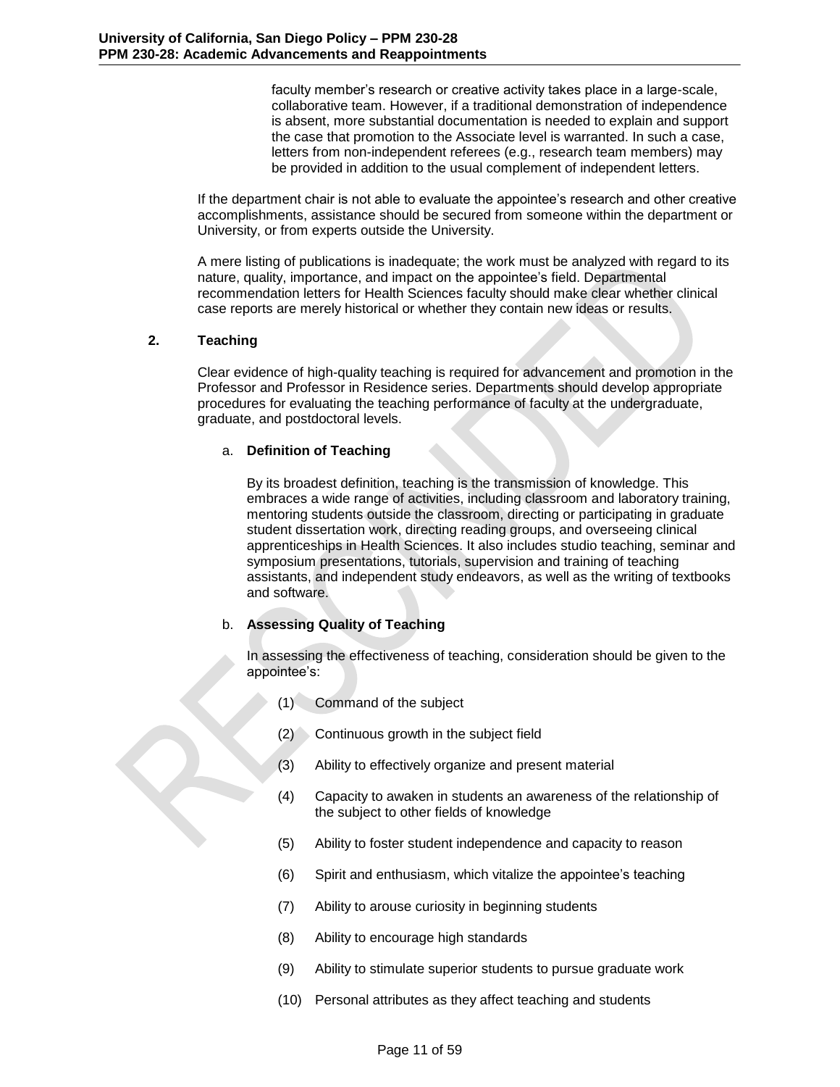faculty member's research or creative activity takes place in a large-scale, collaborative team. However, if a traditional demonstration of independence is absent, more substantial documentation is needed to explain and support the case that promotion to the Associate level is warranted. In such a case, letters from non-independent referees (e.g., research team members) may be provided in addition to the usual complement of independent letters.

If the department chair is not able to evaluate the appointee's research and other creative accomplishments, assistance should be secured from someone within the department or University, or from experts outside the University.

A mere listing of publications is inadequate; the work must be analyzed with regard to its nature, quality, importance, and impact on the appointee's field. Departmental recommendation letters for Health Sciences faculty should make clear whether clinical case reports are merely historical or whether they contain new ideas or results.

## **2. Teaching**

Clear evidence of high-quality teaching is required for advancement and promotion in the Professor and Professor in Residence series. Departments should develop appropriate procedures for evaluating the teaching performance of faculty at the undergraduate, graduate, and postdoctoral levels.

# a. **Definition of Teaching**

By its broadest definition, teaching is the transmission of knowledge. This embraces a wide range of activities, including classroom and laboratory training, mentoring students outside the classroom, directing or participating in graduate student dissertation work, directing reading groups, and overseeing clinical apprenticeships in Health Sciences. It also includes studio teaching, seminar and symposium presentations, tutorials, supervision and training of teaching assistants, and independent study endeavors, as well as the writing of textbooks and software.

# b. **Assessing Quality of Teaching**

In assessing the effectiveness of teaching, consideration should be given to the appointee's:

- (1) Command of the subject
- (2) Continuous growth in the subject field
- (3) Ability to effectively organize and present material
- (4) Capacity to awaken in students an awareness of the relationship of the subject to other fields of knowledge
- (5) Ability to foster student independence and capacity to reason
- (6) Spirit and enthusiasm, which vitalize the appointee's teaching
- (7) Ability to arouse curiosity in beginning students
- (8) Ability to encourage high standards
- (9) Ability to stimulate superior students to pursue graduate work
- (10) Personal attributes as they affect teaching and students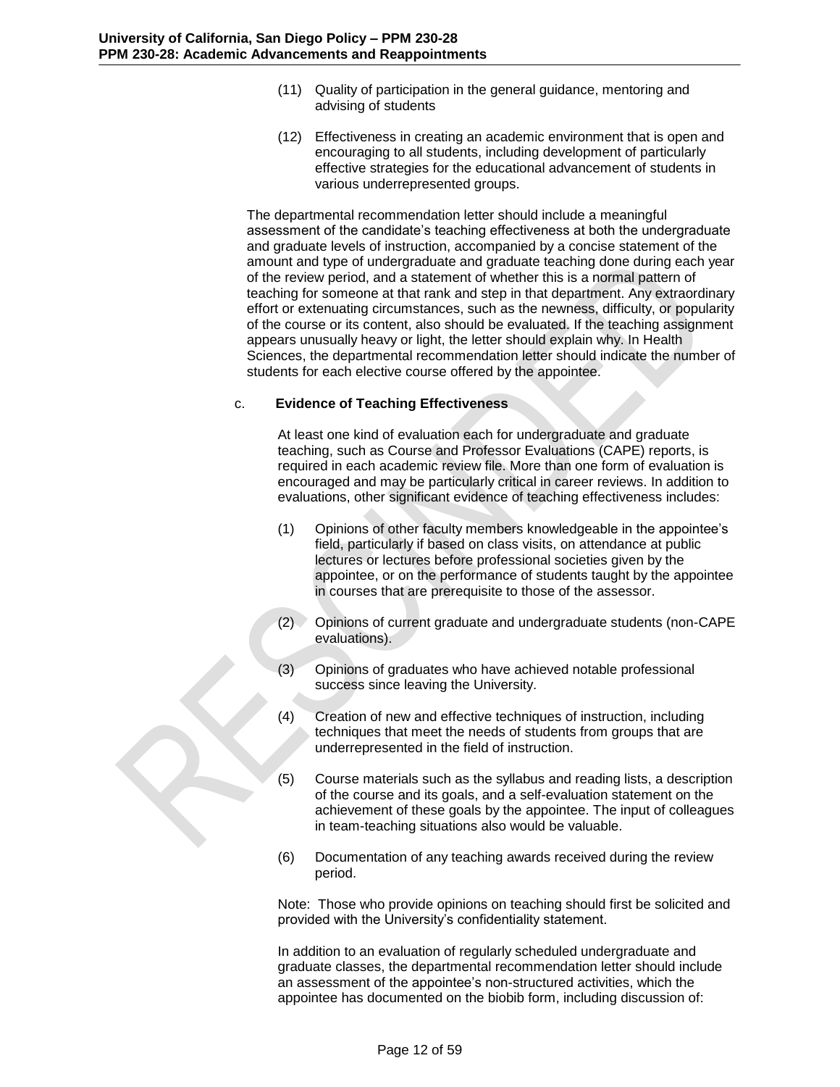- (11) Quality of participation in the general guidance, mentoring and advising of students
- (12) Effectiveness in creating an academic environment that is open and encouraging to all students, including development of particularly effective strategies for the educational advancement of students in various underrepresented groups.

The departmental recommendation letter should include a meaningful assessment of the candidate's teaching effectiveness at both the undergraduate and graduate levels of instruction, accompanied by a concise statement of the amount and type of undergraduate and graduate teaching done during each year of the review period, and a statement of whether this is a normal pattern of teaching for someone at that rank and step in that department. Any extraordinary effort or extenuating circumstances, such as the newness, difficulty, or popularity of the course or its content, also should be evaluated. If the teaching assignment appears unusually heavy or light, the letter should explain why. In Health Sciences, the departmental recommendation letter should indicate the number of students for each elective course offered by the appointee.

### c. **Evidence of Teaching Effectiveness**

At least one kind of evaluation each for undergraduate and graduate teaching, such as Course and Professor Evaluations (CAPE) reports, is required in each academic review file. More than one form of evaluation is encouraged and may be particularly critical in career reviews. In addition to evaluations, other significant evidence of teaching effectiveness includes:

- (1) Opinions of other faculty members knowledgeable in the appointee's field, particularly if based on class visits, on attendance at public lectures or lectures before professional societies given by the appointee, or on the performance of students taught by the appointee in courses that are prerequisite to those of the assessor.
- (2) Opinions of current graduate and undergraduate students (non-CAPE evaluations).
- (3) Opinions of graduates who have achieved notable professional success since leaving the University.
- (4) Creation of new and effective techniques of instruction, including techniques that meet the needs of students from groups that are underrepresented in the field of instruction.
- (5) Course materials such as the syllabus and reading lists, a description of the course and its goals, and a self-evaluation statement on the achievement of these goals by the appointee. The input of colleagues in team-teaching situations also would be valuable.
- (6) Documentation of any teaching awards received during the review period.

Note: Those who provide opinions on teaching should first be solicited and provided with the University's confidentiality statement.

In addition to an evaluation of regularly scheduled undergraduate and graduate classes, the departmental recommendation letter should include an assessment of the appointee's non-structured activities, which the appointee has documented on the biobib form, including discussion of: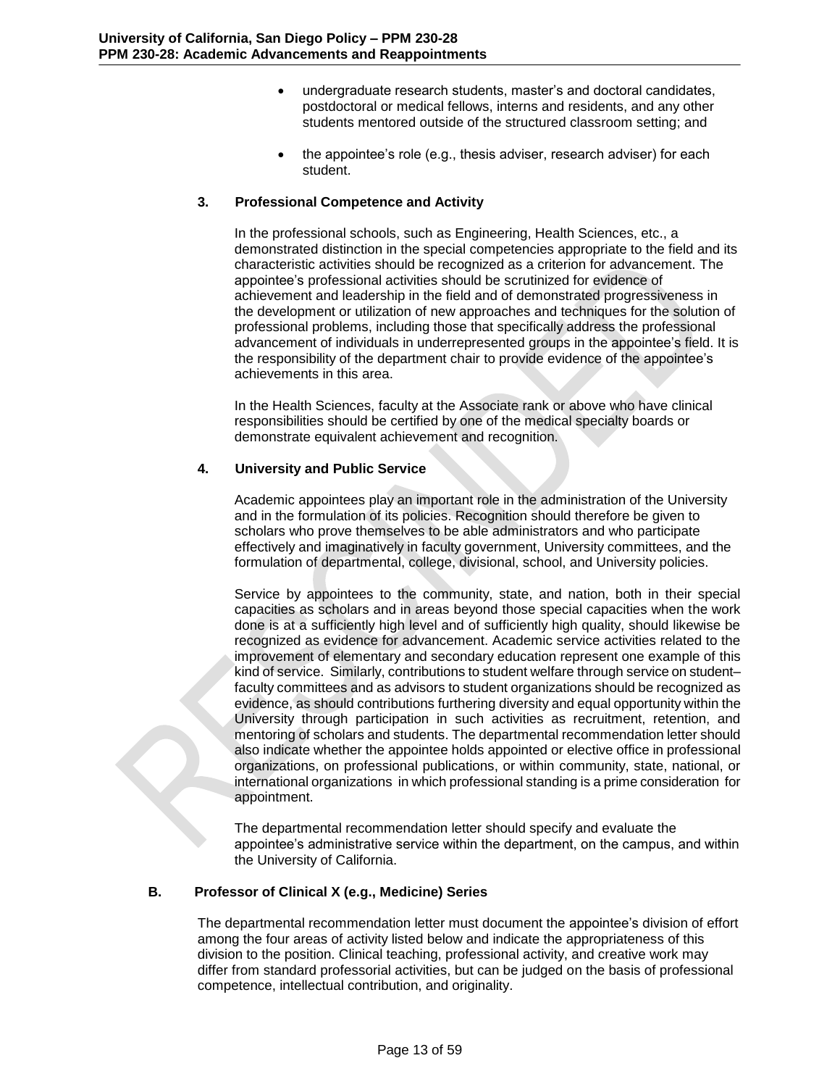- undergraduate research students, master's and doctoral candidates, postdoctoral or medical fellows, interns and residents, and any other students mentored outside of the structured classroom setting; and
- the appointee's role (e.g., thesis adviser, research adviser) for each student.

## **3. Professional Competence and Activity**

In the professional schools, such as Engineering, Health Sciences, etc., a demonstrated distinction in the special competencies appropriate to the field and its characteristic activities should be recognized as a criterion for advancement. The appointee's professional activities should be scrutinized for evidence of achievement and leadership in the field and of demonstrated progressiveness in the development or utilization of new approaches and techniques for the solution of professional problems, including those that specifically address the professional advancement of individuals in underrepresented groups in the appointee's field. It is the responsibility of the department chair to provide evidence of the appointee's achievements in this area.

In the Health Sciences, faculty at the Associate rank or above who have clinical responsibilities should be certified by one of the medical specialty boards or demonstrate equivalent achievement and recognition.

## **4. University and Public Service**

Academic appointees play an important role in the administration of the University and in the formulation of its policies. Recognition should therefore be given to scholars who prove themselves to be able administrators and who participate effectively and imaginatively in faculty government, University committees, and the formulation of departmental, college, divisional, school, and University policies.

Service by appointees to the community, state, and nation, both in their special capacities as scholars and in areas beyond those special capacities when the work done is at a sufficiently high level and of sufficiently high quality, should likewise be recognized as evidence for advancement. Academic service activities related to the improvement of elementary and secondary education represent one example of this kind of service. Similarly, contributions to student welfare through service on student– faculty committees and as advisors to student organizations should be recognized as evidence, as should contributions furthering diversity and equal opportunity within the University through participation in such activities as recruitment, retention, and mentoring of scholars and students. The departmental recommendation letter should also indicate whether the appointee holds appointed or elective office in professional organizations, on professional publications, or within community, state, national, or international organizations in which professional standing is a prime consideration for appointment.

The departmental recommendation letter should specify and evaluate the appointee's administrative service within the department, on the campus, and within the University of California.

# **B. Professor of Clinical X (e.g., Medicine) Series**

<span id="page-12-0"></span>The departmental recommendation letter must document the appointee's division of effort among the four areas of activity listed below and indicate the appropriateness of this division to the position. Clinical teaching, professional activity, and creative work may differ from standard professorial activities, but can be judged on the basis of professional competence, intellectual contribution, and originality.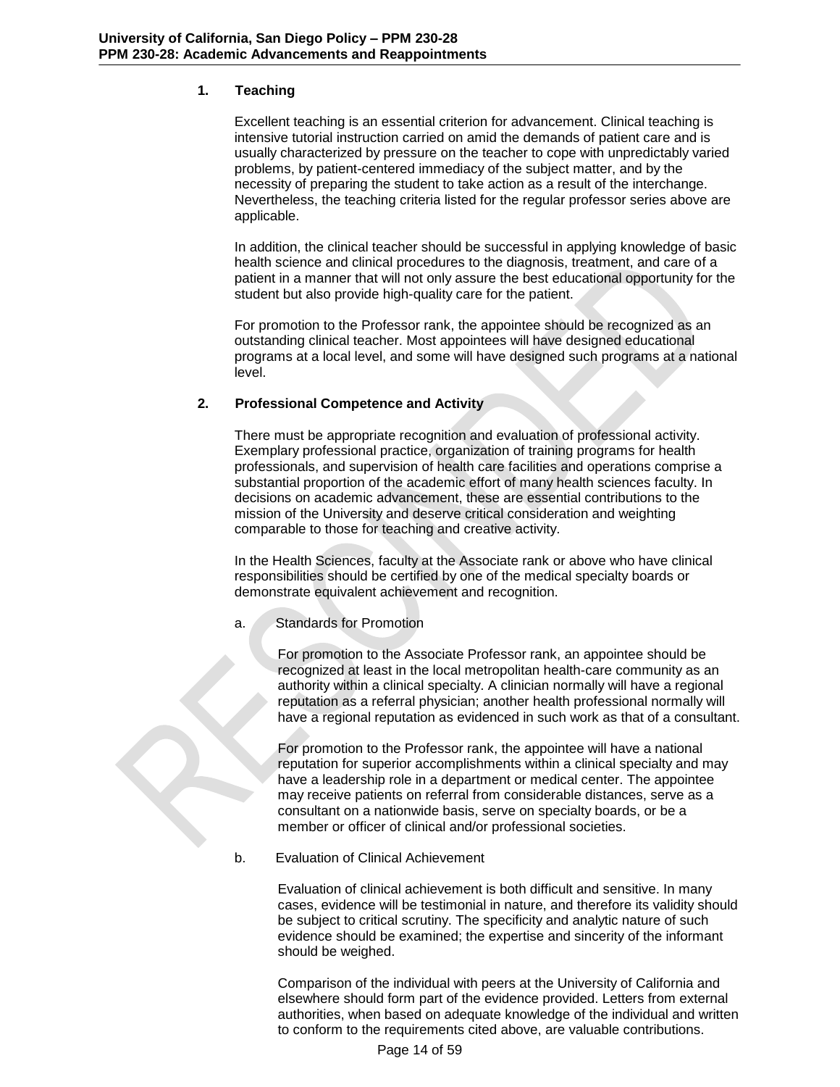### **1. Teaching**

Excellent teaching is an essential criterion for advancement. Clinical teaching is intensive tutorial instruction carried on amid the demands of patient care and is usually characterized by pressure on the teacher to cope with unpredictably varied problems, by patient-centered immediacy of the subject matter, and by the necessity of preparing the student to take action as a result of the interchange. Nevertheless, the teaching criteria listed for the regular professor series above are applicable.

In addition, the clinical teacher should be successful in applying knowledge of basic health science and clinical procedures to the diagnosis, treatment, and care of a patient in a manner that will not only assure the best educational opportunity for the student but also provide high-quality care for the patient.

For promotion to the Professor rank, the appointee should be recognized as an outstanding clinical teacher. Most appointees will have designed educational programs at a local level, and some will have designed such programs at a national level.

## **2. Professional Competence and Activity**

There must be appropriate recognition and evaluation of professional activity. Exemplary professional practice, organization of training programs for health professionals, and supervision of health care facilities and operations comprise a substantial proportion of the academic effort of many health sciences faculty. In decisions on academic advancement, these are essential contributions to the mission of the University and deserve critical consideration and weighting comparable to those for teaching and creative activity.

In the Health Sciences, faculty at the Associate rank or above who have clinical responsibilities should be certified by one of the medical specialty boards or demonstrate equivalent achievement and recognition.

### a. Standards for Promotion

For promotion to the Associate Professor rank, an appointee should be recognized at least in the local metropolitan health-care community as an authority within a clinical specialty. A clinician normally will have a regional reputation as a referral physician; another health professional normally will have a regional reputation as evidenced in such work as that of a consultant.

For promotion to the Professor rank, the appointee will have a national reputation for superior accomplishments within a clinical specialty and may have a leadership role in a department or medical center. The appointee may receive patients on referral from considerable distances, serve as a consultant on a nationwide basis, serve on specialty boards, or be a member or officer of clinical and/or professional societies.

b. Evaluation of Clinical Achievement

Evaluation of clinical achievement is both difficult and sensitive. In many cases, evidence will be testimonial in nature, and therefore its validity should be subject to critical scrutiny. The specificity and analytic nature of such evidence should be examined; the expertise and sincerity of the informant should be weighed.

Comparison of the individual with peers at the University of California and elsewhere should form part of the evidence provided. Letters from external authorities, when based on adequate knowledge of the individual and written to conform to the requirements cited above, are valuable contributions.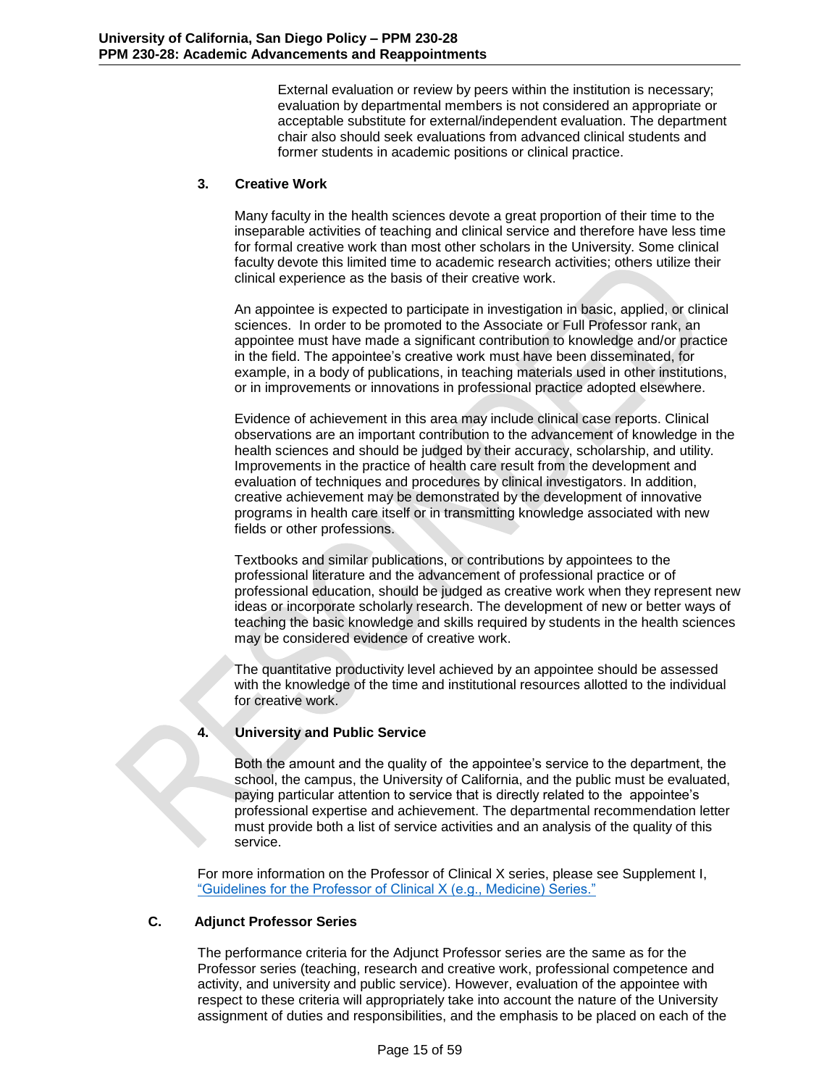External evaluation or review by peers within the institution is necessary; evaluation by departmental members is not considered an appropriate or acceptable substitute for external/independent evaluation. The department chair also should seek evaluations from advanced clinical students and former students in academic positions or clinical practice.

# **3. Creative Work**

Many faculty in the health sciences devote a great proportion of their time to the inseparable activities of teaching and clinical service and therefore have less time for formal creative work than most other scholars in the University. Some clinical faculty devote this limited time to academic research activities; others utilize their clinical experience as the basis of their creative work.

An appointee is expected to participate in investigation in basic, applied, or clinical sciences. In order to be promoted to the Associate or Full Professor rank, an appointee must have made a significant contribution to knowledge and/or practice in the field. The appointee's creative work must have been disseminated, for example, in a body of publications, in teaching materials used in other institutions, or in improvements or innovations in professional practice adopted elsewhere.

Evidence of achievement in this area may include clinical case reports. Clinical observations are an important contribution to the advancement of knowledge in the health sciences and should be judged by their accuracy, scholarship, and utility. Improvements in the practice of health care result from the development and evaluation of techniques and procedures by clinical investigators. In addition, creative achievement may be demonstrated by the development of innovative programs in health care itself or in transmitting knowledge associated with new fields or other professions.

Textbooks and similar publications, or contributions by appointees to the professional literature and the advancement of professional practice or of professional education, should be judged as creative work when they represent new ideas or incorporate scholarly research. The development of new or better ways of teaching the basic knowledge and skills required by students in the health sciences may be considered evidence of creative work.

The quantitative productivity level achieved by an appointee should be assessed with the knowledge of the time and institutional resources allotted to the individual for creative work.

# **4. University and Public Service**

Both the amount and the quality of the appointee's service to the department, the school, the campus, the University of California, and the public must be evaluated, paying particular attention to service that is directly related to the appointee's professional expertise and achievement. The departmental recommendation letter must provide both a list of service activities and an analysis of the quality of this service.

For more information on the Professor of Clinical X series, please see Supplement I, "Guidelines for the Professor of Clinical X (e.g., Medicine) Series."

# **C. Adjunct Professor Series**

<span id="page-14-0"></span>The performance criteria for the Adjunct Professor series are the same as for the Professor series (teaching, research and creative work, professional competence and activity, and university and public service). However, evaluation of the appointee with respect to these criteria will appropriately take into account the nature of the University assignment of duties and responsibilities, and the emphasis to be placed on each of the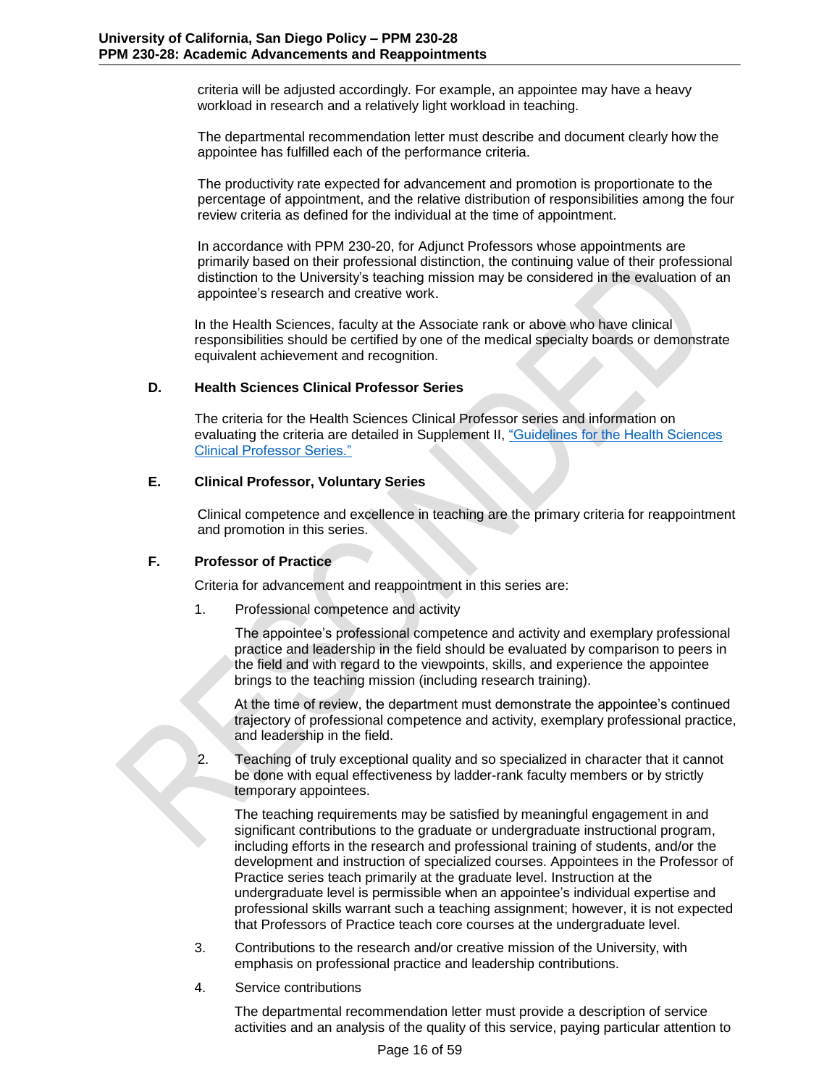criteria will be adjusted accordingly. For example, an appointee may have a heavy workload in research and a relatively light workload in teaching.

The departmental recommendation letter must describe and document clearly how the appointee has fulfilled each of the performance criteria.

The productivity rate expected for advancement and promotion is proportionate to the percentage of appointment, and the relative distribution of responsibilities among the four review criteria as defined for the individual at the time of appointment.

In accordance with PPM 230-20, for Adjunct Professors whose appointments are primarily based on their professional distinction, the continuing value of their professional distinction to the University's teaching mission may be considered in the evaluation of an appointee's research and creative work.

In the Health Sciences, faculty at the Associate rank or above who have clinical responsibilities should be certified by one of the medical specialty boards or demonstrate equivalent achievement and recognition.

# **D. Health Sciences Clinical Professor Series**

<span id="page-15-0"></span>The criteria for the Health Sciences Clinical Professor series and information on evaluating the criteria are detailed in Supplement II, "Guidelines for the Health Sciences Clinical Professor Series."

## **E. Clinical Professor, Voluntary Series**

<span id="page-15-1"></span>Clinical competence and excellence in teaching are the primary criteria for reappointment and promotion in this series.

# **F. Professor of Practice**

<span id="page-15-2"></span>Criteria for advancement and reappointment in this series are:

1. Professional competence and activity

The appointee's professional competence and activity and exemplary professional practice and leadership in the field should be evaluated by comparison to peers in the field and with regard to the viewpoints, skills, and experience the appointee brings to the teaching mission (including research training).

At the time of review, the department must demonstrate the appointee's continued trajectory of professional competence and activity, exemplary professional practice, and leadership in the field.

2. Teaching of truly exceptional quality and so specialized in character that it cannot be done with equal effectiveness by ladder-rank faculty members or by strictly temporary appointees.

The teaching requirements may be satisfied by meaningful engagement in and significant contributions to the graduate or undergraduate instructional program, including efforts in the research and professional training of students, and/or the development and instruction of specialized courses. Appointees in the Professor of Practice series teach primarily at the graduate level. Instruction at the undergraduate level is permissible when an appointee's individual expertise and professional skills warrant such a teaching assignment; however, it is not expected that Professors of Practice teach core courses at the undergraduate level.

- 3. Contributions to the research and/or creative mission of the University, with emphasis on professional practice and leadership contributions.
- 4. Service contributions

The departmental recommendation letter must provide a description of service activities and an analysis of the quality of this service, paying particular attention to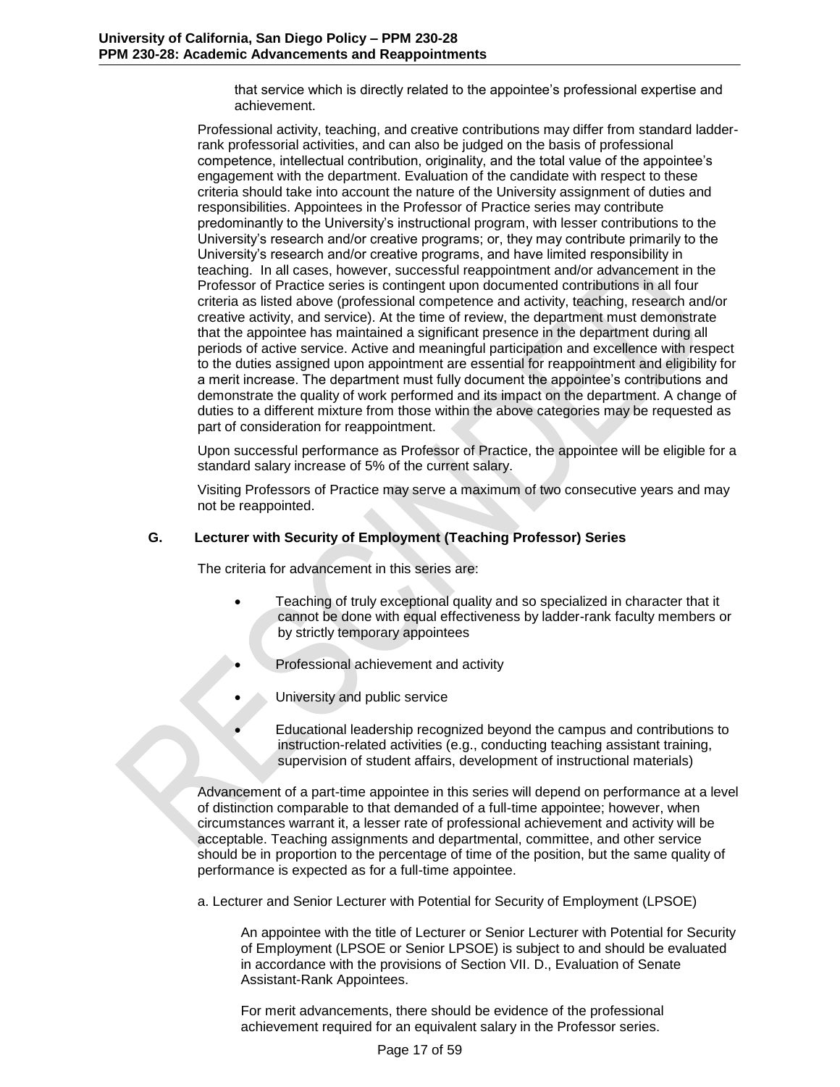that service which is directly related to the appointee's professional expertise and achievement.

Professional activity, teaching, and creative contributions may differ from standard ladderrank professorial activities, and can also be judged on the basis of professional competence, intellectual contribution, originality, and the total value of the appointee's engagement with the department. Evaluation of the candidate with respect to these criteria should take into account the nature of the University assignment of duties and responsibilities. Appointees in the Professor of Practice series may contribute predominantly to the University's instructional program, with lesser contributions to the University's research and/or creative programs; or, they may contribute primarily to the University's research and/or creative programs, and have limited responsibility in teaching. In all cases, however, successful reappointment and/or advancement in the Professor of Practice series is contingent upon documented contributions in all four criteria as listed above (professional competence and activity, teaching, research and/or creative activity, and service). At the time of review, the department must demonstrate that the appointee has maintained a significant presence in the department during all periods of active service. Active and meaningful participation and excellence with respect to the duties assigned upon appointment are essential for reappointment and eligibility for a merit increase. The department must fully document the appointee's contributions and demonstrate the quality of work performed and its impact on the department. A change of duties to a different mixture from those within the above categories may be requested as part of consideration for reappointment.

Upon successful performance as Professor of Practice, the appointee will be eligible for a standard salary increase of 5% of the current salary.

Visiting Professors of Practice may serve a maximum of two consecutive years and may not be reappointed.

## **G. Lecturer with Security of Employment (Teaching Professor) Series**

<span id="page-16-0"></span>The criteria for advancement in this series are:

- Teaching of truly exceptional quality and so specialized in character that it cannot be done with equal effectiveness by ladder-rank faculty members or by strictly temporary appointees
- Professional achievement and activity
- University and public service
- Educational leadership recognized beyond the campus and contributions to instruction-related activities (e.g., conducting teaching assistant training, supervision of student affairs, development of instructional materials)

Advancement of a part-time appointee in this series will depend on performance at a level of distinction comparable to that demanded of a full-time appointee; however, when circumstances warrant it, a lesser rate of professional achievement and activity will be acceptable. Teaching assignments and departmental, committee, and other service should be in proportion to the percentage of time of the position, but the same quality of performance is expected as for a full-time appointee.

a. Lecturer and Senior Lecturer with Potential for Security of Employment (LPSOE)

An appointee with the title of Lecturer or Senior Lecturer with Potential for Security of Employment (LPSOE or Senior LPSOE) is subject to and should be evaluated in accordance with the provisions of Section VII. D., Evaluation of Senate Assistant-Rank Appointees.

For merit advancements, there should be evidence of the professional achievement required for an equivalent salary in the Professor series.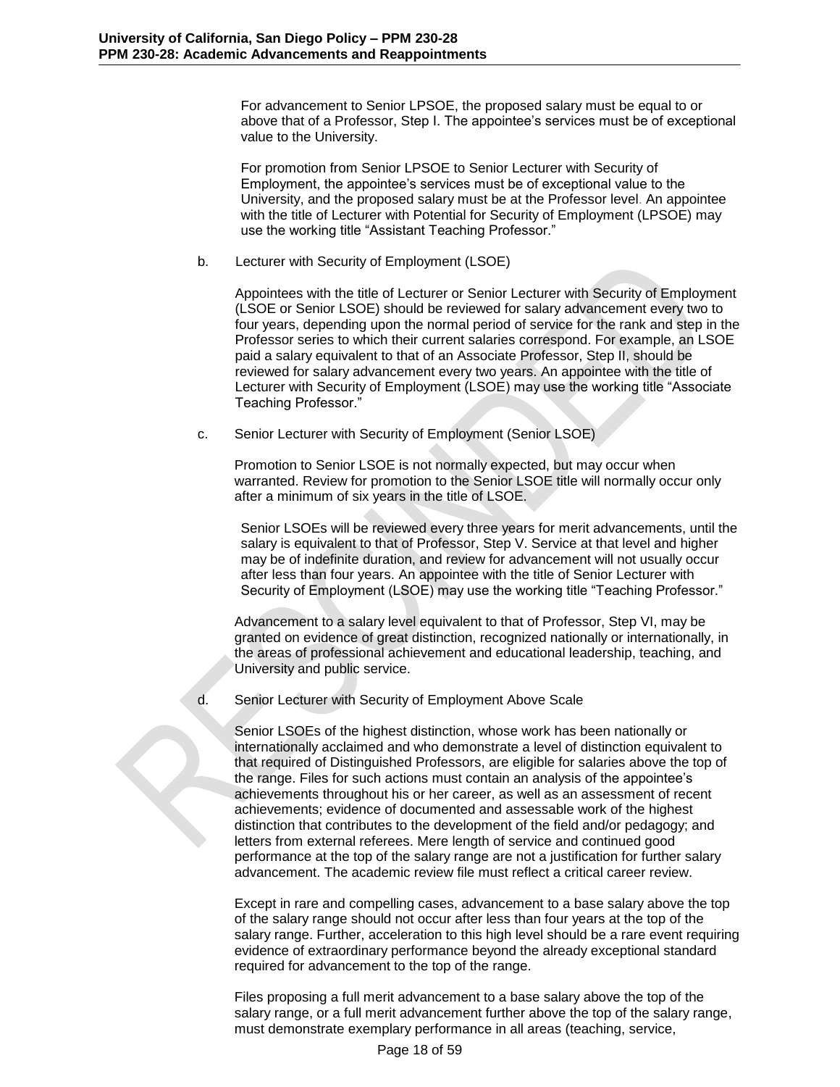For advancement to Senior LPSOE, the proposed salary must be equal to or above that of a Professor, Step I. The appointee's services must be of exceptional value to the University.

For promotion from Senior LPSOE to Senior Lecturer with Security of Employment, the appointee's services must be of exceptional value to the University, and the proposed salary must be at the Professor level. An appointee with the title of Lecturer with Potential for Security of Employment (LPSOE) may use the working title "Assistant Teaching Professor."

b. Lecturer with Security of Employment (LSOE)

Appointees with the title of Lecturer or Senior Lecturer with Security of Employment (LSOE or Senior LSOE) should be reviewed for salary advancement every two to four years, depending upon the normal period of service for the rank and step in the Professor series to which their current salaries correspond. For example, an LSOE paid a salary equivalent to that of an Associate Professor, Step II, should be reviewed for salary advancement every two years. An appointee with the title of Lecturer with Security of Employment (LSOE) may use the working title "Associate Teaching Professor."

c. Senior Lecturer with Security of Employment (Senior LSOE)

Promotion to Senior LSOE is not normally expected, but may occur when warranted. Review for promotion to the Senior LSOE title will normally occur only after a minimum of six years in the title of LSOE.

Senior LSOEs will be reviewed every three years for merit advancements, until the salary is equivalent to that of Professor, Step V. Service at that level and higher may be of indefinite duration, and review for advancement will not usually occur after less than four years. An appointee with the title of Senior Lecturer with Security of Employment (LSOE) may use the working title "Teaching Professor."

Advancement to a salary level equivalent to that of Professor, Step VI, may be granted on evidence of great distinction, recognized nationally or internationally, in the areas of professional achievement and educational leadership, teaching, and University and public service.

d. Senior Lecturer with Security of Employment Above Scale

Senior LSOEs of the highest distinction, whose work has been nationally or internationally acclaimed and who demonstrate a level of distinction equivalent to that required of Distinguished Professors, are eligible for salaries above the top of the range. Files for such actions must contain an analysis of the appointee's achievements throughout his or her career, as well as an assessment of recent achievements; evidence of documented and assessable work of the highest distinction that contributes to the development of the field and/or pedagogy; and letters from external referees. Mere length of service and continued good performance at the top of the salary range are not a justification for further salary advancement. The academic review file must reflect a critical career review.

Except in rare and compelling cases, advancement to a base salary above the top of the salary range should not occur after less than four years at the top of the salary range. Further, acceleration to this high level should be a rare event requiring evidence of extraordinary performance beyond the already exceptional standard required for advancement to the top of the range.

Files proposing a full merit advancement to a base salary above the top of the salary range, or a full merit advancement further above the top of the salary range, must demonstrate exemplary performance in all areas (teaching, service,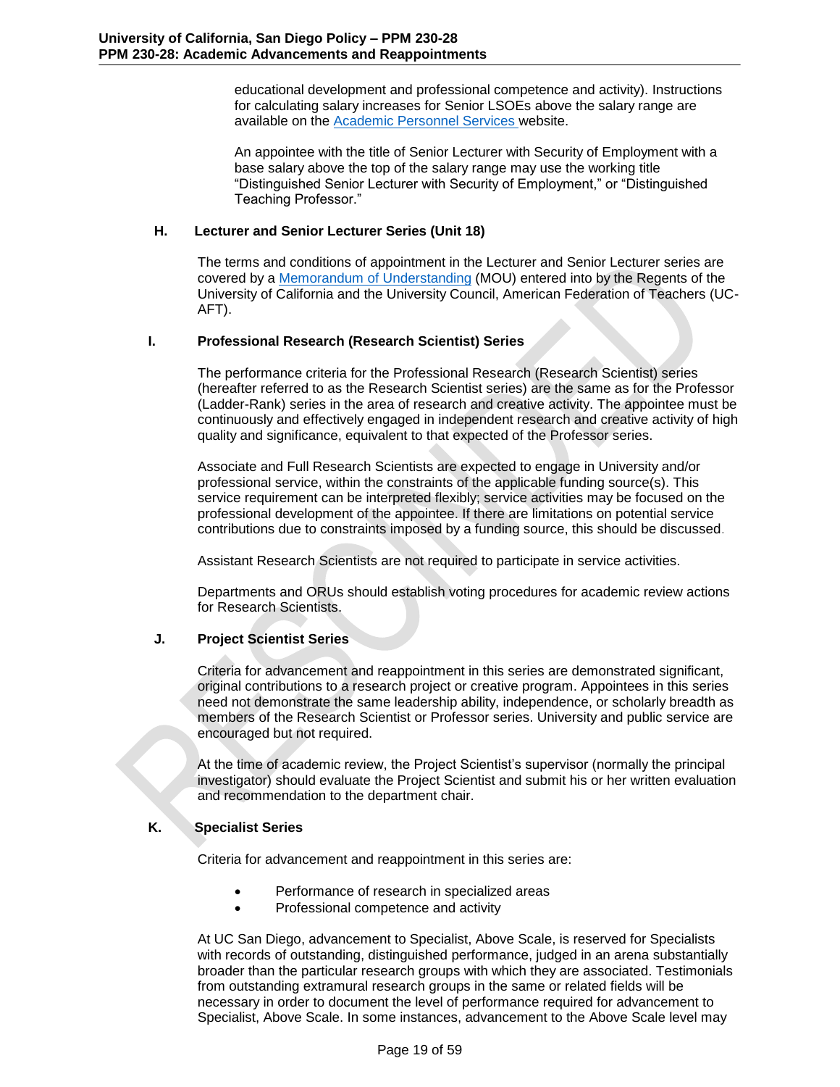educational development and professional competence and activity). Instructions for calculating salary increases for Senior LSOEs above the salary range are available on the [Academic Personnel Services w](http://academicaffairs.ucsd.edu/aps/)ebsite.

An appointee with the title of Senior Lecturer with Security of Employment with a base salary above the top of the salary range may use the working title "Distinguished Senior Lecturer with Security of Employment," or "Distinguished Teaching Professor."

## **H. Lecturer and Senior Lecturer Series (Unit 18)**

<span id="page-18-0"></span>The terms and conditions of appointment in the Lecturer and Senior Lecturer series are covered by a [Memorandum of Understanding](http://atyourservice.ucop.edu/employees/policies_employee_labor_relations/collective_bargaining_units/nonsenateinstructional_nsi/agreement.html) (MOU) entered into by the Regents of the University of California and the University Council, American Federation of Teachers (UC-AFT).

## **I. Professional Research (Research Scientist) Series**

<span id="page-18-1"></span>The performance criteria for the Professional Research (Research Scientist) series (hereafter referred to as the Research Scientist series) are the same as for the Professor (Ladder-Rank) series in the area of research and creative activity. The appointee must be continuously and effectively engaged in independent research and creative activity of high quality and significance, equivalent to that expected of the Professor series.

Associate and Full Research Scientists are expected to engage in University and/or professional service, within the constraints of the applicable funding source(s). This service requirement can be interpreted flexibly; service activities may be focused on the professional development of the appointee. If there are limitations on potential service contributions due to constraints imposed by a funding source, this should be discussed.

Assistant Research Scientists are not required to participate in service activities.

Departments and ORUs should establish voting procedures for academic review actions for Research Scientists.

# **J. Project Scientist Series**

<span id="page-18-2"></span>Criteria for advancement and reappointment in this series are demonstrated significant, original contributions to a research project or creative program. Appointees in this series need not demonstrate the same leadership ability, independence, or scholarly breadth as members of the Research Scientist or Professor series. University and public service are encouraged but not required.

At the time of academic review, the Project Scientist's supervisor (normally the principal investigator) should evaluate the Project Scientist and submit his or her written evaluation and recommendation to the department chair.

# **K. Specialist Series**

<span id="page-18-3"></span>Criteria for advancement and reappointment in this series are:

- Performance of research in specialized areas
- Professional competence and activity

At UC San Diego, advancement to Specialist, Above Scale, is reserved for Specialists with records of outstanding, distinguished performance, judged in an arena substantially broader than the particular research groups with which they are associated. Testimonials from outstanding extramural research groups in the same or related fields will be necessary in order to document the level of performance required for advancement to Specialist, Above Scale. In some instances, advancement to the Above Scale level may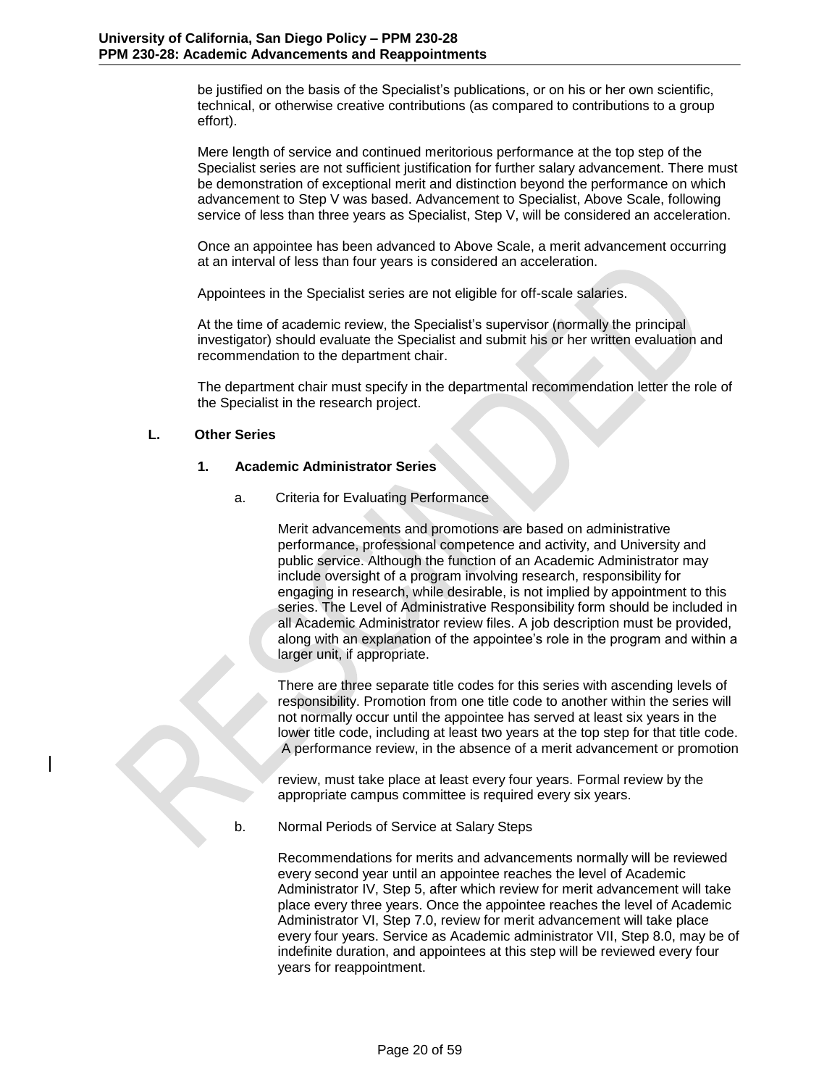be justified on the basis of the Specialist's publications, or on his or her own scientific, technical, or otherwise creative contributions (as compared to contributions to a group effort).

Mere length of service and continued meritorious performance at the top step of the Specialist series are not sufficient justification for further salary advancement. There must be demonstration of exceptional merit and distinction beyond the performance on which advancement to Step V was based. Advancement to Specialist, Above Scale, following service of less than three years as Specialist, Step V, will be considered an acceleration.

Once an appointee has been advanced to Above Scale, a merit advancement occurring at an interval of less than four years is considered an acceleration.

Appointees in the Specialist series are not eligible for off-scale salaries.

At the time of academic review, the Specialist's supervisor (normally the principal investigator) should evaluate the Specialist and submit his or her written evaluation and recommendation to the department chair.

The department chair must specify in the departmental recommendation letter the role of the Specialist in the research project.

## **L. Other Series**

### <span id="page-19-0"></span>**1. Academic Administrator Series**

<span id="page-19-1"></span>a. Criteria for Evaluating Performance

Merit advancements and promotions are based on administrative performance, professional competence and activity, and University and public service. Although the function of an Academic Administrator may include oversight of a program involving research, responsibility for engaging in research, while desirable, is not implied by appointment to this series. The Level of Administrative Responsibility form should be included in all Academic Administrator review files. A job description must be provided, along with an explanation of the appointee's role in the program and within a larger unit, if appropriate.

There are three separate title codes for this series with ascending levels of responsibility. Promotion from one title code to another within the series will not normally occur until the appointee has served at least six years in the lower title code, including at least two years at the top step for that title code. A performance review, in the absence of a merit advancement or promotion

review, must take place at least every four years. Formal review by the appropriate campus committee is required every six years.

b. Normal Periods of Service at Salary Steps

Recommendations for merits and advancements normally will be reviewed every second year until an appointee reaches the level of Academic Administrator IV, Step 5, after which review for merit advancement will take place every three years. Once the appointee reaches the level of Academic Administrator VI, Step 7.0, review for merit advancement will take place every four years. Service as Academic administrator VII, Step 8.0, may be of indefinite duration, and appointees at this step will be reviewed every four years for reappointment.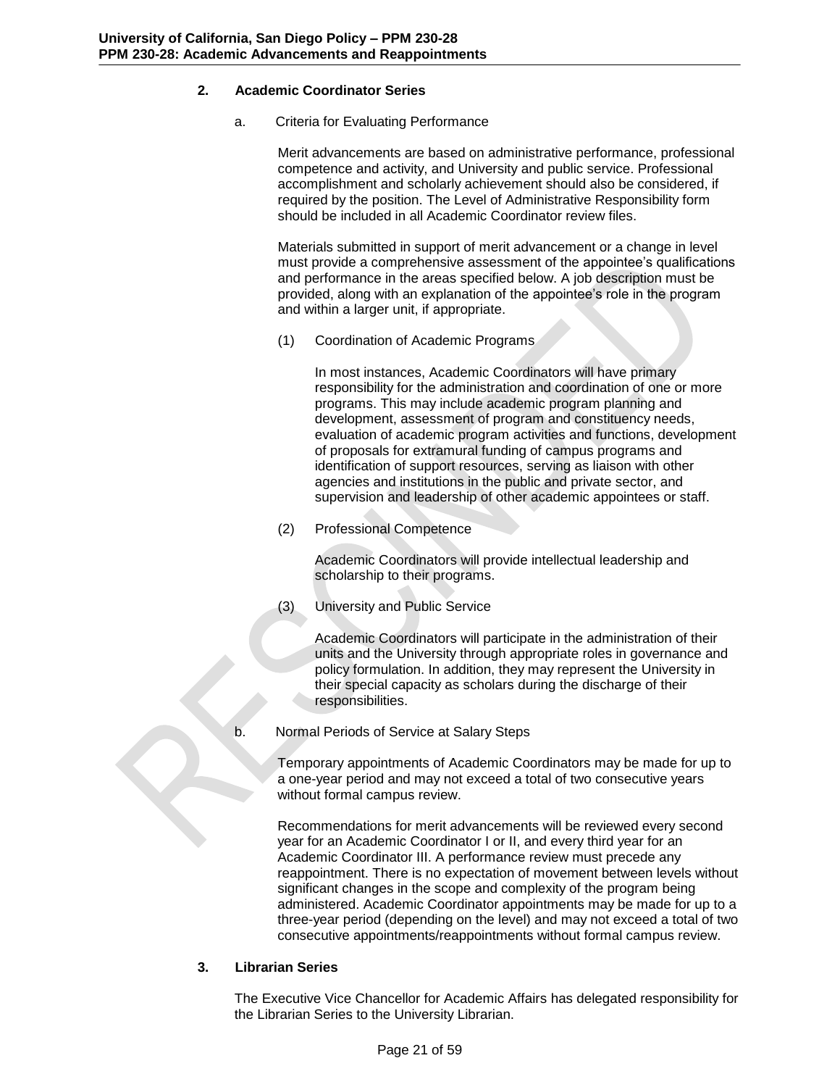# **2. Academic Coordinator Series**

<span id="page-20-0"></span>a. Criteria for Evaluating Performance

Merit advancements are based on administrative performance, professional competence and activity, and University and public service. Professional accomplishment and scholarly achievement should also be considered, if required by the position. The Level of Administrative Responsibility form should be included in all Academic Coordinator review files.

Materials submitted in support of merit advancement or a change in level must provide a comprehensive assessment of the appointee's qualifications and performance in the areas specified below. A job description must be provided, along with an explanation of the appointee's role in the program and within a larger unit, if appropriate.

(1) Coordination of Academic Programs

In most instances, Academic Coordinators will have primary responsibility for the administration and coordination of one or more programs. This may include academic program planning and development, assessment of program and constituency needs, evaluation of academic program activities and functions, development of proposals for extramural funding of campus programs and identification of support resources, serving as liaison with other agencies and institutions in the public and private sector, and supervision and leadership of other academic appointees or staff.

(2) Professional Competence

Academic Coordinators will provide intellectual leadership and scholarship to their programs.

(3) University and Public Service

Academic Coordinators will participate in the administration of their units and the University through appropriate roles in governance and policy formulation. In addition, they may represent the University in their special capacity as scholars during the discharge of their responsibilities.

b. Normal Periods of Service at Salary Steps

Temporary appointments of Academic Coordinators may be made for up to a one-year period and may not exceed a total of two consecutive years without formal campus review.

Recommendations for merit advancements will be reviewed every second year for an Academic Coordinator I or II, and every third year for an Academic Coordinator III. A performance review must precede any reappointment. There is no expectation of movement between levels without significant changes in the scope and complexity of the program being administered. Academic Coordinator appointments may be made for up to a three-year period (depending on the level) and may not exceed a total of two consecutive appointments/reappointments without formal campus review.

# **3. Librarian Series**

<span id="page-20-1"></span>The Executive Vice Chancellor for Academic Affairs has delegated responsibility for the Librarian Series to the University Librarian.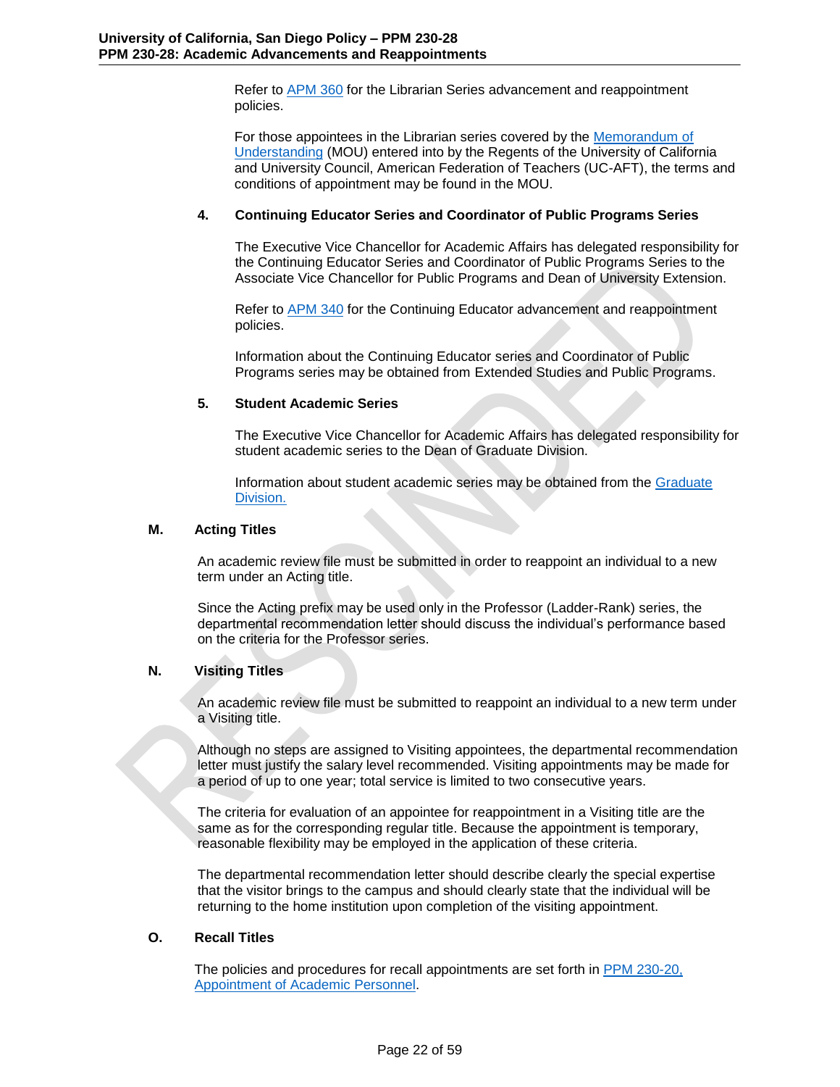Refer to [APM 360](http://www.ucop.edu/academic-personnel/_files/apm/apm-360.pdf) for the Librarian Series advancement and reappointment policies.

For those appointees in the Librarian series covered by the [Memorandum of](http://atyourservice.ucop.edu/employees/policies_employee_labor_relations/collective_bargaining_units/librarians_lib/agreement.html)  [Understanding](http://atyourservice.ucop.edu/employees/policies_employee_labor_relations/collective_bargaining_units/librarians_lib/agreement.html) (MOU) entered into by the Regents of the University of California and University Council, American Federation of Teachers (UC-AFT), the terms and conditions of appointment may be found in the MOU.

### **4. Continuing Educator Series and Coordinator of Public Programs Series**

<span id="page-21-0"></span>The Executive Vice Chancellor for Academic Affairs has delegated responsibility for the Continuing Educator Series and Coordinator of Public Programs Series to the Associate Vice Chancellor for Public Programs and Dean of University Extension.

Refer to **APM 340** for the Continuing Educator advancement and reappointment policies.

Information about the Continuing Educator series and Coordinator of Public Programs series may be obtained from Extended Studies and Public Programs.

### **5. Student Academic Series**

The Executive Vice Chancellor for Academic Affairs has delegated responsibility for student academic series to the Dean of Graduate Division.

Information about student academic series may be obtained from the [Graduate](http://grad.ucsd.edu/)  [Division.](http://grad.ucsd.edu/)

### **M. Acting Titles**

<span id="page-21-1"></span>An academic review file must be submitted in order to reappoint an individual to a new term under an Acting title.

Since the Acting prefix may be used only in the Professor (Ladder-Rank) series, the departmental recommendation letter should discuss the individual's performance based on the criteria for the Professor series.

### **N. Visiting Titles**

<span id="page-21-2"></span>An academic review file must be submitted to reappoint an individual to a new term under a Visiting title.

Although no steps are assigned to Visiting appointees, the departmental recommendation letter must justify the salary level recommended. Visiting appointments may be made for a period of up to one year; total service is limited to two consecutive years.

The criteria for evaluation of an appointee for reappointment in a Visiting title are the same as for the corresponding regular title. Because the appointment is temporary, reasonable flexibility may be employed in the application of these criteria.

The departmental recommendation letter should describe clearly the special expertise that the visitor brings to the campus and should clearly state that the individual will be returning to the home institution upon completion of the visiting appointment.

### **O. Recall Titles**

<span id="page-21-3"></span>The policies and procedures for recall appointments are set forth in [PPM 230-20,](http://adminrecords.ucsd.edu/PPM/docs/230-20.pdf)  [Appointment of Academic Personnel.](http://adminrecords.ucsd.edu/PPM/docs/230-20.pdf)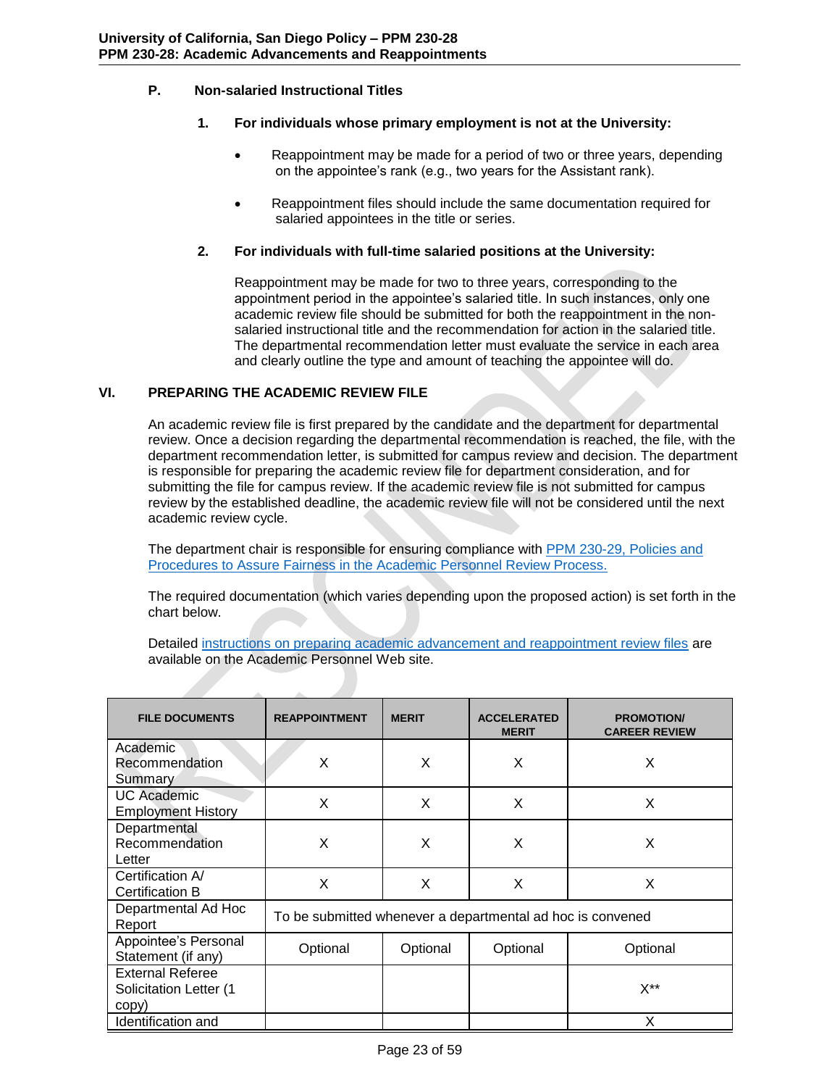# **P. Non-salaried Instructional Titles**

# <span id="page-22-0"></span>**1. For individuals whose primary employment is not at the University:**

- <span id="page-22-1"></span> Reappointment may be made for a period of two or three years, depending on the appointee's rank (e.g., two years for the Assistant rank).
- Reappointment files should include the same documentation required for salaried appointees in the title or series.

# **2. For individuals with full-time salaried positions at the University:**

<span id="page-22-2"></span>Reappointment may be made for two to three years, corresponding to the appointment period in the appointee's salaried title. In such instances, only one academic review file should be submitted for both the reappointment in the nonsalaried instructional title and the recommendation for action in the salaried title. The departmental recommendation letter must evaluate the service in each area and clearly outline the type and amount of teaching the appointee will do.

# **VI. PREPARING THE ACADEMIC REVIEW FILE**

<span id="page-22-3"></span>An academic review file is first prepared by the candidate and the department for departmental review. Once a decision regarding the departmental recommendation is reached, the file, with the department recommendation letter, is submitted for campus review and decision. The department is responsible for preparing the academic review file for department consideration, and for submitting the file for campus review. If the academic review file is not submitted for campus review by the established deadline, the academic review file will not be considered until the next academic review cycle.

The department chair is responsible for ensuring compliance with [PPM 230-29, Policies and](http://adminrecords.ucsd.edu/PPM/docs/230-29.pdf)  [Procedures to Assure Fairness in the Academic Personnel Review Process.](http://adminrecords.ucsd.edu/PPM/docs/230-29.pdf)

The required documentation (which varies depending upon the proposed action) is set forth in the chart below.

Detailed [instructions on preparing academic advancement and reappointment review files](http://academicaffairs.ucsd.edu/aps/advance-train/appt-rev-process.html) are available on the Academic Personnel Web site.

| <b>FILE DOCUMENTS</b>                                      | <b>REAPPOINTMENT</b>                                       | <b>MERIT</b> | <b>ACCELERATED</b><br><b>MERIT</b> | <b>PROMOTION/</b><br><b>CAREER REVIEW</b> |
|------------------------------------------------------------|------------------------------------------------------------|--------------|------------------------------------|-------------------------------------------|
| Academic<br>Recommendation<br>Summary                      | X                                                          | X            | X                                  | X                                         |
| <b>UC</b> Academic<br><b>Employment History</b>            | X                                                          | X            | X                                  | X                                         |
| Departmental<br>Recommendation<br>Letter                   | X                                                          | X            | X                                  | X                                         |
| Certification A/<br><b>Certification B</b>                 | X                                                          | X            | X                                  | X                                         |
| Departmental Ad Hoc<br>Report                              | To be submitted whenever a departmental ad hoc is convened |              |                                    |                                           |
| Appointee's Personal<br>Statement (if any)                 | Optional                                                   | Optional     | Optional                           | Optional                                  |
| <b>External Referee</b><br>Solicitation Letter (1<br>copy) |                                                            |              |                                    | X**                                       |
| Identification and                                         |                                                            |              |                                    |                                           |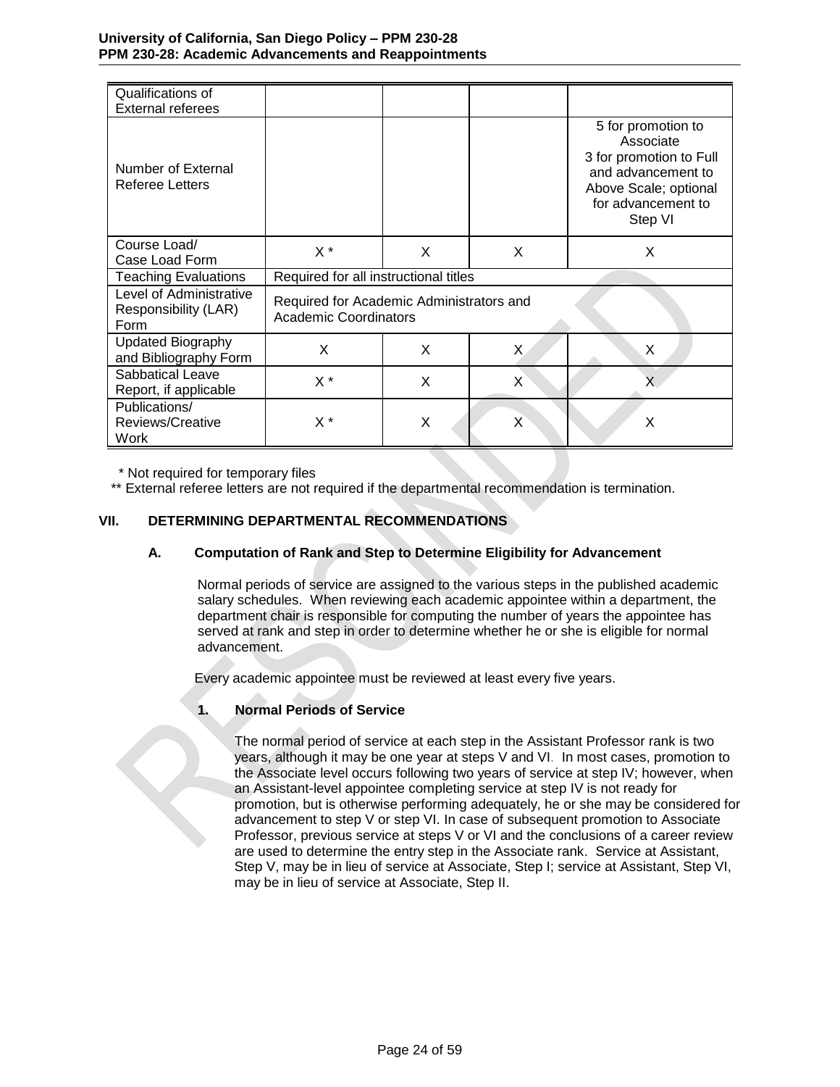| Qualifications of<br><b>External referees</b>           |                                                                          |   |    |                                                                                                                                            |
|---------------------------------------------------------|--------------------------------------------------------------------------|---|----|--------------------------------------------------------------------------------------------------------------------------------------------|
| Number of External<br><b>Referee Letters</b>            |                                                                          |   |    | 5 for promotion to<br>Associate<br>3 for promotion to Full<br>and advancement to<br>Above Scale; optional<br>for advancement to<br>Step VI |
| Course Load/<br>Case Load Form                          | $X^*$                                                                    | X | X  | X                                                                                                                                          |
| <b>Teaching Evaluations</b>                             | Required for all instructional titles                                    |   |    |                                                                                                                                            |
| Level of Administrative<br>Responsibility (LAR)<br>Form | Required for Academic Administrators and<br><b>Academic Coordinators</b> |   |    |                                                                                                                                            |
| <b>Updated Biography</b><br>and Bibliography Form       | X                                                                        | X | X. | X                                                                                                                                          |
| Sabbatical Leave<br>Report, if applicable               | $X^*$                                                                    | X | X  |                                                                                                                                            |
| Publications/<br>Reviews/Creative<br>Work               | $X^*$                                                                    | X | X  | X                                                                                                                                          |

\* Not required for temporary files

\*\* External referee letters are not required if the departmental recommendation is termination.

## **VII. DETERMINING DEPARTMENTAL RECOMMENDATIONS**

### <span id="page-23-0"></span>**A. Computation of Rank and Step to Determine Eligibility for Advancement**

<span id="page-23-1"></span>Normal periods of service are assigned to the various steps in the published academic salary schedules. When reviewing each academic appointee within a department, the department chair is responsible for computing the number of years the appointee has served at rank and step in order to determine whether he or she is eligible for normal advancement.

Every academic appointee must be reviewed at least every five years.

### **1. Normal Periods of Service**

<span id="page-23-2"></span>The normal period of service at each step in the Assistant Professor rank is two years, although it may be one year at steps V and VI. In most cases, promotion to the Associate level occurs following two years of service at step IV; however, when an Assistant-level appointee completing service at step IV is not ready for promotion, but is otherwise performing adequately, he or she may be considered for advancement to step V or step VI. In case of subsequent promotion to Associate Professor, previous service at steps V or VI and the conclusions of a career review are used to determine the entry step in the Associate rank. Service at Assistant, Step V, may be in lieu of service at Associate, Step I; service at Assistant, Step VI, may be in lieu of service at Associate, Step II.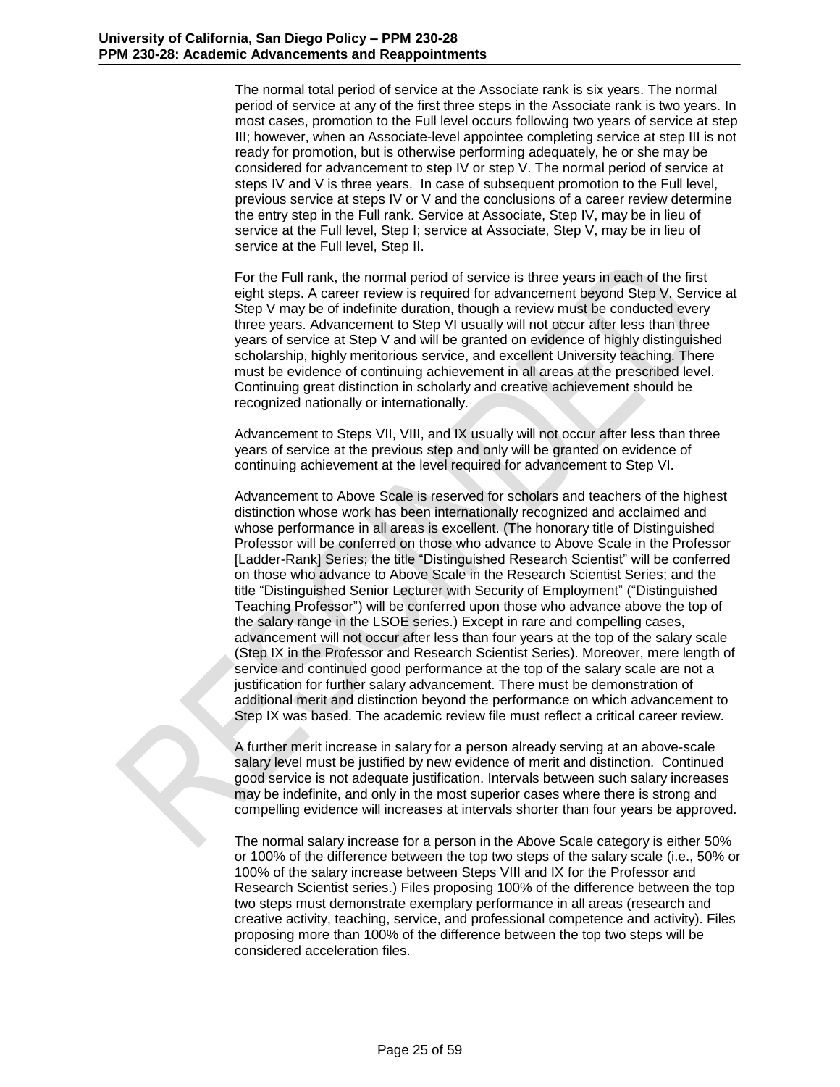The normal total period of service at the Associate rank is six years. The normal period of service at any of the first three steps in the Associate rank is two years. In most cases, promotion to the Full level occurs following two years of service at step III; however, when an Associate-level appointee completing service at step III is not ready for promotion, but is otherwise performing adequately, he or she may be considered for advancement to step IV or step V. The normal period of service at steps IV and V is three years. In case of subsequent promotion to the Full level, previous service at steps IV or V and the conclusions of a career review determine the entry step in the Full rank. Service at Associate, Step IV, may be in lieu of service at the Full level, Step I; service at Associate, Step V, may be in lieu of service at the Full level, Step II.

For the Full rank, the normal period of service is three years in each of the first eight steps. A career review is required for advancement beyond Step V. Service at Step V may be of indefinite duration, though a review must be conducted every three years. Advancement to Step VI usually will not occur after less than three years of service at Step V and will be granted on evidence of highly distinguished scholarship, highly meritorious service, and excellent University teaching. There must be evidence of continuing achievement in all areas at the prescribed level. Continuing great distinction in scholarly and creative achievement should be recognized nationally or internationally.

Advancement to Steps VII, VIII, and IX usually will not occur after less than three years of service at the previous step and only will be granted on evidence of continuing achievement at the level required for advancement to Step VI.

Advancement to Above Scale is reserved for scholars and teachers of the highest distinction whose work has been internationally recognized and acclaimed and whose performance in all areas is excellent. (The honorary title of Distinguished Professor will be conferred on those who advance to Above Scale in the Professor [Ladder-Rank] Series; the title "Distinguished Research Scientist" will be conferred on those who advance to Above Scale in the Research Scientist Series; and the title "Distinguished Senior Lecturer with Security of Employment" ("Distinguished Teaching Professor") will be conferred upon those who advance above the top of the salary range in the LSOE series.) Except in rare and compelling cases, advancement will not occur after less than four years at the top of the salary scale (Step IX in the Professor and Research Scientist Series). Moreover, mere length of service and continued good performance at the top of the salary scale are not a justification for further salary advancement. There must be demonstration of additional merit and distinction beyond the performance on which advancement to Step IX was based. The academic review file must reflect a critical career review.

A further merit increase in salary for a person already serving at an above-scale salary level must be justified by new evidence of merit and distinction. Continued good service is not adequate justification. Intervals between such salary increases may be indefinite, and only in the most superior cases where there is strong and compelling evidence will increases at intervals shorter than four years be approved.

The normal salary increase for a person in the Above Scale category is either 50% or 100% of the difference between the top two steps of the salary scale (i.e., 50% or 100% of the salary increase between Steps VIII and IX for the Professor and Research Scientist series.) Files proposing 100% of the difference between the top two steps must demonstrate exemplary performance in all areas (research and creative activity, teaching, service, and professional competence and activity). Files proposing more than 100% of the difference between the top two steps will be considered acceleration files.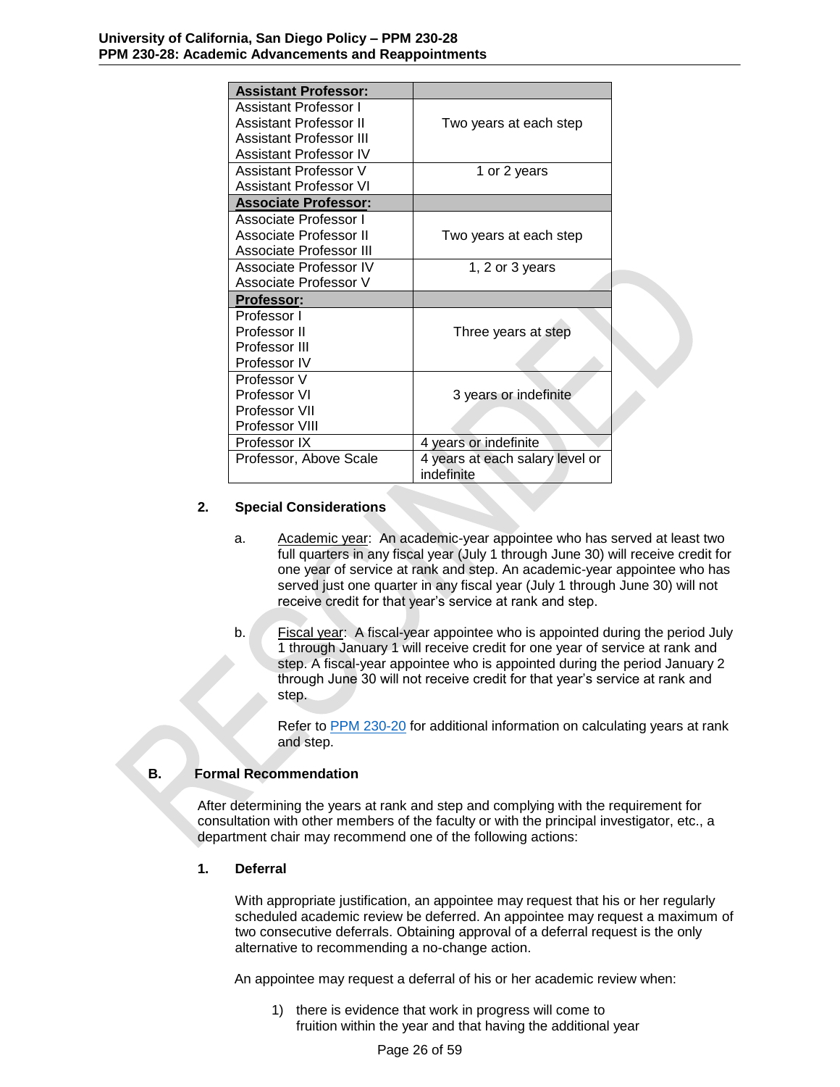| <b>Assistant Professor:</b> |                                               |
|-----------------------------|-----------------------------------------------|
| Assistant Professor I       |                                               |
| Assistant Professor II      | Two years at each step                        |
| Assistant Professor III     |                                               |
| Assistant Professor IV      |                                               |
| Assistant Professor V       | 1 or 2 years                                  |
| Assistant Professor VI      |                                               |
| <b>Associate Professor:</b> |                                               |
| Associate Professor I       |                                               |
| Associate Professor II      | Two years at each step                        |
| Associate Professor III     |                                               |
| Associate Professor IV      | 1, 2 or 3 years                               |
| Associate Professor V       |                                               |
| <b>Professor:</b>           |                                               |
| Professor I                 |                                               |
| Professor II                | Three years at step                           |
| Professor III               |                                               |
| Professor IV                |                                               |
| Professor V                 |                                               |
| Professor VI                | 3 years or indefinite                         |
| Professor VII               |                                               |
| Professor VIII              |                                               |
| Professor IX                | 4 years or indefinite                         |
| Professor, Above Scale      | 4 years at each salary level or<br>indefinite |

# **2. Special Considerations**

- <span id="page-25-0"></span>a. Academic year: An academic-year appointee who has served at least two full quarters in any fiscal year (July 1 through June 30) will receive credit for one year of service at rank and step. An academic-year appointee who has served just one quarter in any fiscal year (July 1 through June 30) will not receive credit for that year's service at rank and step.
- b. Fiscal year: A fiscal-year appointee who is appointed during the period July 1 through January 1 will receive credit for one year of service at rank and step. A fiscal-year appointee who is appointed during the period January 2 through June 30 will not receive credit for that year's service at rank and step.

Refer to [PPM 230-20](http://adminrecords.ucsd.edu/PPM/docs/230-20.pdf) for additional information on calculating years at rank and step.

# **B. Formal Recommendation**

<span id="page-25-1"></span>After determining the years at rank and step and complying with the requirement for consultation with other members of the faculty or with the principal investigator, etc., a department chair may recommend one of the following actions:

# **1. Deferral**

<span id="page-25-2"></span>With appropriate justification, an appointee may request that his or her regularly scheduled academic review be deferred. An appointee may request a maximum of two consecutive deferrals. Obtaining approval of a deferral request is the only alternative to recommending a no-change action.

An appointee may request a deferral of his or her academic review when:

1) there is evidence that work in progress will come to fruition within the year and that having the additional year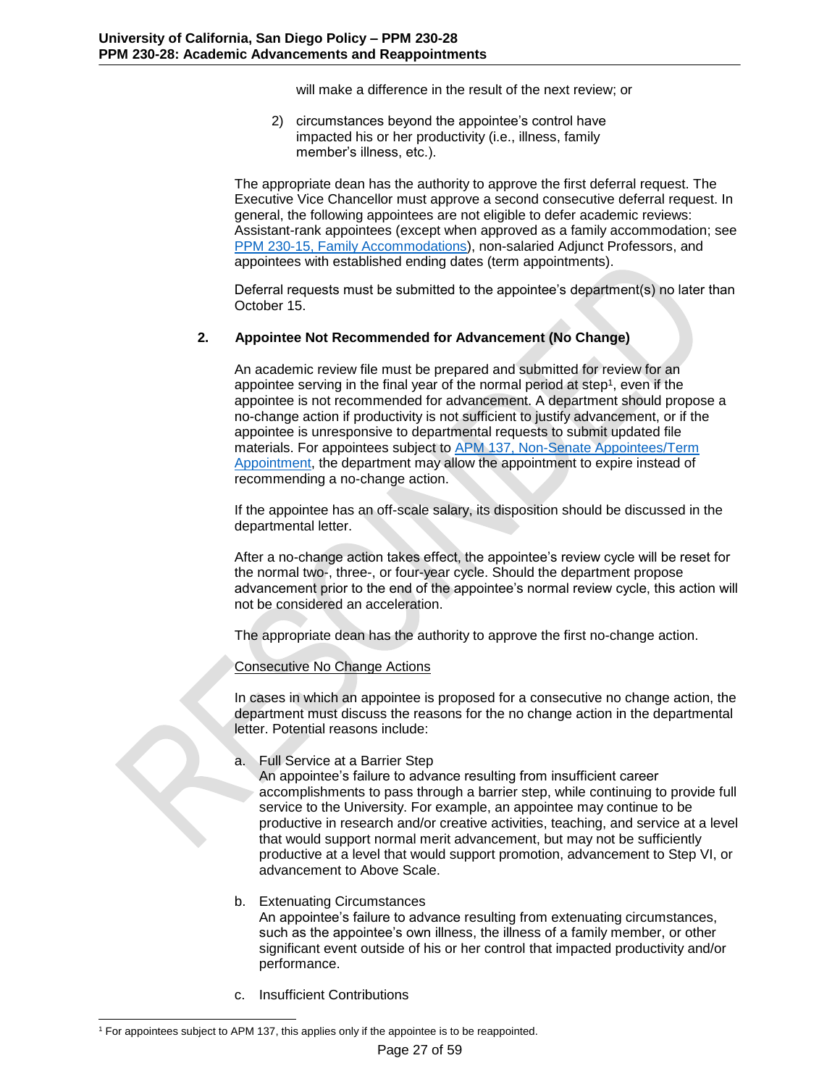will make a difference in the result of the next review; or

2) circumstances beyond the appointee's control have impacted his or her productivity (i.e., illness, family member's illness, etc.).

The appropriate dean has the authority to approve the first deferral request. The Executive Vice Chancellor must approve a second consecutive deferral request. In general, the following appointees are not eligible to defer academic reviews: Assistant-rank appointees (except when approved as a family accommodation; see [PPM 230-15, Family Accommodations\)](http://adminrecords.ucsd.edu/PPM/docs/230-15.pdf), non-salaried Adjunct Professors, and appointees with established ending dates (term appointments).

Deferral requests must be submitted to the appointee's department(s) no later than October 15.

## <span id="page-26-0"></span>**2. Appointee Not Recommended for Advancement (No Change)**

An academic review file must be prepared and submitted for review for an appointee serving in the final year of the normal period at step<sup>1</sup> , even if the appointee is not recommended for advancement. A department should propose a no-change action if productivity is not sufficient to justify advancement, or if the appointee is unresponsive to departmental requests to submit updated file materials. For appointees subject to [APM 137, Non-Senate Appointees/Term](http://www.ucop.edu/academic-personnel-programs/_files/apm/apm-137.pdf)  [Appointment,](http://www.ucop.edu/academic-personnel-programs/_files/apm/apm-137.pdf) the department may allow the appointment to expire instead of recommending a no-change action.

If the appointee has an off-scale salary, its disposition should be discussed in the departmental letter.

After a no-change action takes effect, the appointee's review cycle will be reset for the normal two-, three-, or four-year cycle. Should the department propose advancement prior to the end of the appointee's normal review cycle, this action will not be considered an acceleration.

The appropriate dean has the authority to approve the first no-change action.

### Consecutive No Change Actions

In cases in which an appointee is proposed for a consecutive no change action, the department must discuss the reasons for the no change action in the departmental letter. Potential reasons include:

a. Full Service at a Barrier Step

An appointee's failure to advance resulting from insufficient career accomplishments to pass through a barrier step, while continuing to provide full service to the University. For example, an appointee may continue to be productive in research and/or creative activities, teaching, and service at a level that would support normal merit advancement, but may not be sufficiently productive at a level that would support promotion, advancement to Step VI, or advancement to Above Scale.

### b. Extenuating Circumstances

An appointee's failure to advance resulting from extenuating circumstances, such as the appointee's own illness, the illness of a family member, or other significant event outside of his or her control that impacted productivity and/or performance.

c. Insufficient Contributions

l <sup>1</sup> For appointees subject to APM 137, this applies only if the appointee is to be reappointed.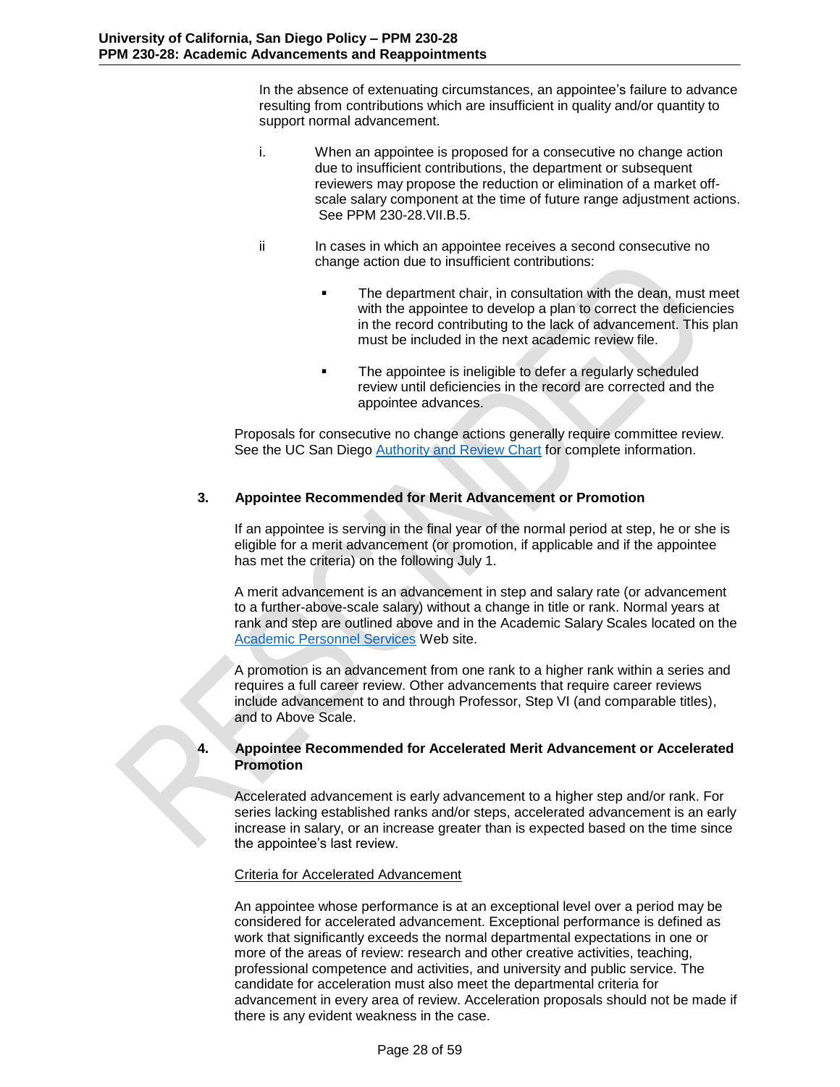In the absence of extenuating circumstances, an appointee's failure to advance resulting from contributions which are insufficient in quality and/or quantity to support normal advancement.

- i. When an appointee is proposed for a consecutive no change action due to insufficient contributions, the department or subsequent reviewers may propose the reduction or elimination of a market offscale salary component at the time of future range adjustment actions. See PPM 230-28.VII.B.5.
- ii In cases in which an appointee receives a second consecutive no change action due to insufficient contributions:
	- The department chair, in consultation with the dean, must meet with the appointee to develop a plan to correct the deficiencies in the record contributing to the lack of advancement. This plan must be included in the next academic review file.
	- The appointee is ineligible to defer a regularly scheduled review until deficiencies in the record are corrected and the appointee advances.

Proposals for consecutive no change actions generally require committee review. See the UC San Diego [Authority and Review Chart](http://academicaffairs.ucsd.edu/_files/aps/docs/AuthRevChart.pdf) for complete information.

# **3. Appointee Recommended for Merit Advancement or Promotion**

<span id="page-27-0"></span>If an appointee is serving in the final year of the normal period at step, he or she is eligible for a merit advancement (or promotion, if applicable and if the appointee has met the criteria) on the following July 1.

A merit advancement is an advancement in step and salary rate (or advancement to a further-above-scale salary) without a change in title or rank. Normal years at rank and step are outlined above and in the Academic Salary Scales located on the [Academic Personnel Services](http://academicaffairs.ucsd.edu/aps/compensation/salary-scales.html) Web site.

A promotion is an advancement from one rank to a higher rank within a series and requires a full career review. Other advancements that require career reviews include advancement to and through Professor, Step VI (and comparable titles), and to Above Scale.

# <span id="page-27-1"></span>**4. Appointee Recommended for Accelerated Merit Advancement or Accelerated Promotion**

Accelerated advancement is early advancement to a higher step and/or rank. For series lacking established ranks and/or steps, accelerated advancement is an early increase in salary, or an increase greater than is expected based on the time since the appointee's last review.

# Criteria for Accelerated Advancement

An appointee whose performance is at an exceptional level over a period may be considered for accelerated advancement. Exceptional performance is defined as work that significantly exceeds the normal departmental expectations in one or more of the areas of review: research and other creative activities, teaching, professional competence and activities, and university and public service. The candidate for acceleration must also meet the departmental criteria for advancement in every area of review. Acceleration proposals should not be made if there is any evident weakness in the case.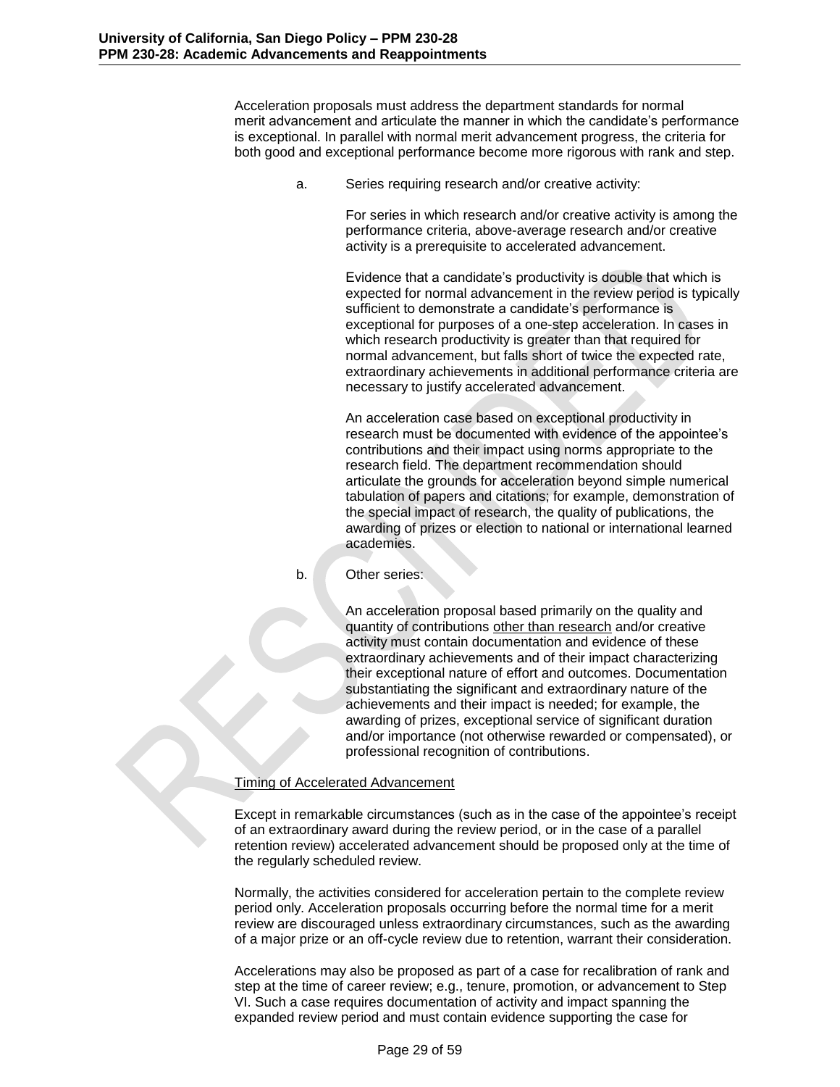Acceleration proposals must address the department standards for normal merit advancement and articulate the manner in which the candidate's performance is exceptional. In parallel with normal merit advancement progress, the criteria for both good and exceptional performance become more rigorous with rank and step.

a. Series requiring research and/or creative activity:

For series in which research and/or creative activity is among the performance criteria, above-average research and/or creative activity is a prerequisite to accelerated advancement.

Evidence that a candidate's productivity is double that which is expected for normal advancement in the review period is typically sufficient to demonstrate a candidate's performance is exceptional for purposes of a one-step acceleration. In cases in which research productivity is greater than that required for normal advancement, but falls short of twice the expected rate, extraordinary achievements in additional performance criteria are necessary to justify accelerated advancement.

An acceleration case based on exceptional productivity in research must be documented with evidence of the appointee's contributions and their impact using norms appropriate to the research field. The department recommendation should articulate the grounds for acceleration beyond simple numerical tabulation of papers and citations; for example, demonstration of the special impact of research, the quality of publications, the awarding of prizes or election to national or international learned academies.

b. Other series:

An acceleration proposal based primarily on the quality and quantity of contributions other than research and/or creative activity must contain documentation and evidence of these extraordinary achievements and of their impact characterizing their exceptional nature of effort and outcomes. Documentation substantiating the significant and extraordinary nature of the achievements and their impact is needed; for example, the awarding of prizes, exceptional service of significant duration and/or importance (not otherwise rewarded or compensated), or professional recognition of contributions.

### Timing of Accelerated Advancement

Except in remarkable circumstances (such as in the case of the appointee's receipt of an extraordinary award during the review period, or in the case of a parallel retention review) accelerated advancement should be proposed only at the time of the regularly scheduled review.

Normally, the activities considered for acceleration pertain to the complete review period only. Acceleration proposals occurring before the normal time for a merit review are discouraged unless extraordinary circumstances, such as the awarding of a major prize or an off-cycle review due to retention, warrant their consideration.

Accelerations may also be proposed as part of a case for recalibration of rank and step at the time of career review; e.g., tenure, promotion, or advancement to Step VI. Such a case requires documentation of activity and impact spanning the expanded review period and must contain evidence supporting the case for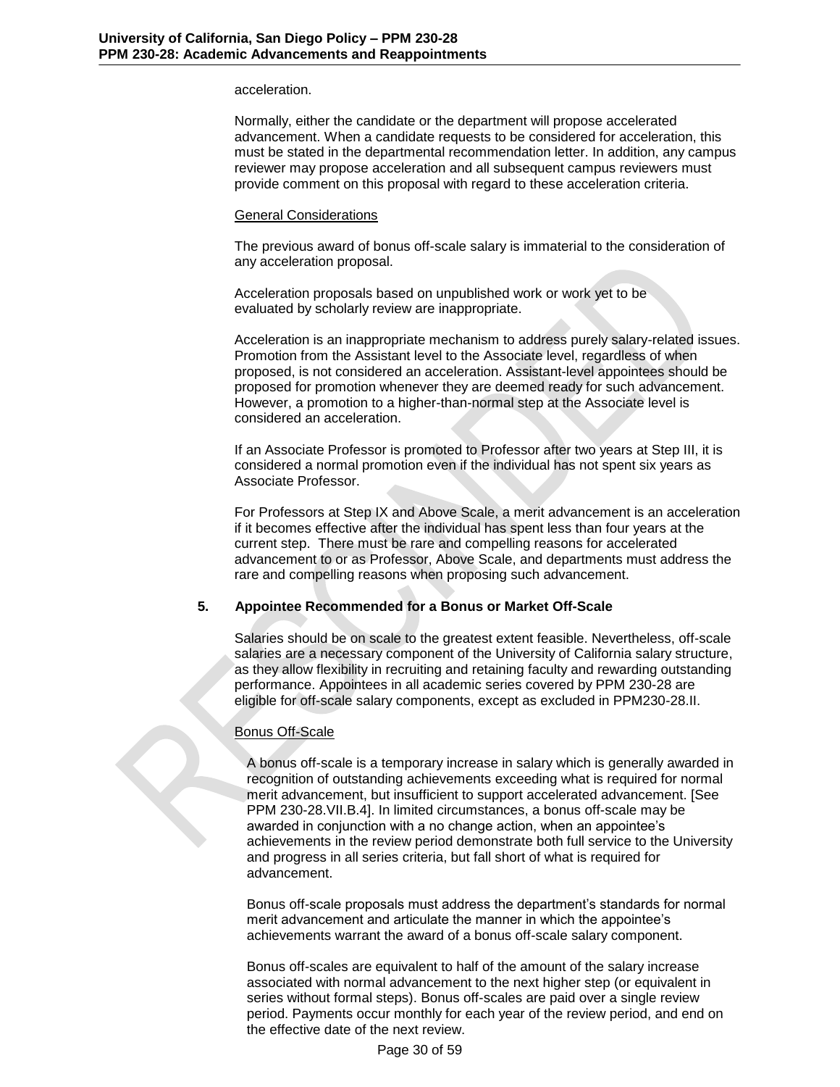### acceleration.

Normally, either the candidate or the department will propose accelerated advancement. When a candidate requests to be considered for acceleration, this must be stated in the departmental recommendation letter. In addition, any campus reviewer may propose acceleration and all subsequent campus reviewers must provide comment on this proposal with regard to these acceleration criteria.

### General Considerations

The previous award of bonus off-scale salary is immaterial to the consideration of any acceleration proposal.

Acceleration proposals based on unpublished work or work yet to be evaluated by scholarly review are inappropriate.

Acceleration is an inappropriate mechanism to address purely salary-related issues. Promotion from the Assistant level to the Associate level, regardless of when proposed, is not considered an acceleration. Assistant-level appointees should be proposed for promotion whenever they are deemed ready for such advancement. However, a promotion to a higher-than-normal step at the Associate level is considered an acceleration.

If an Associate Professor is promoted to Professor after two years at Step III, it is considered a normal promotion even if the individual has not spent six years as Associate Professor.

For Professors at Step IX and Above Scale, a merit advancement is an acceleration if it becomes effective after the individual has spent less than four years at the current step. There must be rare and compelling reasons for accelerated advancement to or as Professor, Above Scale, and departments must address the rare and compelling reasons when proposing such advancement.

### **5. Appointee Recommended for a Bonus or Market Off-Scale**

<span id="page-29-0"></span>Salaries should be on scale to the greatest extent feasible. Nevertheless, off-scale salaries are a necessary component of the University of California salary structure, as they allow flexibility in recruiting and retaining faculty and rewarding outstanding performance. Appointees in all academic series covered by PPM 230-28 are eligible for off-scale salary components, except as excluded in PPM230-28.II.

### Bonus Off-Scale

A bonus off-scale is a temporary increase in salary which is generally awarded in recognition of outstanding achievements exceeding what is required for normal merit advancement, but insufficient to support accelerated advancement. [See PPM 230-28.VII.B.4]. In limited circumstances, a bonus off-scale may be awarded in conjunction with a no change action, when an appointee's achievements in the review period demonstrate both full service to the University and progress in all series criteria, but fall short of what is required for advancement.

Bonus off-scale proposals must address the department's standards for normal merit advancement and articulate the manner in which the appointee's achievements warrant the award of a bonus off-scale salary component.

Bonus off-scales are equivalent to half of the amount of the salary increase associated with normal advancement to the next higher step (or equivalent in series without formal steps). Bonus off-scales are paid over a single review period. Payments occur monthly for each year of the review period, and end on the effective date of the next review.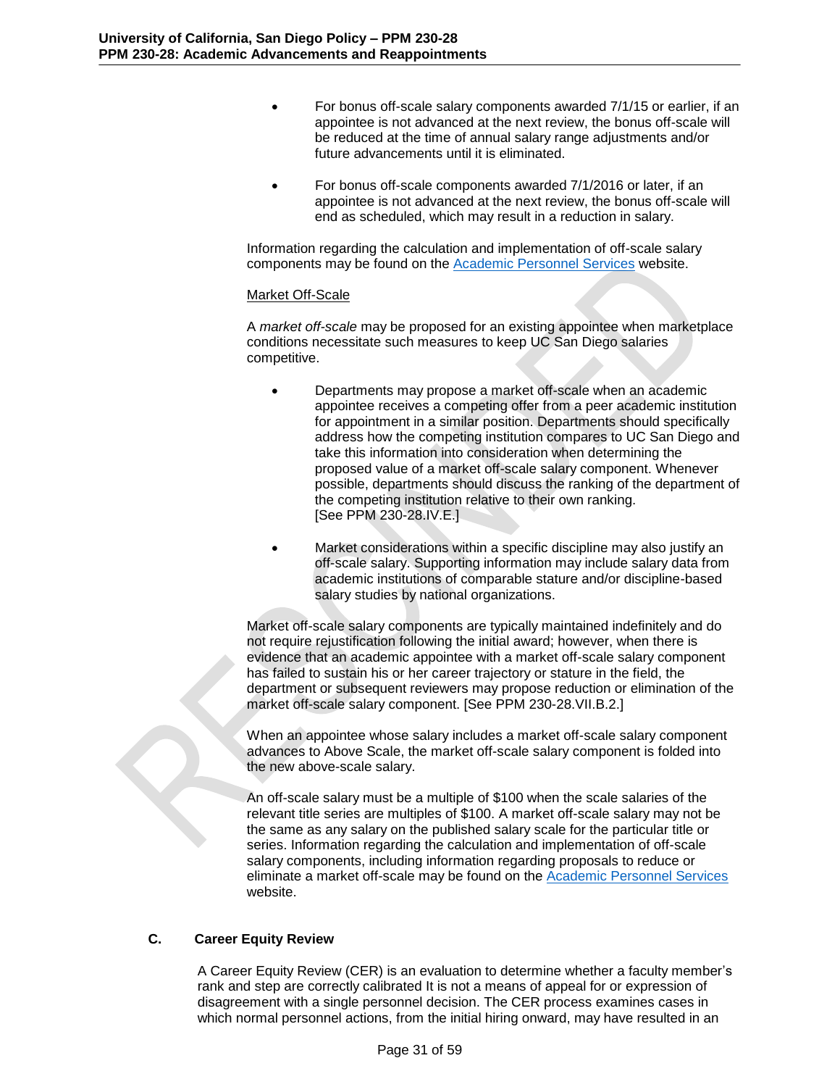- For bonus off-scale salary components awarded 7/1/15 or earlier, if an appointee is not advanced at the next review, the bonus off-scale will be reduced at the time of annual salary range adjustments and/or future advancements until it is eliminated.
- For bonus off-scale components awarded 7/1/2016 or later, if an appointee is not advanced at the next review, the bonus off-scale will end as scheduled, which may result in a reduction in salary.

Information regarding the calculation and implementation of off-scale salary components may be found on the [Academic Personnel Services](http://academicaffairs.ucsd.edu/aps/useful-links-staff.html) website.

### Market Off-Scale

A *market off-scale* may be proposed for an existing appointee when marketplace conditions necessitate such measures to keep UC San Diego salaries competitive.

- Departments may propose a market off-scale when an academic appointee receives a competing offer from a peer academic institution for appointment in a similar position. Departments should specifically address how the competing institution compares to UC San Diego and take this information into consideration when determining the proposed value of a market off-scale salary component. Whenever possible, departments should discuss the ranking of the department of the competing institution relative to their own ranking. [See PPM 230-28.IV.E.]
- Market considerations within a specific discipline may also justify an off-scale salary. Supporting information may include salary data from academic institutions of comparable stature and/or discipline-based salary studies by national organizations.

Market off-scale salary components are typically maintained indefinitely and do not require rejustification following the initial award; however, when there is evidence that an academic appointee with a market off-scale salary component has failed to sustain his or her career trajectory or stature in the field, the department or subsequent reviewers may propose reduction or elimination of the market off-scale salary component. [See PPM 230-28.VII.B.2.]

When an appointee whose salary includes a market off-scale salary component advances to Above Scale, the market off-scale salary component is folded into the new above-scale salary.

An off-scale salary must be a multiple of \$100 when the scale salaries of the relevant title series are multiples of \$100. A market off-scale salary may not be the same as any salary on the published salary scale for the particular title or series. Information regarding the calculation and implementation of off-scale salary components, including information regarding proposals to reduce or eliminate a market off-scale may be found on the [Academic Personnel Services](http://academicaffairs.ucsd.edu/aps/useful-links-staff.html) website.

# **C. Career Equity Review**

<span id="page-30-0"></span>A Career Equity Review (CER) is an evaluation to determine whether a faculty member's rank and step are correctly calibrated It is not a means of appeal for or expression of disagreement with a single personnel decision. The CER process examines cases in which normal personnel actions, from the initial hiring onward, may have resulted in an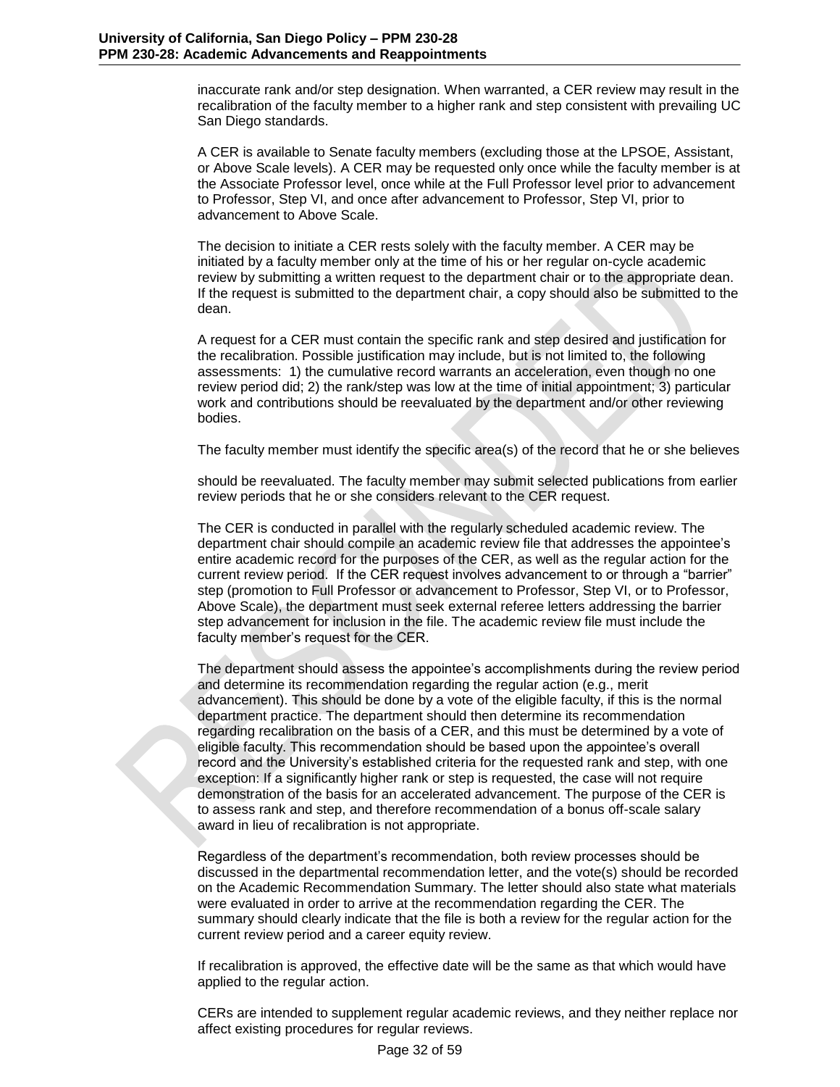inaccurate rank and/or step designation. When warranted, a CER review may result in the recalibration of the faculty member to a higher rank and step consistent with prevailing UC San Diego standards.

A CER is available to Senate faculty members (excluding those at the LPSOE, Assistant, or Above Scale levels). A CER may be requested only once while the faculty member is at the Associate Professor level, once while at the Full Professor level prior to advancement to Professor, Step VI, and once after advancement to Professor, Step VI, prior to advancement to Above Scale.

The decision to initiate a CER rests solely with the faculty member. A CER may be initiated by a faculty member only at the time of his or her regular on-cycle academic review by submitting a written request to the department chair or to the appropriate dean. If the request is submitted to the department chair, a copy should also be submitted to the dean.

A request for a CER must contain the specific rank and step desired and justification for the recalibration. Possible justification may include, but is not limited to, the following assessments: 1) the cumulative record warrants an acceleration, even though no one review period did; 2) the rank/step was low at the time of initial appointment; 3) particular work and contributions should be reevaluated by the department and/or other reviewing bodies.

The faculty member must identify the specific area(s) of the record that he or she believes

should be reevaluated. The faculty member may submit selected publications from earlier review periods that he or she considers relevant to the CER request.

The CER is conducted in parallel with the regularly scheduled academic review. The department chair should compile an academic review file that addresses the appointee's entire academic record for the purposes of the CER, as well as the regular action for the current review period. If the CER request involves advancement to or through a "barrier" step (promotion to Full Professor or advancement to Professor, Step VI, or to Professor, Above Scale), the department must seek external referee letters addressing the barrier step advancement for inclusion in the file. The academic review file must include the faculty member's request for the CER.

The department should assess the appointee's accomplishments during the review period and determine its recommendation regarding the regular action (e.g., merit advancement). This should be done by a vote of the eligible faculty, if this is the normal department practice. The department should then determine its recommendation regarding recalibration on the basis of a CER, and this must be determined by a vote of eligible faculty. This recommendation should be based upon the appointee's overall record and the University's established criteria for the requested rank and step, with one exception: If a significantly higher rank or step is requested, the case will not require demonstration of the basis for an accelerated advancement. The purpose of the CER is to assess rank and step, and therefore recommendation of a bonus off-scale salary award in lieu of recalibration is not appropriate.

Regardless of the department's recommendation, both review processes should be discussed in the departmental recommendation letter, and the vote(s) should be recorded on the Academic Recommendation Summary. The letter should also state what materials were evaluated in order to arrive at the recommendation regarding the CER. The summary should clearly indicate that the file is both a review for the regular action for the current review period and a career equity review.

If recalibration is approved, the effective date will be the same as that which would have applied to the regular action.

CERs are intended to supplement regular academic reviews, and they neither replace nor affect existing procedures for regular reviews.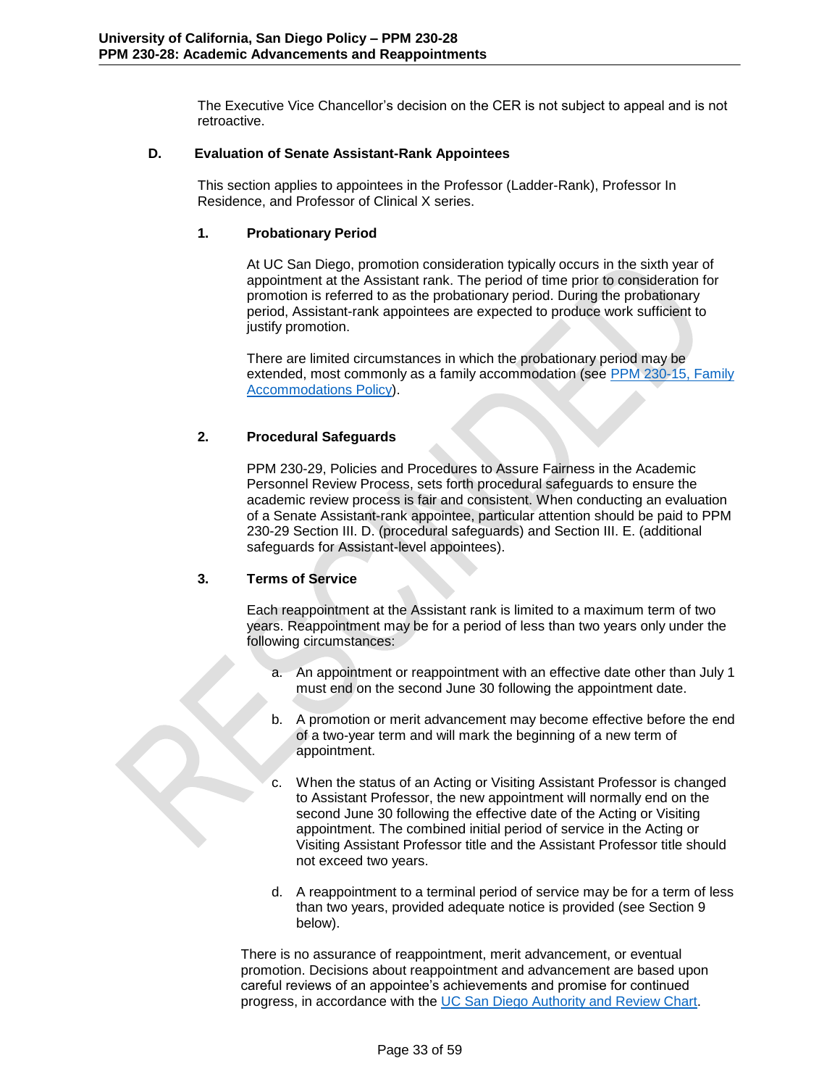The Executive Vice Chancellor's decision on the CER is not subject to appeal and is not retroactive.

## **D. Evaluation of Senate Assistant-Rank Appointees**

<span id="page-32-0"></span>This section applies to appointees in the Professor (Ladder-Rank), Professor In Residence, and Professor of Clinical X series.

## **1. Probationary Period**

At UC San Diego, promotion consideration typically occurs in the sixth year of appointment at the Assistant rank. The period of time prior to consideration for promotion is referred to as the probationary period. During the probationary period, Assistant-rank appointees are expected to produce work sufficient to justify promotion.

There are limited circumstances in which the probationary period may be extended, most commonly as a family accommodation (see PPM 230-15, Family [Accommodations Policy\)](http://adminrecords.ucsd.edu/ppm/docs/230-15.pdf).

# **2. Procedural Safeguards**

PPM 230-29, Policies and Procedures to Assure Fairness in the Academic Personnel Review Process, sets forth procedural safeguards to ensure the academic review process is fair and consistent. When conducting an evaluation of a Senate Assistant-rank appointee, particular attention should be paid to PPM 230-29 Section III. D. (procedural safeguards) and Section III. E. (additional safeguards for Assistant-level appointees).

# **3. Terms of Service**

Each reappointment at the Assistant rank is limited to a maximum term of two years. Reappointment may be for a period of less than two years only under the following circumstances:

- a. An appointment or reappointment with an effective date other than July 1 must end on the second June 30 following the appointment date.
- b. A promotion or merit advancement may become effective before the end of a two-year term and will mark the beginning of a new term of appointment.
- c. When the status of an Acting or Visiting Assistant Professor is changed to Assistant Professor, the new appointment will normally end on the second June 30 following the effective date of the Acting or Visiting appointment. The combined initial period of service in the Acting or Visiting Assistant Professor title and the Assistant Professor title should not exceed two years.
- d. A reappointment to a terminal period of service may be for a term of less than two years, provided adequate notice is provided (see Section 9 below).

There is no assurance of reappointment, merit advancement, or eventual promotion. Decisions about reappointment and advancement are based upon careful reviews of an appointee's achievements and promise for continued progress, in accordance with the UC San Diego [Authority and Review Chart.](http://academicaffairs.ucsd.edu/_files/aps/docs/AuthRevChart.pdf)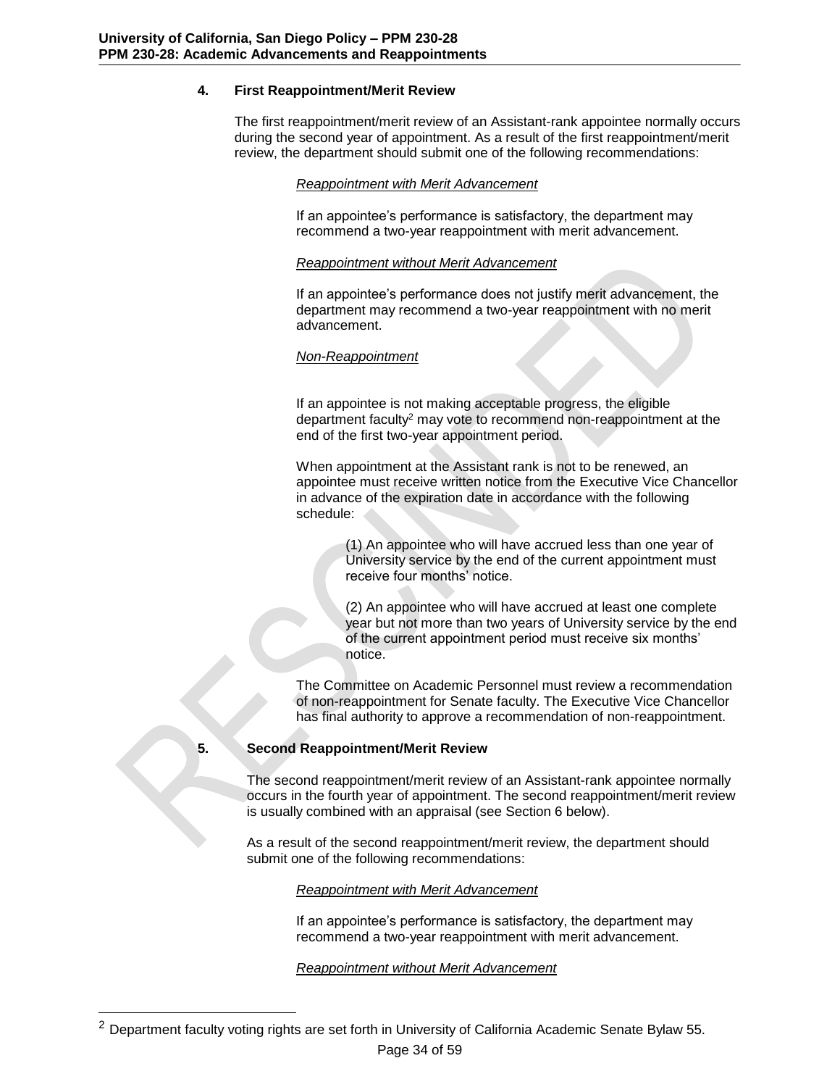# **4. First Reappointment/Merit Review**

The first reappointment/merit review of an Assistant-rank appointee normally occurs during the second year of appointment. As a result of the first reappointment/merit review, the department should submit one of the following recommendations:

### *Reappointment with Merit Advancement*

If an appointee's performance is satisfactory, the department may recommend a two-year reappointment with merit advancement.

### *Reappointment without Merit Advancement*

If an appointee's performance does not justify merit advancement, the department may recommend a two-year reappointment with no merit advancement.

## *Non-Reappointment*

If an appointee is not making acceptable progress, the eligible department faculty<sup>2</sup> may vote to recommend non-reappointment at the end of the first two-year appointment period.

When appointment at the Assistant rank is not to be renewed, an appointee must receive written notice from the Executive Vice Chancellor in advance of the expiration date in accordance with the following schedule:

> (1) An appointee who will have accrued less than one year of University service by the end of the current appointment must receive four months' notice.

(2) An appointee who will have accrued at least one complete year but not more than two years of University service by the end of the current appointment period must receive six months' notice.

The Committee on Academic Personnel must review a recommendation of non-reappointment for Senate faculty. The Executive Vice Chancellor has final authority to approve a recommendation of non-reappointment.

l

### **5. Second Reappointment/Merit Review**

The second reappointment/merit review of an Assistant-rank appointee normally occurs in the fourth year of appointment. The second reappointment/merit review is usually combined with an appraisal (see Section 6 below).

As a result of the second reappointment/merit review, the department should submit one of the following recommendations:

### *Reappointment with Merit Advancement*

If an appointee's performance is satisfactory, the department may recommend a two-year reappointment with merit advancement.

*Reappointment without Merit Advancement*

<sup>&</sup>lt;sup>2</sup> Department faculty voting rights are set forth in University of California Academic Senate Bylaw 55.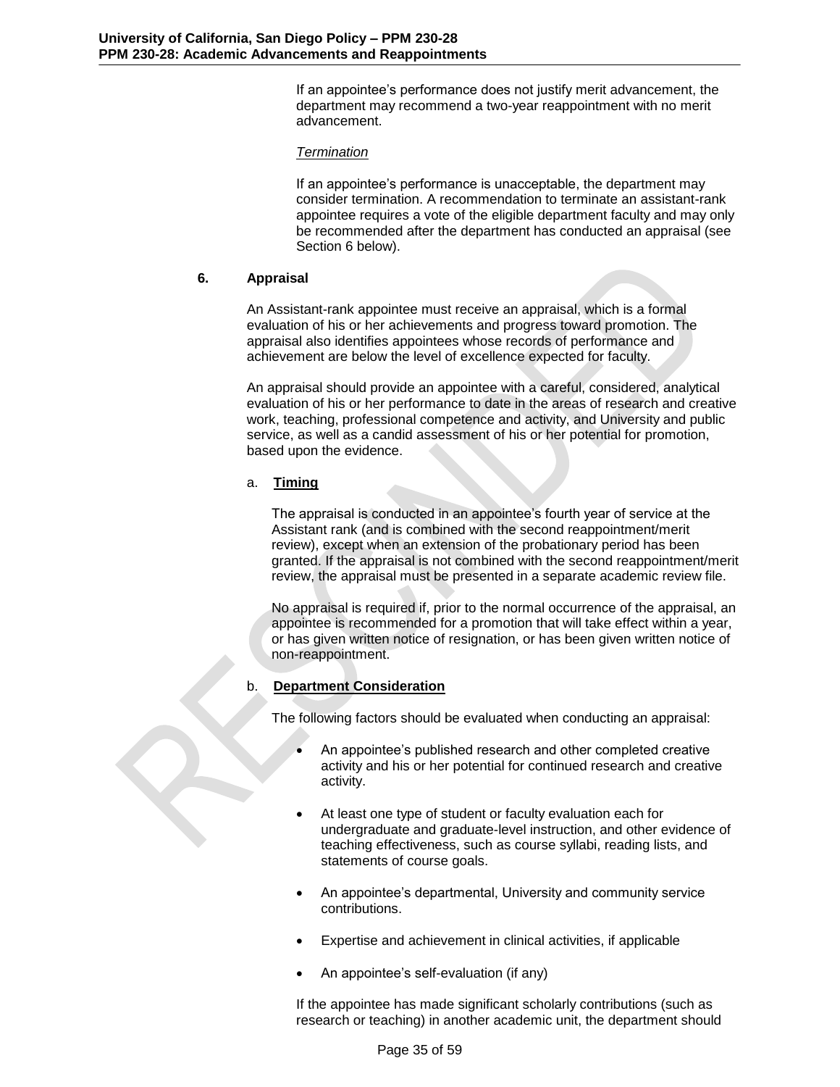If an appointee's performance does not justify merit advancement, the department may recommend a two-year reappointment with no merit advancement.

### *Termination*

If an appointee's performance is unacceptable, the department may consider termination. A recommendation to terminate an assistant-rank appointee requires a vote of the eligible department faculty and may only be recommended after the department has conducted an appraisal (see Section 6 below).

### **6. Appraisal**

An Assistant-rank appointee must receive an appraisal, which is a formal evaluation of his or her achievements and progress toward promotion. The appraisal also identifies appointees whose records of performance and achievement are below the level of excellence expected for faculty.

An appraisal should provide an appointee with a careful, considered, analytical evaluation of his or her performance to date in the areas of research and creative work, teaching, professional competence and activity, and University and public service, as well as a candid assessment of his or her potential for promotion, based upon the evidence.

## a. **Timing**

The appraisal is conducted in an appointee's fourth year of service at the Assistant rank (and is combined with the second reappointment/merit review), except when an extension of the probationary period has been granted. If the appraisal is not combined with the second reappointment/merit review, the appraisal must be presented in a separate academic review file.

No appraisal is required if, prior to the normal occurrence of the appraisal, an appointee is recommended for a promotion that will take effect within a year, or has given written notice of resignation, or has been given written notice of non-reappointment.

# b. **Department Consideration**

The following factors should be evaluated when conducting an appraisal:

- An appointee's published research and other completed creative activity and his or her potential for continued research and creative activity.
- At least one type of student or faculty evaluation each for undergraduate and graduate-level instruction, and other evidence of teaching effectiveness, such as course syllabi, reading lists, and statements of course goals.
- An appointee's departmental, University and community service contributions.
- Expertise and achievement in clinical activities, if applicable
- An appointee's self-evaluation (if any)

If the appointee has made significant scholarly contributions (such as research or teaching) in another academic unit, the department should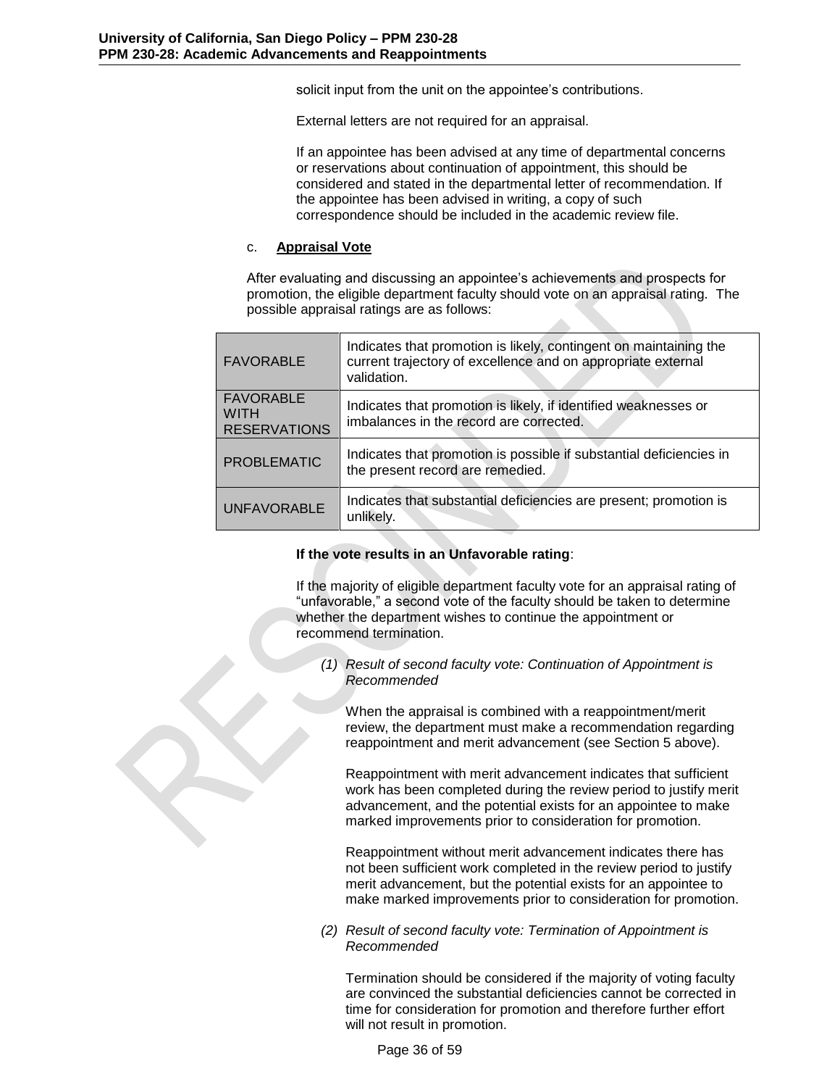solicit input from the unit on the appointee's contributions.

External letters are not required for an appraisal.

If an appointee has been advised at any time of departmental concerns or reservations about continuation of appointment, this should be considered and stated in the departmental letter of recommendation. If the appointee has been advised in writing, a copy of such correspondence should be included in the academic review file.

### c. **Appraisal Vote**

After evaluating and discussing an appointee's achievements and prospects for promotion, the eligible department faculty should vote on an appraisal rating. The possible appraisal ratings are as follows:

| <b>FAVORABLE</b>                                       | Indicates that promotion is likely, contingent on maintaining the<br>current trajectory of excellence and on appropriate external<br>validation. |
|--------------------------------------------------------|--------------------------------------------------------------------------------------------------------------------------------------------------|
| <b>FAVORABLE</b><br><b>WITH</b><br><b>RESERVATIONS</b> | Indicates that promotion is likely, if identified weaknesses or<br>imbalances in the record are corrected.                                       |
| <b>PROBLEMATIC</b>                                     | Indicates that promotion is possible if substantial deficiencies in<br>the present record are remedied.                                          |
| <b>UNFAVORABLE</b>                                     | Indicates that substantial deficiencies are present; promotion is<br>unlikely.                                                                   |

### **If the vote results in an Unfavorable rating**:

If the majority of eligible department faculty vote for an appraisal rating of "unfavorable," a second vote of the faculty should be taken to determine whether the department wishes to continue the appointment or recommend termination.

*(1) Result of second faculty vote: Continuation of Appointment is Recommended*

When the appraisal is combined with a reappointment/merit review, the department must make a recommendation regarding reappointment and merit advancement (see Section 5 above).

Reappointment with merit advancement indicates that sufficient work has been completed during the review period to justify merit advancement, and the potential exists for an appointee to make marked improvements prior to consideration for promotion.

Reappointment without merit advancement indicates there has not been sufficient work completed in the review period to justify merit advancement, but the potential exists for an appointee to make marked improvements prior to consideration for promotion.

*(2) Result of second faculty vote: Termination of Appointment is Recommended*

Termination should be considered if the majority of voting faculty are convinced the substantial deficiencies cannot be corrected in time for consideration for promotion and therefore further effort will not result in promotion.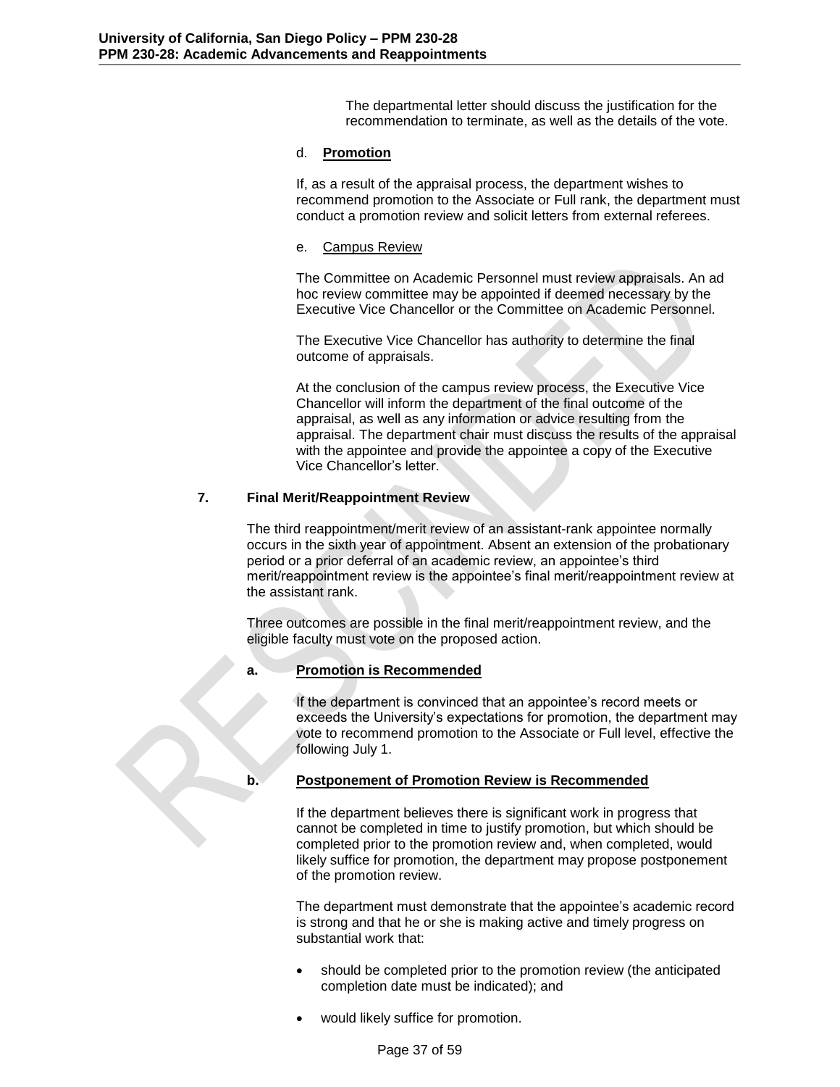The departmental letter should discuss the justification for the recommendation to terminate, as well as the details of the vote.

### d. **Promotion**

If, as a result of the appraisal process, the department wishes to recommend promotion to the Associate or Full rank, the department must conduct a promotion review and solicit letters from external referees.

### e. Campus Review

The Committee on Academic Personnel must review appraisals. An ad hoc review committee may be appointed if deemed necessary by the Executive Vice Chancellor or the Committee on Academic Personnel.

The Executive Vice Chancellor has authority to determine the final outcome of appraisals.

At the conclusion of the campus review process, the Executive Vice Chancellor will inform the department of the final outcome of the appraisal, as well as any information or advice resulting from the appraisal. The department chair must discuss the results of the appraisal with the appointee and provide the appointee a copy of the Executive Vice Chancellor's letter.

### **7. Final Merit/Reappointment Review**

The third reappointment/merit review of an assistant-rank appointee normally occurs in the sixth year of appointment. Absent an extension of the probationary period or a prior deferral of an academic review, an appointee's third merit/reappointment review is the appointee's final merit/reappointment review at the assistant rank.

Three outcomes are possible in the final merit/reappointment review, and the eligible faculty must vote on the proposed action.

### **a. Promotion is Recommended**

If the department is convinced that an appointee's record meets or exceeds the University's expectations for promotion, the department may vote to recommend promotion to the Associate or Full level, effective the following July 1.

### **b. Postponement of Promotion Review is Recommended**

If the department believes there is significant work in progress that cannot be completed in time to justify promotion, but which should be completed prior to the promotion review and, when completed, would likely suffice for promotion, the department may propose postponement of the promotion review.

The department must demonstrate that the appointee's academic record is strong and that he or she is making active and timely progress on substantial work that:

- should be completed prior to the promotion review (the anticipated completion date must be indicated); and
- would likely suffice for promotion.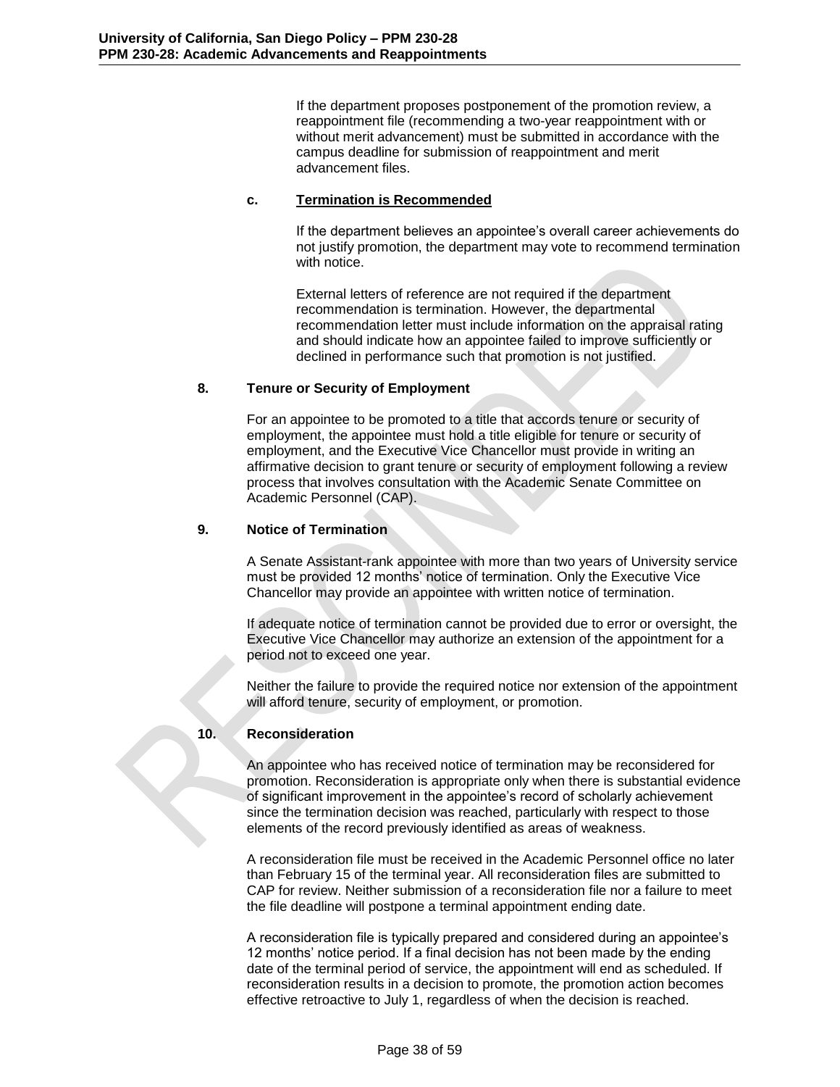If the department proposes postponement of the promotion review, a reappointment file (recommending a two-year reappointment with or without merit advancement) must be submitted in accordance with the campus deadline for submission of reappointment and merit advancement files.

# **c. Termination is Recommended**

If the department believes an appointee's overall career achievements do not justify promotion, the department may vote to recommend termination with notice.

External letters of reference are not required if the department recommendation is termination. However, the departmental recommendation letter must include information on the appraisal rating and should indicate how an appointee failed to improve sufficiently or declined in performance such that promotion is not justified.

# **8. Tenure or Security of Employment**

For an appointee to be promoted to a title that accords tenure or security of employment, the appointee must hold a title eligible for tenure or security of employment, and the Executive Vice Chancellor must provide in writing an affirmative decision to grant tenure or security of employment following a review process that involves consultation with the Academic Senate Committee on Academic Personnel (CAP).

## **9. Notice of Termination**

A Senate Assistant-rank appointee with more than two years of University service must be provided 12 months' notice of termination. Only the Executive Vice Chancellor may provide an appointee with written notice of termination.

If adequate notice of termination cannot be provided due to error or oversight, the Executive Vice Chancellor may authorize an extension of the appointment for a period not to exceed one year.

Neither the failure to provide the required notice nor extension of the appointment will afford tenure, security of employment, or promotion.

# **10. Reconsideration**

An appointee who has received notice of termination may be reconsidered for promotion. Reconsideration is appropriate only when there is substantial evidence of significant improvement in the appointee's record of scholarly achievement since the termination decision was reached, particularly with respect to those elements of the record previously identified as areas of weakness.

A reconsideration file must be received in the Academic Personnel office no later than February 15 of the terminal year. All reconsideration files are submitted to CAP for review. Neither submission of a reconsideration file nor a failure to meet the file deadline will postpone a terminal appointment ending date.

A reconsideration file is typically prepared and considered during an appointee's 12 months' notice period. If a final decision has not been made by the ending date of the terminal period of service, the appointment will end as scheduled. If reconsideration results in a decision to promote, the promotion action becomes effective retroactive to July 1, regardless of when the decision is reached.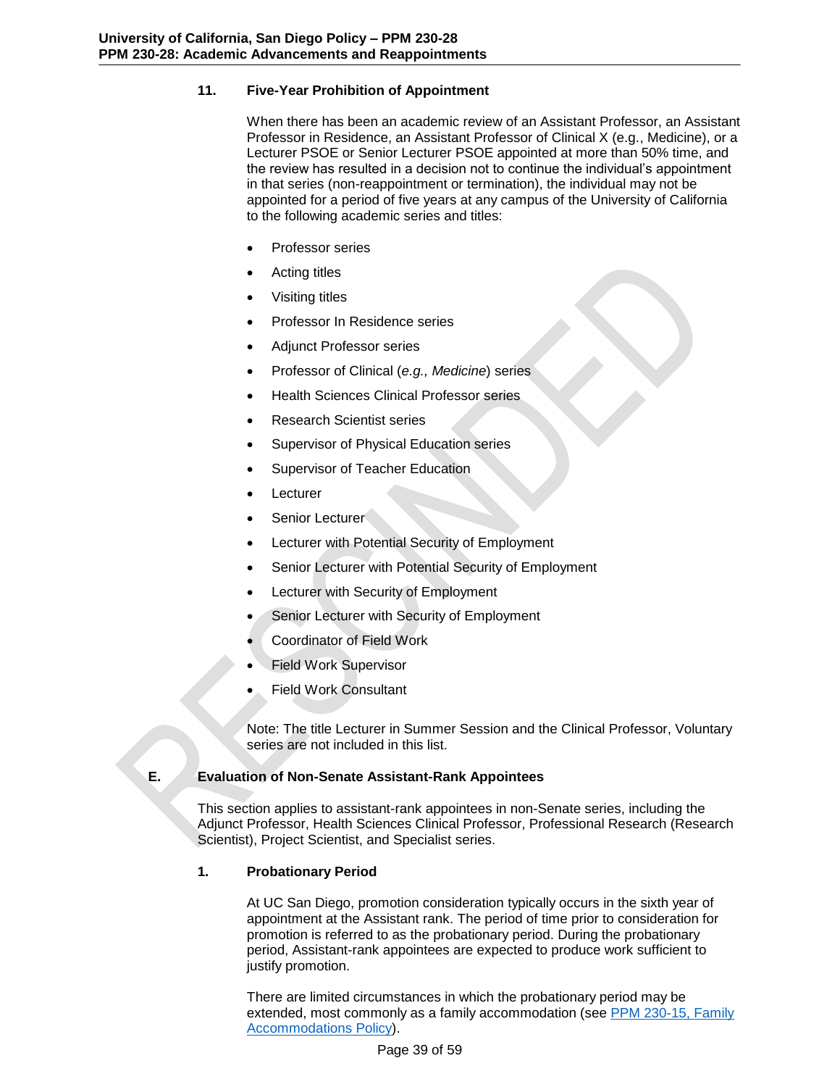# **11. Five-Year Prohibition of Appointment**

When there has been an academic review of an Assistant Professor, an Assistant Professor in Residence, an Assistant Professor of Clinical X (e.g., Medicine), or a Lecturer PSOE or Senior Lecturer PSOE appointed at more than 50% time, and the review has resulted in a decision not to continue the individual's appointment in that series (non-reappointment or termination), the individual may not be appointed for a period of five years at any campus of the University of California to the following academic series and titles:

- Professor series
- Acting titles
- Visiting titles
- Professor In Residence series
- Adjunct Professor series
- Professor of Clinical (*e.g., Medicine*) series
- Health Sciences Clinical Professor series
- Research Scientist series
- Supervisor of Physical Education series
- Supervisor of Teacher Education
- Lecturer
- Senior Lecturer
- Lecturer with Potential Security of Employment
- Senior Lecturer with Potential Security of Employment
- Lecturer with Security of Employment
- Senior Lecturer with Security of Employment
- Coordinator of Field Work
- Field Work Supervisor
- Field Work Consultant

Note: The title Lecturer in Summer Session and the Clinical Professor, Voluntary series are not included in this list.

# **E. Evaluation of Non-Senate Assistant-Rank Appointees**

<span id="page-38-0"></span>This section applies to assistant-rank appointees in non-Senate series, including the Adjunct Professor, Health Sciences Clinical Professor, Professional Research (Research Scientist), Project Scientist, and Specialist series.

# **1. Probationary Period**

At UC San Diego, promotion consideration typically occurs in the sixth year of appointment at the Assistant rank. The period of time prior to consideration for promotion is referred to as the probationary period. During the probationary period, Assistant-rank appointees are expected to produce work sufficient to justify promotion.

There are limited circumstances in which the probationary period may be extended, most commonly as a family accommodation (see [PPM 230-15, Family](http://adminrecords.ucsd.edu/ppm/docs/230-15.pdf)  [Accommodations Policy\)](http://adminrecords.ucsd.edu/ppm/docs/230-15.pdf).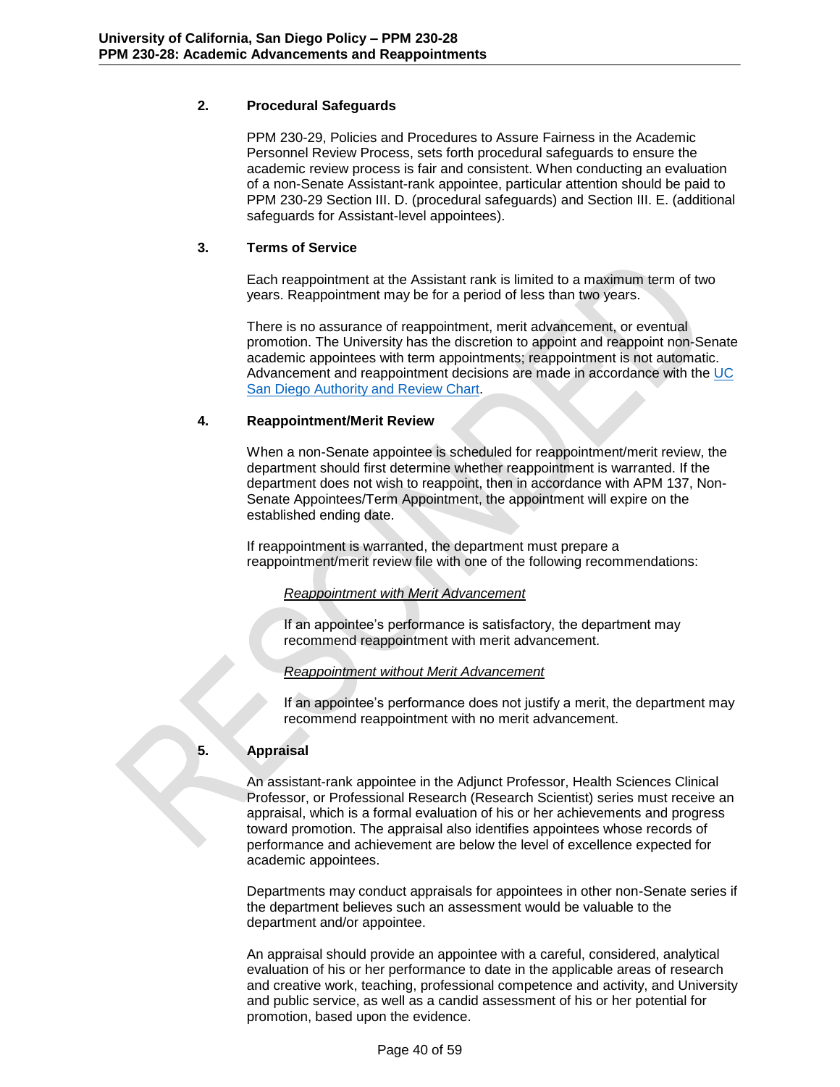# **2. Procedural Safeguards**

PPM 230-29, Policies and Procedures to Assure Fairness in the Academic Personnel Review Process, sets forth procedural safeguards to ensure the academic review process is fair and consistent. When conducting an evaluation of a non-Senate Assistant-rank appointee, particular attention should be paid to PPM 230-29 Section III. D. (procedural safeguards) and Section III. E. (additional safeguards for Assistant-level appointees).

# **3. Terms of Service**

Each reappointment at the Assistant rank is limited to a maximum term of two years. Reappointment may be for a period of less than two years.

There is no assurance of reappointment, merit advancement, or eventual promotion. The University has the discretion to appoint and reappoint non-Senate academic appointees with term appointments; reappointment is not automatic. Advancement and reappointment decisions are made in accordance with the [UC](http://academicaffairs.ucsd.edu/_files/aps/docs/AuthRevChart.pdf)  San Diego [Authority and Review Chart.](http://academicaffairs.ucsd.edu/_files/aps/docs/AuthRevChart.pdf)

# **4. Reappointment/Merit Review**

When a non-Senate appointee is scheduled for reappointment/merit review, the department should first determine whether reappointment is warranted. If the department does not wish to reappoint, then in accordance with APM 137, Non-Senate Appointees/Term Appointment, the appointment will expire on the established ending date.

If reappointment is warranted, the department must prepare a reappointment/merit review file with one of the following recommendations:

# *Reappointment with Merit Advancement*

If an appointee's performance is satisfactory, the department may recommend reappointment with merit advancement.

# *Reappointment without Merit Advancement*

If an appointee's performance does not justify a merit, the department may recommend reappointment with no merit advancement.

# **5. Appraisal**

An assistant-rank appointee in the Adjunct Professor, Health Sciences Clinical Professor, or Professional Research (Research Scientist) series must receive an appraisal, which is a formal evaluation of his or her achievements and progress toward promotion. The appraisal also identifies appointees whose records of performance and achievement are below the level of excellence expected for academic appointees.

Departments may conduct appraisals for appointees in other non-Senate series if the department believes such an assessment would be valuable to the department and/or appointee.

An appraisal should provide an appointee with a careful, considered, analytical evaluation of his or her performance to date in the applicable areas of research and creative work, teaching, professional competence and activity, and University and public service, as well as a candid assessment of his or her potential for promotion, based upon the evidence.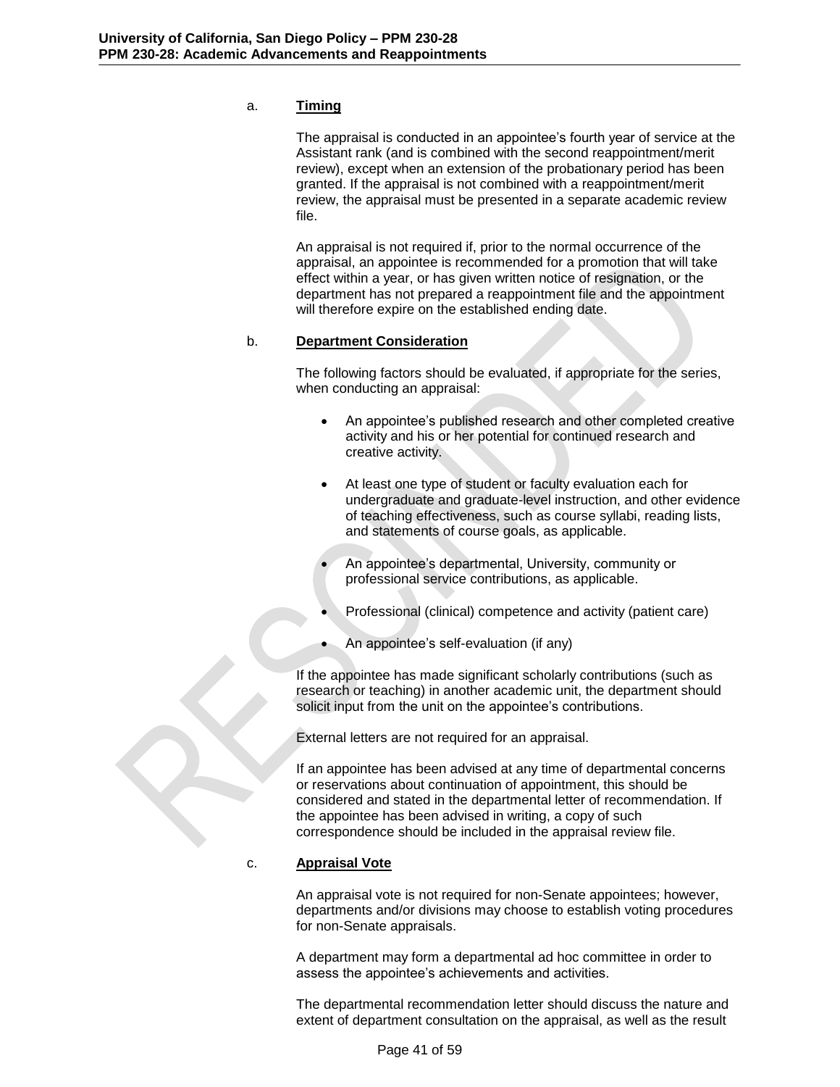# a. **Timing**

The appraisal is conducted in an appointee's fourth year of service at the Assistant rank (and is combined with the second reappointment/merit review), except when an extension of the probationary period has been granted. If the appraisal is not combined with a reappointment/merit review, the appraisal must be presented in a separate academic review file.

An appraisal is not required if, prior to the normal occurrence of the appraisal, an appointee is recommended for a promotion that will take effect within a year, or has given written notice of resignation, or the department has not prepared a reappointment file and the appointment will therefore expire on the established ending date.

### b. **Department Consideration**

The following factors should be evaluated, if appropriate for the series, when conducting an appraisal:

- An appointee's published research and other completed creative activity and his or her potential for continued research and creative activity.
- At least one type of student or faculty evaluation each for undergraduate and graduate-level instruction, and other evidence of teaching effectiveness, such as course syllabi, reading lists, and statements of course goals, as applicable.
	- An appointee's departmental, University, community or professional service contributions, as applicable.
- Professional (clinical) competence and activity (patient care)
- An appointee's self-evaluation (if any)

If the appointee has made significant scholarly contributions (such as research or teaching) in another academic unit, the department should solicit input from the unit on the appointee's contributions.

External letters are not required for an appraisal.

If an appointee has been advised at any time of departmental concerns or reservations about continuation of appointment, this should be considered and stated in the departmental letter of recommendation. If the appointee has been advised in writing, a copy of such correspondence should be included in the appraisal review file.

### c. **Appraisal Vote**

An appraisal vote is not required for non-Senate appointees; however, departments and/or divisions may choose to establish voting procedures for non-Senate appraisals.

A department may form a departmental ad hoc committee in order to assess the appointee's achievements and activities.

The departmental recommendation letter should discuss the nature and extent of department consultation on the appraisal, as well as the result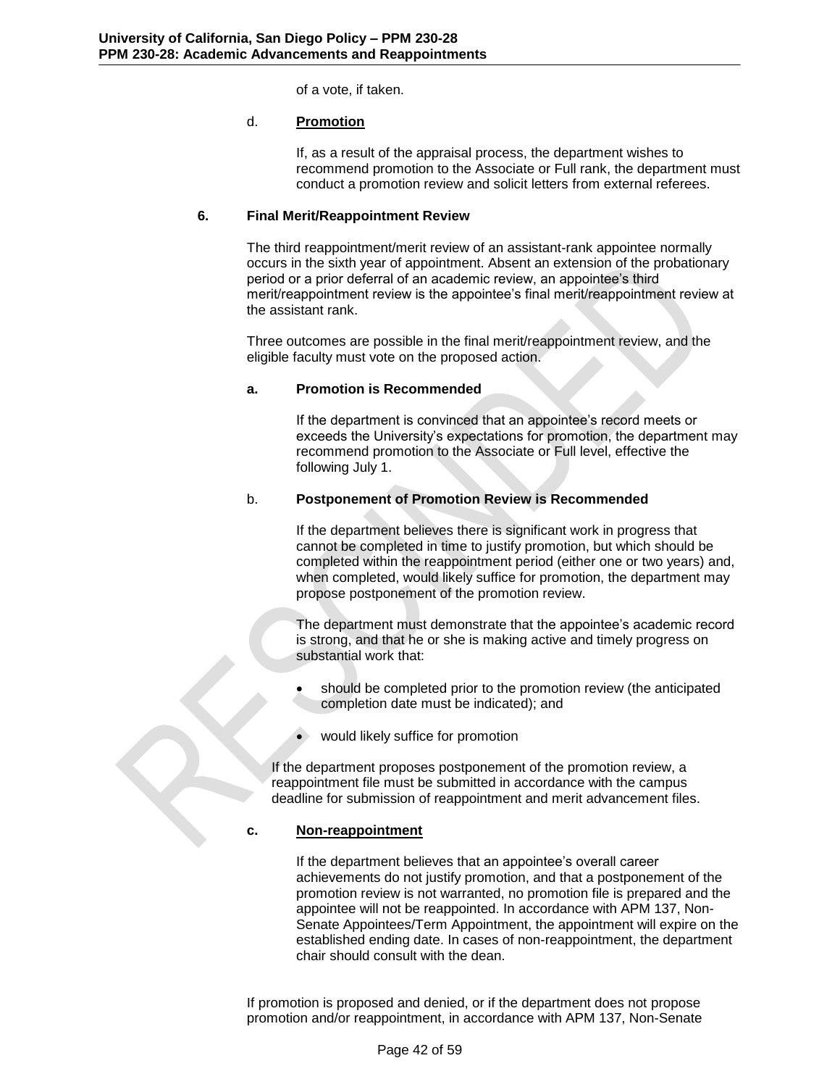of a vote, if taken.

# d. **Promotion**

If, as a result of the appraisal process, the department wishes to recommend promotion to the Associate or Full rank, the department must conduct a promotion review and solicit letters from external referees.

# **6. Final Merit/Reappointment Review**

The third reappointment/merit review of an assistant-rank appointee normally occurs in the sixth year of appointment. Absent an extension of the probationary period or a prior deferral of an academic review, an appointee's third merit/reappointment review is the appointee's final merit/reappointment review at the assistant rank.

Three outcomes are possible in the final merit/reappointment review, and the eligible faculty must vote on the proposed action.

## **a. Promotion is Recommended**

If the department is convinced that an appointee's record meets or exceeds the University's expectations for promotion, the department may recommend promotion to the Associate or Full level, effective the following July 1.

## b. **Postponement of Promotion Review is Recommended**

If the department believes there is significant work in progress that cannot be completed in time to justify promotion, but which should be completed within the reappointment period (either one or two years) and, when completed, would likely suffice for promotion, the department may propose postponement of the promotion review.

The department must demonstrate that the appointee's academic record is strong, and that he or she is making active and timely progress on substantial work that:

- should be completed prior to the promotion review (the anticipated completion date must be indicated); and
- would likely suffice for promotion

If the department proposes postponement of the promotion review, a reappointment file must be submitted in accordance with the campus deadline for submission of reappointment and merit advancement files.

### **c. Non-reappointment**

If the department believes that an appointee's overall career achievements do not justify promotion, and that a postponement of the promotion review is not warranted, no promotion file is prepared and the appointee will not be reappointed. In accordance with APM 137, Non-Senate Appointees/Term Appointment, the appointment will expire on the established ending date. In cases of non-reappointment, the department chair should consult with the dean.

If promotion is proposed and denied, or if the department does not propose promotion and/or reappointment, in accordance with APM 137, Non-Senate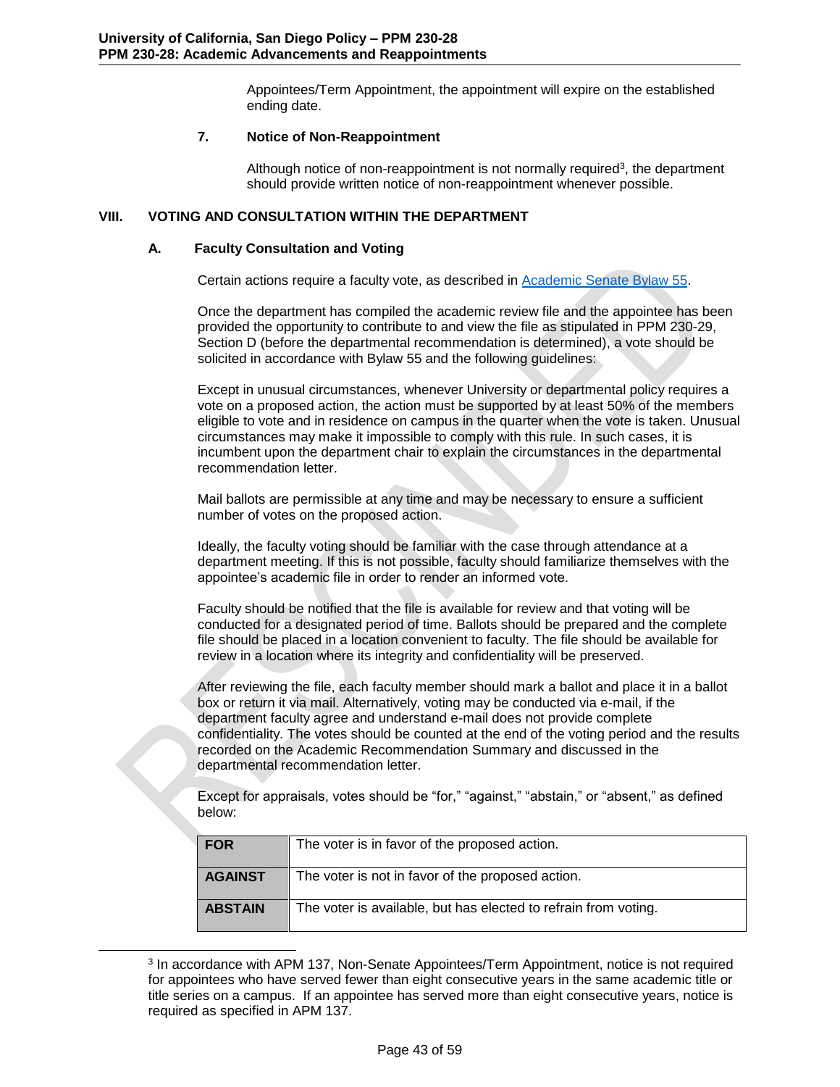Appointees/Term Appointment, the appointment will expire on the established ending date.

## **7. Notice of Non-Reappointment**

Although notice of non-reappointment is not normally required<sup>3</sup>, the department should provide written notice of non-reappointment whenever possible.

## **VIII. VOTING AND CONSULTATION WITHIN THE DEPARTMENT**

### <span id="page-42-0"></span>**A. Faculty Consultation and Voting**

l

<span id="page-42-1"></span>Certain actions require a faculty vote, as described in [Academic Senate Bylaw 55.](http://senate.universityofcalifornia.edu/manual/bltoc.html)

Once the department has compiled the academic review file and the appointee has been provided the opportunity to contribute to and view the file as stipulated in PPM 230-29, Section D (before the departmental recommendation is determined), a vote should be solicited in accordance with Bylaw 55 and the following guidelines:

Except in unusual circumstances, whenever University or departmental policy requires a vote on a proposed action, the action must be supported by at least 50% of the members eligible to vote and in residence on campus in the quarter when the vote is taken. Unusual circumstances may make it impossible to comply with this rule. In such cases, it is incumbent upon the department chair to explain the circumstances in the departmental recommendation letter.

Mail ballots are permissible at any time and may be necessary to ensure a sufficient number of votes on the proposed action.

Ideally, the faculty voting should be familiar with the case through attendance at a department meeting. If this is not possible, faculty should familiarize themselves with the appointee's academic file in order to render an informed vote.

Faculty should be notified that the file is available for review and that voting will be conducted for a designated period of time. Ballots should be prepared and the complete file should be placed in a location convenient to faculty. The file should be available for review in a location where its integrity and confidentiality will be preserved.

After reviewing the file, each faculty member should mark a ballot and place it in a ballot box or return it via mail. Alternatively, voting may be conducted via e-mail, if the department faculty agree and understand e-mail does not provide complete confidentiality. The votes should be counted at the end of the voting period and the results recorded on the Academic Recommendation Summary and discussed in the departmental recommendation letter.

Except for appraisals, votes should be "for," "against," "abstain," or "absent," as defined below:

| <b>FOR</b>     | The voter is in favor of the proposed action.                   |
|----------------|-----------------------------------------------------------------|
| <b>AGAINST</b> | The voter is not in favor of the proposed action.               |
| <b>ABSTAIN</b> | The voter is available, but has elected to refrain from voting. |

<sup>3</sup> In accordance with APM 137, Non-Senate Appointees/Term Appointment, notice is not required for appointees who have served fewer than eight consecutive years in the same academic title or title series on a campus. If an appointee has served more than eight consecutive years, notice is required as specified in APM 137.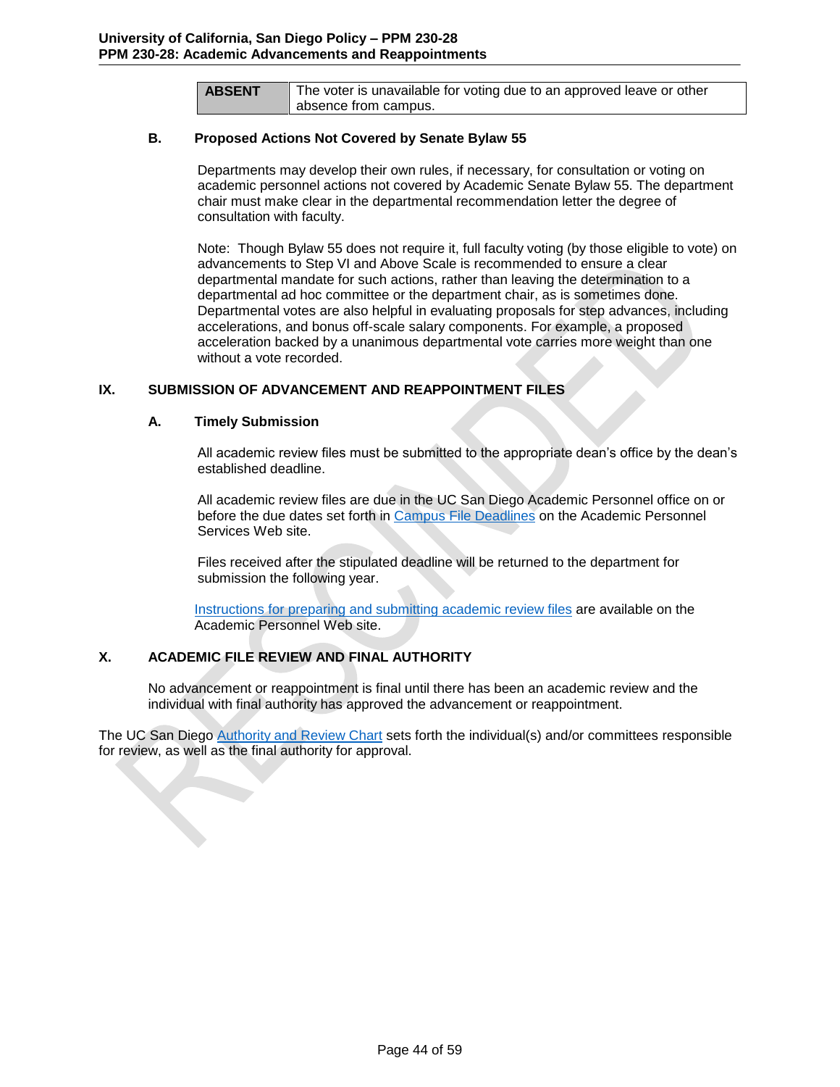**ABSENT** The voter is unavailable for voting due to an approved leave or other absence from campus.

### **B. Proposed Actions Not Covered by Senate Bylaw 55**

<span id="page-43-0"></span>Departments may develop their own rules, if necessary, for consultation or voting on academic personnel actions not covered by Academic Senate Bylaw 55. The department chair must make clear in the departmental recommendation letter the degree of consultation with faculty.

Note: Though Bylaw 55 does not require it, full faculty voting (by those eligible to vote) on advancements to Step VI and Above Scale is recommended to ensure a clear departmental mandate for such actions, rather than leaving the determination to a departmental ad hoc committee or the department chair, as is sometimes done. Departmental votes are also helpful in evaluating proposals for step advances, including accelerations, and bonus off-scale salary components. For example, a proposed acceleration backed by a unanimous departmental vote carries more weight than one without a vote recorded.

## **IX. SUBMISSION OF ADVANCEMENT AND REAPPOINTMENT FILES**

### <span id="page-43-1"></span>**A. Timely Submission**

<span id="page-43-2"></span>All academic review files must be submitted to the appropriate dean's office by the dean's established deadline.

All academic review files are due in the UC San Diego Academic Personnel office on or before the due dates set forth in [Campus File Deadlines](http://academicaffairs.ucsd.edu/aps/advance-train/file-deadlines.html) on the Academic Personnel Services Web site.

Files received after the stipulated deadline will be returned to the department for submission the following year.

[Instructions for preparing and submitting academic review files](http://academicaffairs.ucsd.edu/aps/advance-train/appt-rev-process.html) are available on the Academic Personnel Web site.

# **X. ACADEMIC FILE REVIEW AND FINAL AUTHORITY**

<span id="page-43-3"></span>No advancement or reappointment is final until there has been an academic review and the individual with final authority has approved the advancement or reappointment.

The UC San Diego [Authority and Review Chart](http://academicaffairs.ucsd.edu/_files/aps/docs/AuthRevChart.pdf) sets forth the individual(s) and/or committees responsible for review, as well as the final authority for approval.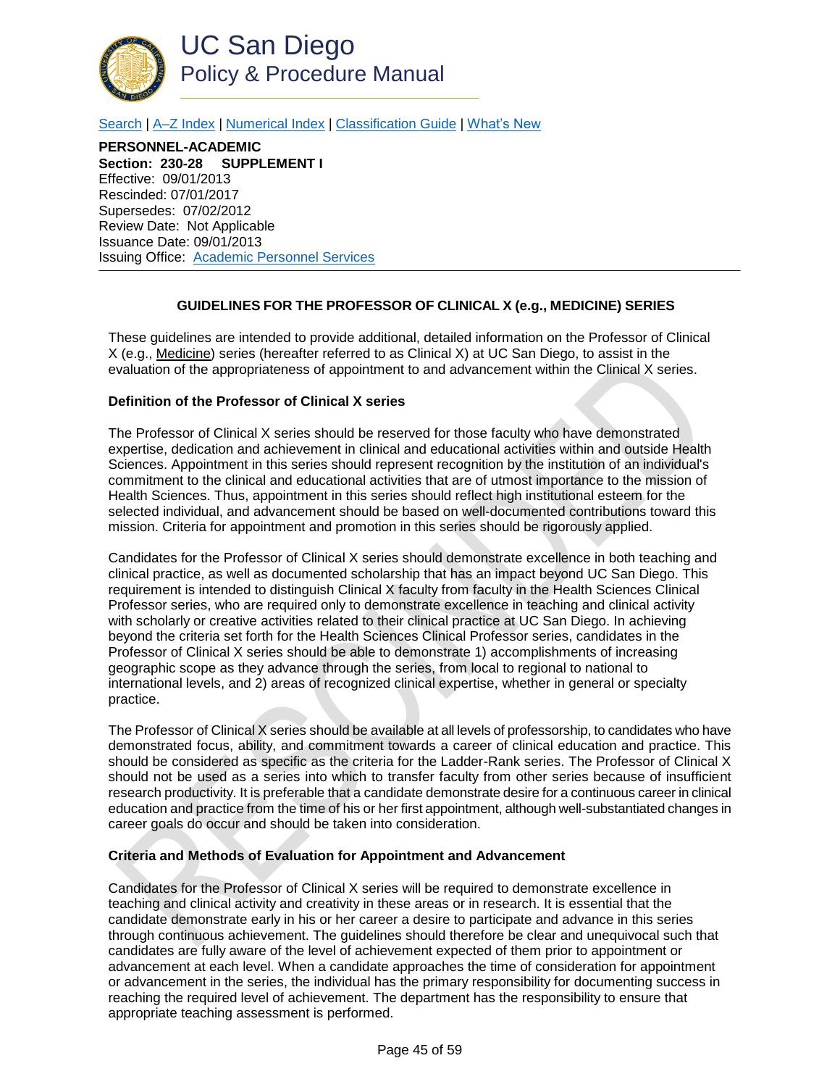

[Search](http://adminrecords.ucsd.edu/ppm/index.html) | [A–Z Index](http://adminrecords.ucsd.edu/ppm/ppmindex.html) [| Numerical Index](http://adminrecords.ucsd.edu/ppm/numerical.html) | [Classification Guide](http://adminrecords.ucsd.edu/ppm/alphabetical.html) [| What's New](http://adminrecords.ucsd.edu/ppm/whatsnew.html)

**PERSONNEL-ACADEMIC Section: 230-28 SUPPLEMENT I** Effective: 09/01/2013 Rescinded: 07/01/2017 Supersedes: 07/02/2012 Review Date: Not Applicable Issuance Date: 09/01/2013 Issuing Office: [Academic Personnel Services](http://academicaffairs.ucsd.edu/aps/)

# **GUIDELINES FOR THE PROFESSOR OF CLINICAL X (e.g., MEDICINE) SERIES**

<span id="page-44-0"></span>These guidelines are intended to provide additional, detailed information on the Professor of Clinical X (e.g., Medicine) series (hereafter referred to as Clinical X) at UC San Diego, to assist in the evaluation of the appropriateness of appointment to and advancement within the Clinical X series.

### **Definition of the Professor of Clinical X series**

The Professor of Clinical X series should be reserved for those faculty who have demonstrated expertise, dedication and achievement in clinical and educational activities within and outside Health Sciences. Appointment in this series should represent recognition by the institution of an individual's commitment to the clinical and educational activities that are of utmost importance to the mission of Health Sciences. Thus, appointment in this series should reflect high institutional esteem for the selected individual, and advancement should be based on well-documented contributions toward this mission. Criteria for appointment and promotion in this series should be rigorously applied.

Candidates for the Professor of Clinical X series should demonstrate excellence in both teaching and clinical practice, as well as documented scholarship that has an impact beyond UC San Diego. This requirement is intended to distinguish Clinical X faculty from faculty in the Health Sciences Clinical Professor series, who are required only to demonstrate excellence in teaching and clinical activity with scholarly or creative activities related to their clinical practice at UC San Diego. In achieving beyond the criteria set forth for the Health Sciences Clinical Professor series, candidates in the Professor of Clinical X series should be able to demonstrate 1) accomplishments of increasing geographic scope as they advance through the series, from local to regional to national to international levels, and 2) areas of recognized clinical expertise, whether in general or specialty practice.

The Professor of Clinical X series should be available at all levels of professorship, to candidates who have demonstrated focus, ability, and commitment towards a career of clinical education and practice. This should be considered as specific as the criteria for the Ladder-Rank series. The Professor of Clinical X should not be used as a series into which to transfer faculty from other series because of insufficient research productivity. It is preferable that a candidate demonstrate desire for a continuous career in clinical education and practice from the time of his or her first appointment, although well-substantiated changes in career goals do occur and should be taken into consideration.

### **Criteria and Methods of Evaluation for Appointment and Advancement**

Candidates for the Professor of Clinical X series will be required to demonstrate excellence in teaching and clinical activity and creativity in these areas or in research. It is essential that the candidate demonstrate early in his or her career a desire to participate and advance in this series through continuous achievement. The guidelines should therefore be clear and unequivocal such that candidates are fully aware of the level of achievement expected of them prior to appointment or advancement at each level. When a candidate approaches the time of consideration for appointment or advancement in the series, the individual has the primary responsibility for documenting success in reaching the required level of achievement. The department has the responsibility to ensure that appropriate teaching assessment is performed.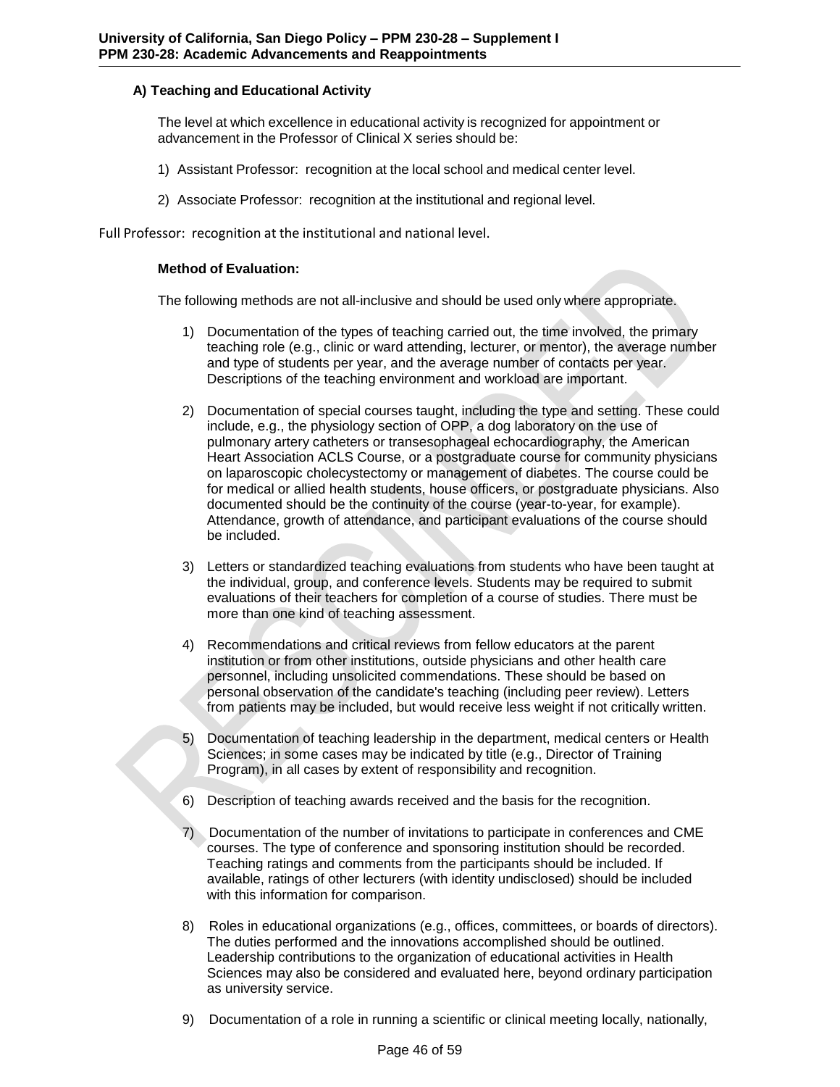# **A) Teaching and Educational Activity**

The level at which excellence in educational activity is recognized for appointment or advancement in the Professor of Clinical X series should be:

- 1) Assistant Professor: recognition at the local school and medical center level.
- 2) Associate Professor: recognition at the institutional and regional level.

Full Professor: recognition at the institutional and national level.

### **Method of Evaluation:**

The following methods are not all-inclusive and should be used only where appropriate.

- 1) Documentation of the types of teaching carried out, the time involved, the primary teaching role (e.g., clinic or ward attending, lecturer, or mentor), the average number and type of students per year, and the average number of contacts per year. Descriptions of the teaching environment and workload are important.
- 2) Documentation of special courses taught, including the type and setting. These could include, e.g., the physiology section of OPP, a dog laboratory on the use of pulmonary artery catheters or transesophageal echocardiography, the American Heart Association ACLS Course, or a postgraduate course for community physicians on laparoscopic cholecystectomy or management of diabetes. The course could be for medical or allied health students, house officers, or postgraduate physicians. Also documented should be the continuity of the course (year-to-year, for example). Attendance, growth of attendance, and participant evaluations of the course should be included.
- 3) Letters or standardized teaching evaluations from students who have been taught at the individual, group, and conference levels. Students may be required to submit evaluations of their teachers for completion of a course of studies. There must be more than one kind of teaching assessment.
- 4) Recommendations and critical reviews from fellow educators at the parent institution or from other institutions, outside physicians and other health care personnel, including unsolicited commendations. These should be based on personal observation of the candidate's teaching (including peer review). Letters from patients may be included, but would receive less weight if not critically written.
- 5) Documentation of teaching leadership in the department, medical centers or Health Sciences; in some cases may be indicated by title (e.g., Director of Training Program), in all cases by extent of responsibility and recognition.
- 6) Description of teaching awards received and the basis for the recognition.
- 7) Documentation of the number of invitations to participate in conferences and CME courses. The type of conference and sponsoring institution should be recorded. Teaching ratings and comments from the participants should be included. If available, ratings of other lecturers (with identity undisclosed) should be included with this information for comparison.
- 8) Roles in educational organizations (e.g., offices, committees, or boards of directors). The duties performed and the innovations accomplished should be outlined. Leadership contributions to the organization of educational activities in Health Sciences may also be considered and evaluated here, beyond ordinary participation as university service.
- 9) Documentation of a role in running a scientific or clinical meeting locally, nationally,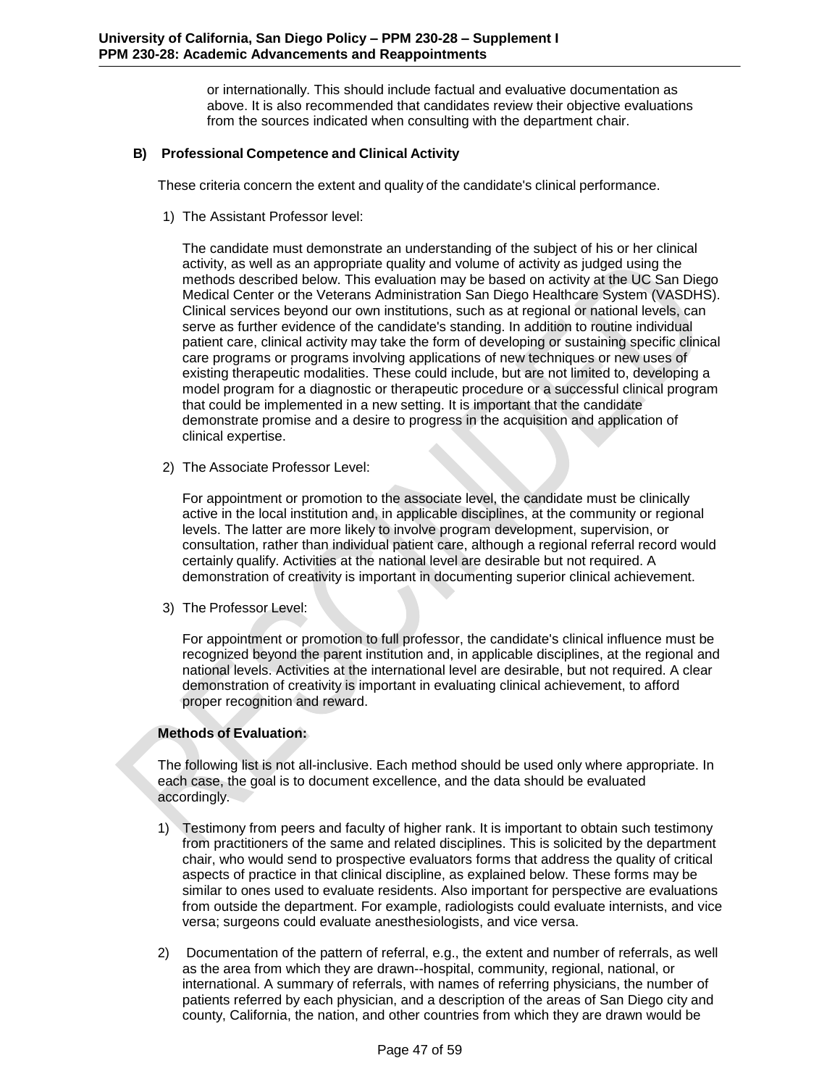or internationally. This should include factual and evaluative documentation as above. It is also recommended that candidates review their objective evaluations from the sources indicated when consulting with the department chair.

# **B) Professional Competence and Clinical Activity**

These criteria concern the extent and quality of the candidate's clinical performance.

1) The Assistant Professor level:

The candidate must demonstrate an understanding of the subject of his or her clinical activity, as well as an appropriate quality and volume of activity as judged using the methods described below. This evaluation may be based on activity at the UC San Diego Medical Center or the Veterans Administration San Diego Healthcare System (VASDHS). Clinical services beyond our own institutions, such as at regional or national levels, can serve as further evidence of the candidate's standing. In addition to routine individual patient care, clinical activity may take the form of developing or sustaining specific clinical care programs or programs involving applications of new techniques or new uses of existing therapeutic modalities. These could include, but are not limited to, developing a model program for a diagnostic or therapeutic procedure or a successful clinical program that could be implemented in a new setting. It is important that the candidate demonstrate promise and a desire to progress in the acquisition and application of clinical expertise.

2) The Associate Professor Level:

For appointment or promotion to the associate level, the candidate must be clinically active in the local institution and, in applicable disciplines, at the community or regional levels. The latter are more likely to involve program development, supervision, or consultation, rather than individual patient care, although a regional referral record would certainly qualify. Activities at the national level are desirable but not required. A demonstration of creativity is important in documenting superior clinical achievement.

3) The Professor Level:

For appointment or promotion to full professor, the candidate's clinical influence must be recognized beyond the parent institution and, in applicable disciplines, at the regional and national levels. Activities at the international level are desirable, but not required. A clear demonstration of creativity is important in evaluating clinical achievement, to afford proper recognition and reward.

# **Methods of Evaluation:**

The following list is not all-inclusive. Each method should be used only where appropriate. In each case, the goal is to document excellence, and the data should be evaluated accordingly.

- 1) Testimony from peers and faculty of higher rank. It is important to obtain such testimony from practitioners of the same and related disciplines. This is solicited by the department chair, who would send to prospective evaluators forms that address the quality of critical aspects of practice in that clinical discipline, as explained below. These forms may be similar to ones used to evaluate residents. Also important for perspective are evaluations from outside the department. For example, radiologists could evaluate internists, and vice versa; surgeons could evaluate anesthesiologists, and vice versa.
- 2) Documentation of the pattern of referral, e.g., the extent and number of referrals, as well as the area from which they are drawn--hospital, community, regional, national, or international. A summary of referrals, with names of referring physicians, the number of patients referred by each physician, and a description of the areas of San Diego city and county, California, the nation, and other countries from which they are drawn would be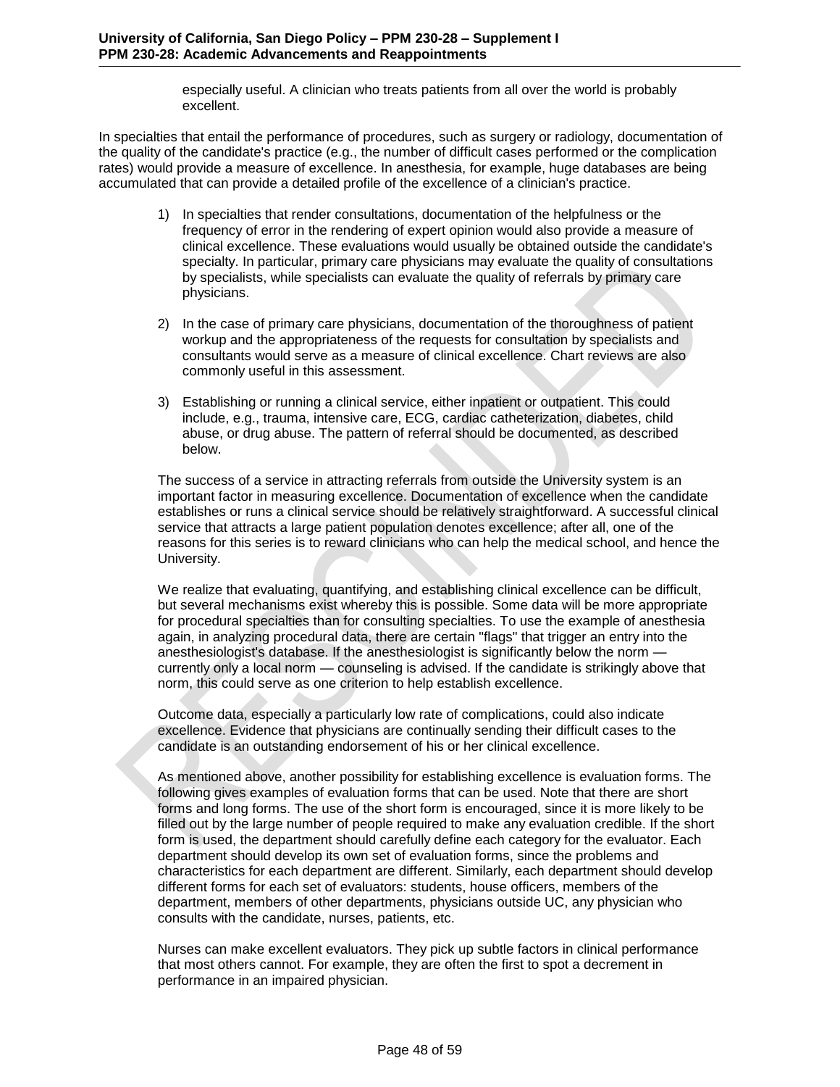especially useful. A clinician who treats patients from all over the world is probably excellent.

In specialties that entail the performance of procedures, such as surgery or radiology, documentation of the quality of the candidate's practice (e.g., the number of difficult cases performed or the complication rates) would provide a measure of excellence. In anesthesia, for example, huge databases are being accumulated that can provide a detailed profile of the excellence of a clinician's practice.

- 1) In specialties that render consultations, documentation of the helpfulness or the frequency of error in the rendering of expert opinion would also provide a measure of clinical excellence. These evaluations would usually be obtained outside the candidate's specialty. In particular, primary care physicians may evaluate the quality of consultations by specialists, while specialists can evaluate the quality of referrals by primary care physicians.
- 2) In the case of primary care physicians, documentation of the thoroughness of patient workup and the appropriateness of the requests for consultation by specialists and consultants would serve as a measure of clinical excellence. Chart reviews are also commonly useful in this assessment.
- 3) Establishing or running a clinical service, either inpatient or outpatient. This could include, e.g., trauma, intensive care, ECG, cardiac catheterization, diabetes, child abuse, or drug abuse. The pattern of referral should be documented, as described below.

The success of a service in attracting referrals from outside the University system is an important factor in measuring excellence. Documentation of excellence when the candidate establishes or runs a clinical service should be relatively straightforward. A successful clinical service that attracts a large patient population denotes excellence; after all, one of the reasons for this series is to reward clinicians who can help the medical school, and hence the University.

We realize that evaluating, quantifying, and establishing clinical excellence can be difficult, but several mechanisms exist whereby this is possible. Some data will be more appropriate for procedural specialties than for consulting specialties. To use the example of anesthesia again, in analyzing procedural data, there are certain "flags" that trigger an entry into the anesthesiologist's database. If the anesthesiologist is significantly below the norm currently only a local norm — counseling is advised. If the candidate is strikingly above that norm, this could serve as one criterion to help establish excellence.

Outcome data, especially a particularly low rate of complications, could also indicate excellence. Evidence that physicians are continually sending their difficult cases to the candidate is an outstanding endorsement of his or her clinical excellence.

As mentioned above, another possibility for establishing excellence is evaluation forms. The following gives examples of evaluation forms that can be used. Note that there are short forms and long forms. The use of the short form is encouraged, since it is more likely to be filled out by the large number of people required to make any evaluation credible. If the short form is used, the department should carefully define each category for the evaluator. Each department should develop its own set of evaluation forms, since the problems and characteristics for each department are different. Similarly, each department should develop different forms for each set of evaluators: students, house officers, members of the department, members of other departments, physicians outside UC, any physician who consults with the candidate, nurses, patients, etc.

Nurses can make excellent evaluators. They pick up subtle factors in clinical performance that most others cannot. For example, they are often the first to spot a decrement in performance in an impaired physician.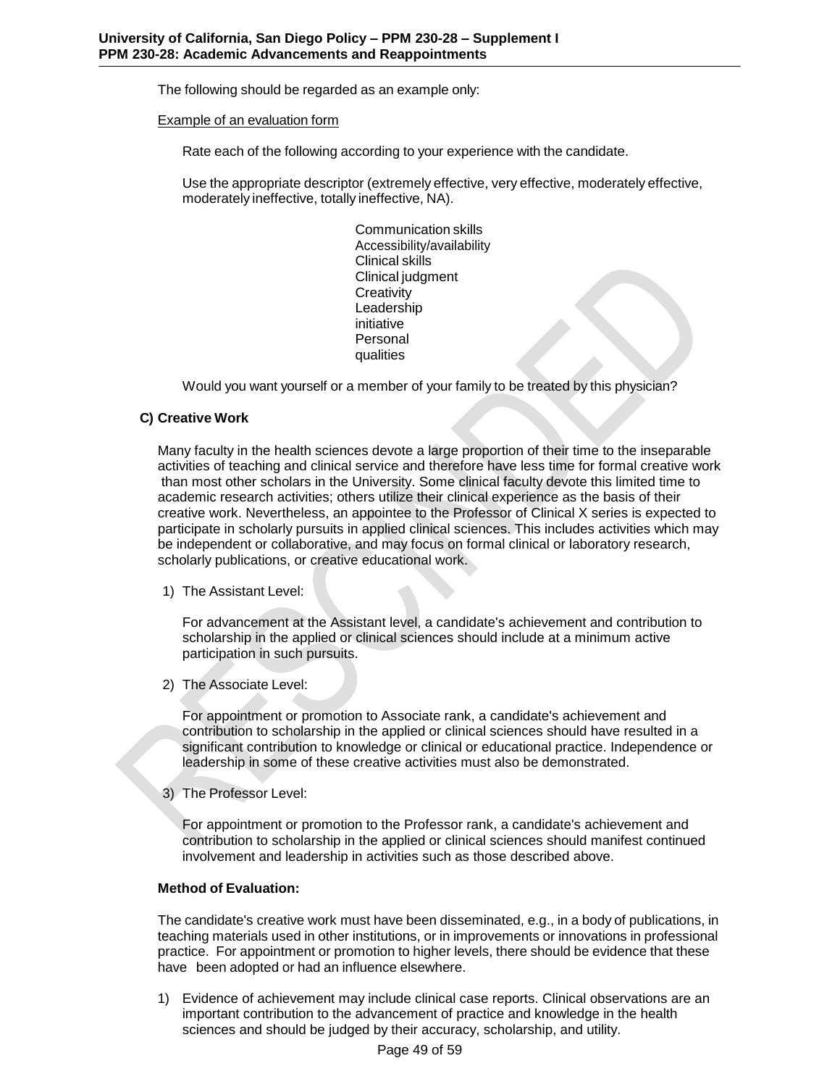The following should be regarded as an example only:

Example of an evaluation form

Rate each of the following according to your experience with the candidate.

Use the appropriate descriptor (extremely effective, very effective, moderately effective, moderately ineffective, totally ineffective, NA).

> Communication skills Accessibility/availability Clinical skills Clinical judgment **Creativity** Leadership initiative Personal qualities

Would you want yourself or a member of your family to be treated by this physician?

## **C) Creative Work**

Many faculty in the health sciences devote a large proportion of their time to the inseparable activities of teaching and clinical service and therefore have less time for formal creative work than most other scholars in the University. Some clinical faculty devote this limited time to academic research activities; others utilize their clinical experience as the basis of their creative work. Nevertheless, an appointee to the Professor of Clinical X series is expected to participate in scholarly pursuits in applied clinical sciences. This includes activities which may be independent or collaborative, and may focus on formal clinical or laboratory research, scholarly publications, or creative educational work.

1) The Assistant Level:

For advancement at the Assistant level, a candidate's achievement and contribution to scholarship in the applied or clinical sciences should include at a minimum active participation in such pursuits.

2) The Associate Level:

For appointment or promotion to Associate rank, a candidate's achievement and contribution to scholarship in the applied or clinical sciences should have resulted in a significant contribution to knowledge or clinical or educational practice. Independence or leadership in some of these creative activities must also be demonstrated.

3) The Professor Level:

For appointment or promotion to the Professor rank, a candidate's achievement and contribution to scholarship in the applied or clinical sciences should manifest continued involvement and leadership in activities such as those described above.

# **Method of Evaluation:**

The candidate's creative work must have been disseminated, e.g., in a body of publications, in teaching materials used in other institutions, or in improvements or innovations in professional practice. For appointment or promotion to higher levels, there should be evidence that these have been adopted or had an influence elsewhere.

1) Evidence of achievement may include clinical case reports. Clinical observations are an important contribution to the advancement of practice and knowledge in the health sciences and should be judged by their accuracy, scholarship, and utility.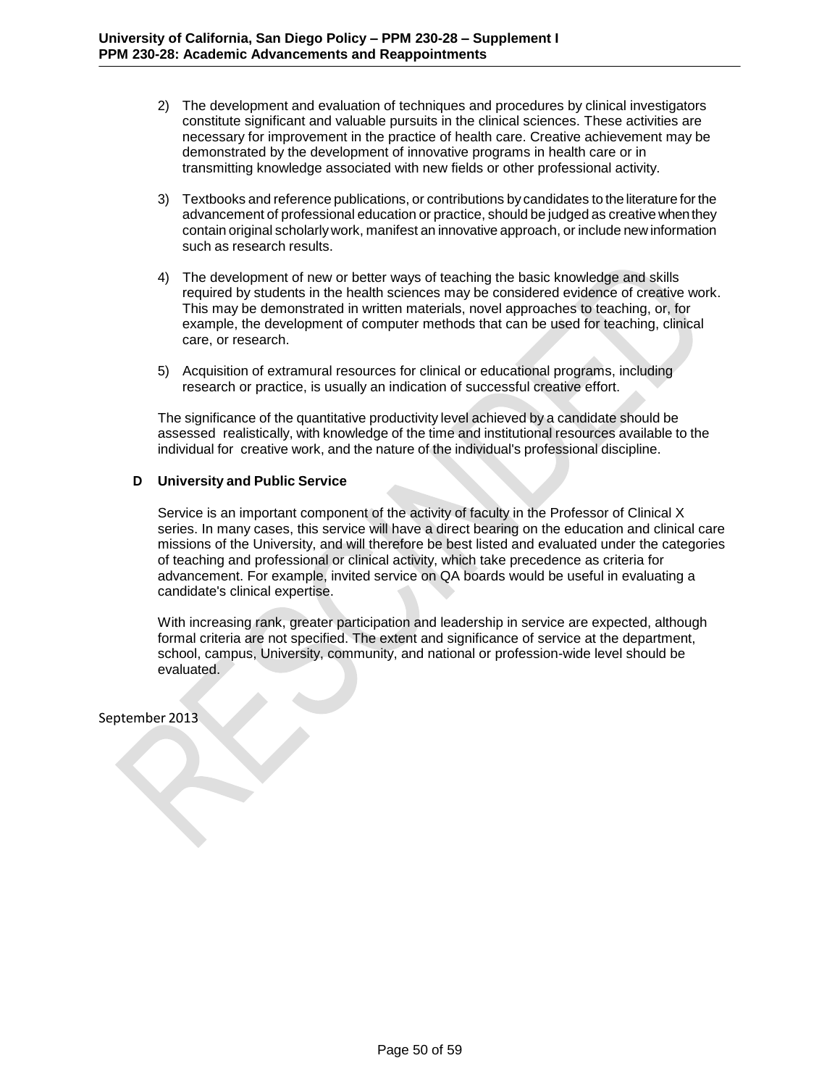- 2) The development and evaluation of techniques and procedures by clinical investigators constitute significant and valuable pursuits in the clinical sciences. These activities are necessary for improvement in the practice of health care. Creative achievement may be demonstrated by the development of innovative programs in health care or in transmitting knowledge associated with new fields or other professional activity.
- 3) Textbooks and reference publications, or contributions by candidates to the literature for the advancement of professional education or practice, should be judged as creative when they contain original scholarlywork, manifest an innovative approach, or include new information such as research results.
- 4) The development of new or better ways of teaching the basic knowledge and skills required by students in the health sciences may be considered evidence of creative work. This may be demonstrated in written materials, novel approaches to teaching, or, for example, the development of computer methods that can be used for teaching, clinical care, or research.
- 5) Acquisition of extramural resources for clinical or educational programs, including research or practice, is usually an indication of successful creative effort.

The significance of the quantitative productivity level achieved by a candidate should be assessed realistically, with knowledge of the time and institutional resources available to the individual for creative work, and the nature of the individual's professional discipline.

## **D University and Public Service**

Service is an important component of the activity of faculty in the Professor of Clinical X series. In many cases, this service will have a direct bearing on the education and clinical care missions of the University, and will therefore be best listed and evaluated under the categories of teaching and professional or clinical activity, which take precedence as criteria for advancement. For example, invited service on QA boards would be useful in evaluating a candidate's clinical expertise.

With increasing rank, greater participation and leadership in service are expected, although formal criteria are not specified. The extent and significance of service at the department, school, campus, University, community, and national or profession-wide level should be evaluated.

September 2013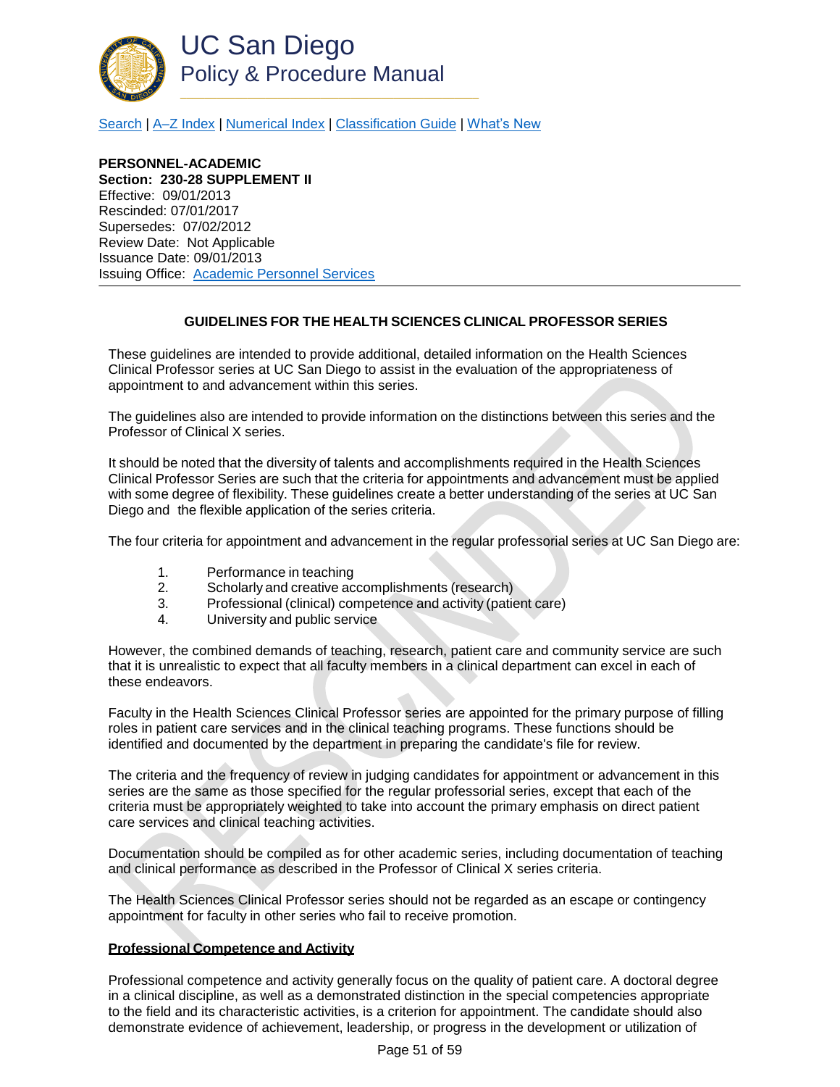

[Search](http://adminrecords.ucsd.edu/ppm/index.html) | [A–Z Index](http://adminrecords.ucsd.edu/ppm/ppmindex.html) [| Numerical Index](http://adminrecords.ucsd.edu/ppm/numerical.html) | [Classification Guide](http://adminrecords.ucsd.edu/ppm/alphabetical.html) [| What's New](http://adminrecords.ucsd.edu/ppm/whatsnew.html)

**PERSONNEL-ACADEMIC Section: 230-28 SUPPLEMENT II** Effective: 09/01/2013 Rescinded: 07/01/2017 Supersedes: 07/02/2012 Review Date: Not Applicable Issuance Date: 09/01/2013 Issuing Office: [Academic Personnel Services](http://academicaffairs.ucsd.edu/aps/)

## **GUIDELINES FOR THE HEALTH SCIENCES CLINICAL PROFESSOR SERIES**

<span id="page-50-0"></span>These guidelines are intended to provide additional, detailed information on the Health Sciences Clinical Professor series at UC San Diego to assist in the evaluation of the appropriateness of appointment to and advancement within this series.

The guidelines also are intended to provide information on the distinctions between this series and the Professor of Clinical X series.

It should be noted that the diversity of talents and accomplishments required in the Health Sciences Clinical Professor Series are such that the criteria for appointments and advancement must be applied with some degree of flexibility. These guidelines create a better understanding of the series at UC San Diego and the flexible application of the series criteria.

The four criteria for appointment and advancement in the regular professorial series at UC San Diego are:

- 1. Performance in teaching
- 2. Scholarly and creative accomplishments (research)
- 3. Professional (clinical) competence and activity (patient care)
- 4. University and public service

However, the combined demands of teaching, research, patient care and community service are such that it is unrealistic to expect that all faculty members in a clinical department can excel in each of these endeavors.

Faculty in the Health Sciences Clinical Professor series are appointed for the primary purpose of filling roles in patient care services and in the clinical teaching programs. These functions should be identified and documented by the department in preparing the candidate's file for review.

The criteria and the frequency of review in judging candidates for appointment or advancement in this series are the same as those specified for the regular professorial series, except that each of the criteria must be appropriately weighted to take into account the primary emphasis on direct patient care services and clinical teaching activities.

Documentation should be compiled as for other academic series, including documentation of teaching and clinical performance as described in the Professor of Clinical X series criteria.

The Health Sciences Clinical Professor series should not be regarded as an escape or contingency appointment for faculty in other series who fail to receive promotion.

### **Professional Competence and Activity**

Professional competence and activity generally focus on the quality of patient care. A doctoral degree in a clinical discipline, as well as a demonstrated distinction in the special competencies appropriate to the field and its characteristic activities, is a criterion for appointment. The candidate should also demonstrate evidence of achievement, leadership, or progress in the development or utilization of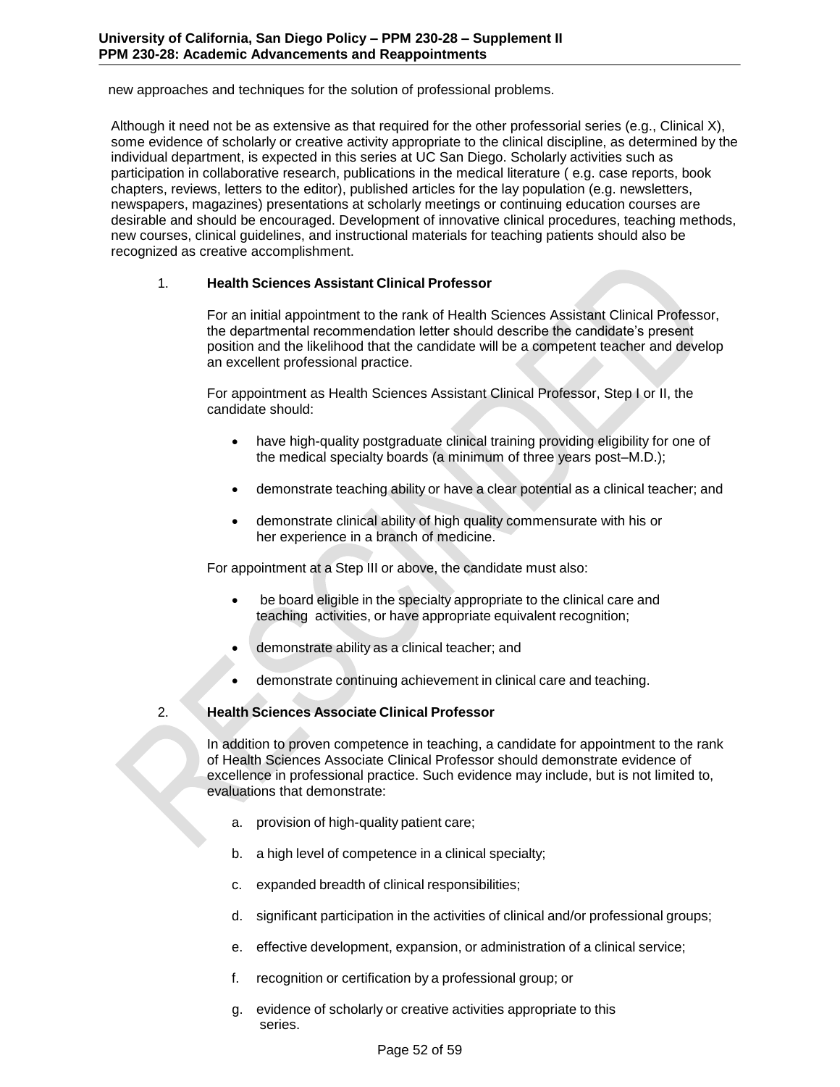new approaches and techniques for the solution of professional problems.

Although it need not be as extensive as that required for the other professorial series (e.g., Clinical X), some evidence of scholarly or creative activity appropriate to the clinical discipline, as determined by the individual department, is expected in this series at UC San Diego. Scholarly activities such as participation in collaborative research, publications in the medical literature ( e.g. case reports, book chapters, reviews, letters to the editor), published articles for the lay population (e.g. newsletters, newspapers, magazines) presentations at scholarly meetings or continuing education courses are desirable and should be encouraged. Development of innovative clinical procedures, teaching methods, new courses, clinical guidelines, and instructional materials for teaching patients should also be recognized as creative accomplishment.

## 1. **Health Sciences Assistant Clinical Professor**

For an initial appointment to the rank of Health Sciences Assistant Clinical Professor, the departmental recommendation letter should describe the candidate's present position and the likelihood that the candidate will be a competent teacher and develop an excellent professional practice.

For appointment as Health Sciences Assistant Clinical Professor, Step I or II, the candidate should:

- have high-quality postgraduate clinical training providing eligibility for one of the medical specialty boards (a minimum of three years post–M.D.);
- demonstrate teaching ability or have a clear potential as a clinical teacher; and
- demonstrate clinical ability of high quality commensurate with his or her experience in a branch of medicine.

For appointment at a Step III or above, the candidate must also:

- be board eligible in the specialty appropriate to the clinical care and teaching activities, or have appropriate equivalent recognition;
- demonstrate ability as a clinical teacher; and
- demonstrate continuing achievement in clinical care and teaching.

# 2. **Health Sciences Associate Clinical Professor**

In addition to proven competence in teaching, a candidate for appointment to the rank of Health Sciences Associate Clinical Professor should demonstrate evidence of excellence in professional practice. Such evidence may include, but is not limited to, evaluations that demonstrate:

- a. provision of high-quality patient care;
- b. a high level of competence in a clinical specialty;
- c. expanded breadth of clinical responsibilities;
- d. significant participation in the activities of clinical and/or professional groups;
- e. effective development, expansion, or administration of a clinical service;
- f. recognition or certification by a professional group; or
- g. evidence of scholarly or creative activities appropriate to this series.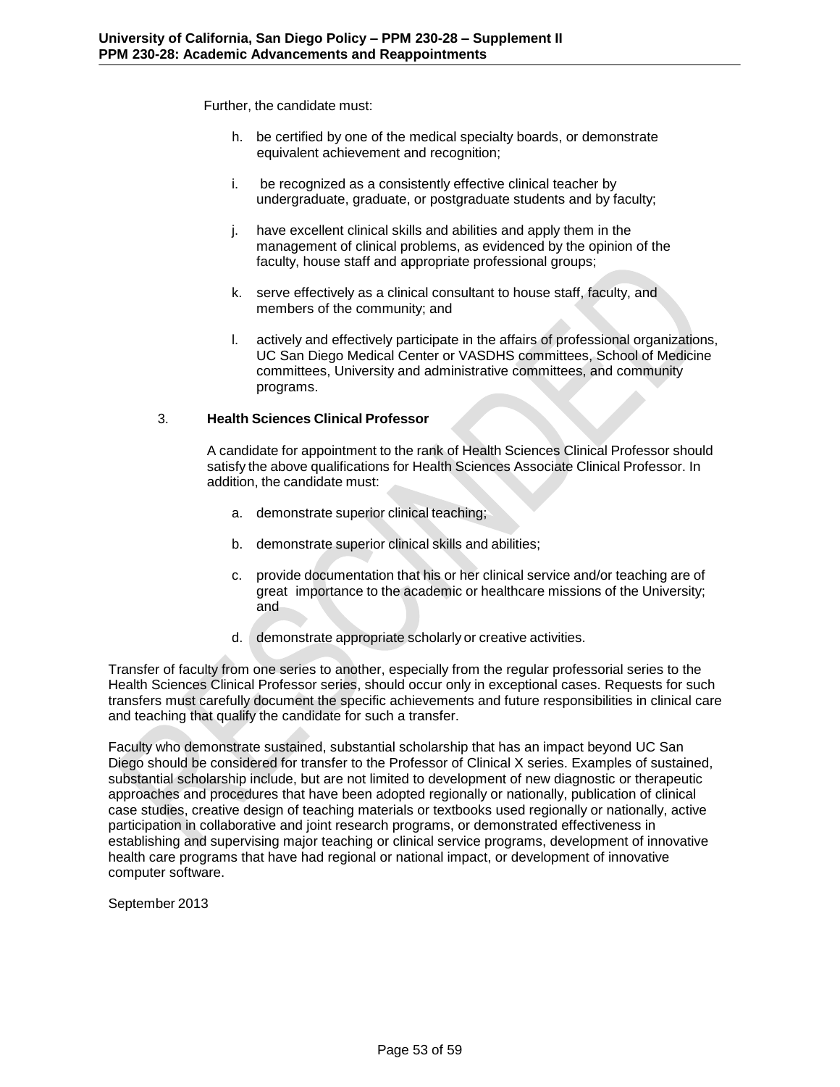Further, the candidate must:

- h. be certified by one of the medical specialty boards, or demonstrate equivalent achievement and recognition;
- i. be recognized as a consistently effective clinical teacher by undergraduate, graduate, or postgraduate students and by faculty;
- j. have excellent clinical skills and abilities and apply them in the management of clinical problems, as evidenced by the opinion of the faculty, house staff and appropriate professional groups;
- k. serve effectively as a clinical consultant to house staff, faculty, and members of the community; and
- l. actively and effectively participate in the affairs of professional organizations, UC San Diego Medical Center or VASDHS committees, School of Medicine committees, University and administrative committees, and community programs.

## 3. **Health Sciences Clinical Professor**

A candidate for appointment to the rank of Health Sciences Clinical Professor should satisfy the above qualifications for Health Sciences Associate Clinical Professor. In addition, the candidate must:

- a. demonstrate superior clinical teaching;
- b. demonstrate superior clinical skills and abilities;
- c. provide documentation that his or her clinical service and/or teaching are of great importance to the academic or healthcare missions of the University; and
- d. demonstrate appropriate scholarly or creative activities.

Transfer of faculty from one series to another, especially from the regular professorial series to the Health Sciences Clinical Professor series, should occur only in exceptional cases. Requests for such transfers must carefully document the specific achievements and future responsibilities in clinical care and teaching that qualify the candidate for such a transfer.

Faculty who demonstrate sustained, substantial scholarship that has an impact beyond UC San Diego should be considered for transfer to the Professor of Clinical X series. Examples of sustained, substantial scholarship include, but are not limited to development of new diagnostic or therapeutic approaches and procedures that have been adopted regionally or nationally, publication of clinical case studies, creative design of teaching materials or textbooks used regionally or nationally, active participation in collaborative and joint research programs, or demonstrated effectiveness in establishing and supervising major teaching or clinical service programs, development of innovative health care programs that have had regional or national impact, or development of innovative computer software.

September 2013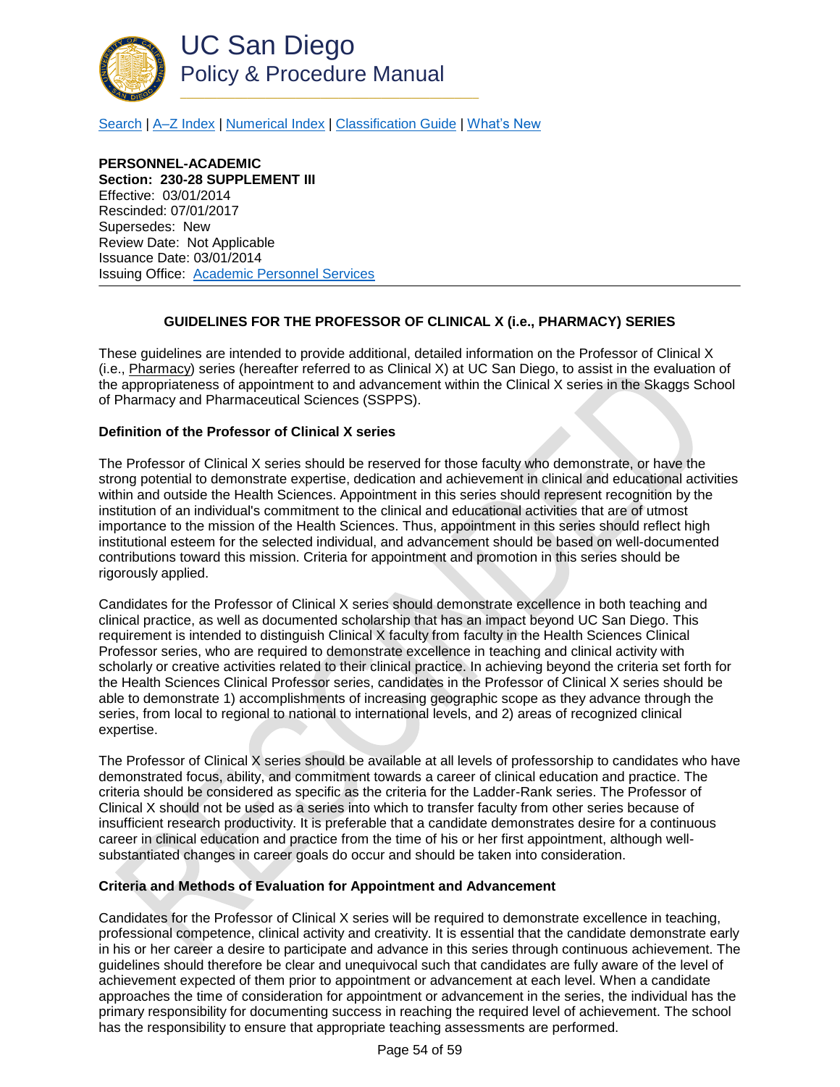

[Search](http://adminrecords.ucsd.edu/ppm/index.html) | [A–Z Index](http://adminrecords.ucsd.edu/ppm/ppmindex.html) [| Numerical Index](http://adminrecords.ucsd.edu/ppm/numerical.html) | [Classification Guide](http://adminrecords.ucsd.edu/ppm/alphabetical.html) [| What's New](http://adminrecords.ucsd.edu/ppm/whatsnew.html)

**PERSONNEL-ACADEMIC Section: 230-28 SUPPLEMENT III** Effective: 03/01/2014 Rescinded: 07/01/2017 Supersedes: New Review Date: Not Applicable Issuance Date: 03/01/2014 Issuing Office: [Academic Personnel Services](http://academicaffairs.ucsd.edu/aps/)

# **GUIDELINES FOR THE PROFESSOR OF CLINICAL X (i.e., PHARMACY) SERIES**

<span id="page-53-0"></span>These guidelines are intended to provide additional, detailed information on the Professor of Clinical X (i.e., Pharmacy) series (hereafter referred to as Clinical X) at UC San Diego, to assist in the evaluation of the appropriateness of appointment to and advancement within the Clinical X series in the Skaggs School of Pharmacy and Pharmaceutical Sciences (SSPPS).

### **Definition of the Professor of Clinical X series**

The Professor of Clinical X series should be reserved for those faculty who demonstrate, or have the strong potential to demonstrate expertise, dedication and achievement in clinical and educational activities within and outside the Health Sciences. Appointment in this series should represent recognition by the institution of an individual's commitment to the clinical and educational activities that are of utmost importance to the mission of the Health Sciences. Thus, appointment in this series should reflect high institutional esteem for the selected individual, and advancement should be based on well-documented contributions toward this mission. Criteria for appointment and promotion in this series should be rigorously applied.

Candidates for the Professor of Clinical X series should demonstrate excellence in both teaching and clinical practice, as well as documented scholarship that has an impact beyond UC San Diego. This requirement is intended to distinguish Clinical X faculty from faculty in the Health Sciences Clinical Professor series, who are required to demonstrate excellence in teaching and clinical activity with scholarly or creative activities related to their clinical practice. In achieving beyond the criteria set forth for the Health Sciences Clinical Professor series, candidates in the Professor of Clinical X series should be able to demonstrate 1) accomplishments of increasing geographic scope as they advance through the series, from local to regional to national to international levels, and 2) areas of recognized clinical expertise.

The Professor of Clinical X series should be available at all levels of professorship to candidates who have demonstrated focus, ability, and commitment towards a career of clinical education and practice. The criteria should be considered as specific as the criteria for the Ladder-Rank series. The Professor of Clinical X should not be used as a series into which to transfer faculty from other series because of insufficient research productivity. It is preferable that a candidate demonstrates desire for a continuous career in clinical education and practice from the time of his or her first appointment, although wellsubstantiated changes in career goals do occur and should be taken into consideration.

### **Criteria and Methods of Evaluation for Appointment and Advancement**

Candidates for the Professor of Clinical X series will be required to demonstrate excellence in teaching, professional competence, clinical activity and creativity. It is essential that the candidate demonstrate early in his or her career a desire to participate and advance in this series through continuous achievement. The guidelines should therefore be clear and unequivocal such that candidates are fully aware of the level of achievement expected of them prior to appointment or advancement at each level. When a candidate approaches the time of consideration for appointment or advancement in the series, the individual has the primary responsibility for documenting success in reaching the required level of achievement. The school has the responsibility to ensure that appropriate teaching assessments are performed.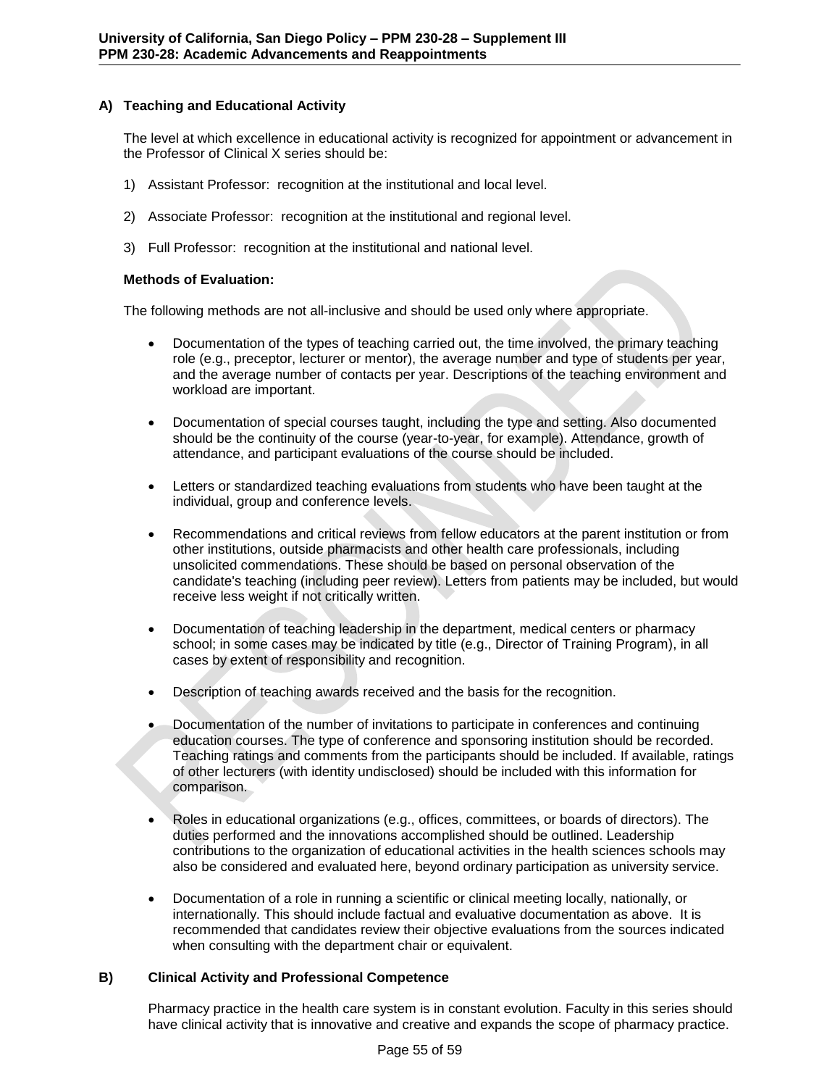# **A) Teaching and Educational Activity**

The level at which excellence in educational activity is recognized for appointment or advancement in the Professor of Clinical X series should be:

- 1) Assistant Professor: recognition at the institutional and local level.
- 2) Associate Professor: recognition at the institutional and regional level.
- 3) Full Professor: recognition at the institutional and national level.

### **Methods of Evaluation:**

The following methods are not all-inclusive and should be used only where appropriate.

- Documentation of the types of teaching carried out, the time involved, the primary teaching role (e.g., preceptor, lecturer or mentor), the average number and type of students per year, and the average number of contacts per year. Descriptions of the teaching environment and workload are important.
- Documentation of special courses taught, including the type and setting. Also documented should be the continuity of the course (year-to-year, for example). Attendance, growth of attendance, and participant evaluations of the course should be included.
- Letters or standardized teaching evaluations from students who have been taught at the individual, group and conference levels.
- Recommendations and critical reviews from fellow educators at the parent institution or from other institutions, outside pharmacists and other health care professionals, including unsolicited commendations. These should be based on personal observation of the candidate's teaching (including peer review). Letters from patients may be included, but would receive less weight if not critically written.
- Documentation of teaching leadership in the department, medical centers or pharmacy school; in some cases may be indicated by title (e.g., Director of Training Program), in all cases by extent of responsibility and recognition.
- Description of teaching awards received and the basis for the recognition.
- Documentation of the number of invitations to participate in conferences and continuing education courses. The type of conference and sponsoring institution should be recorded. Teaching ratings and comments from the participants should be included. If available, ratings of other lecturers (with identity undisclosed) should be included with this information for comparison.
- Roles in educational organizations (e.g., offices, committees, or boards of directors). The duties performed and the innovations accomplished should be outlined. Leadership contributions to the organization of educational activities in the health sciences schools may also be considered and evaluated here, beyond ordinary participation as university service.
- Documentation of a role in running a scientific or clinical meeting locally, nationally, or internationally. This should include factual and evaluative documentation as above. It is recommended that candidates review their objective evaluations from the sources indicated when consulting with the department chair or equivalent.

### **B) Clinical Activity and Professional Competence**

Pharmacy practice in the health care system is in constant evolution. Faculty in this series should have clinical activity that is innovative and creative and expands the scope of pharmacy practice.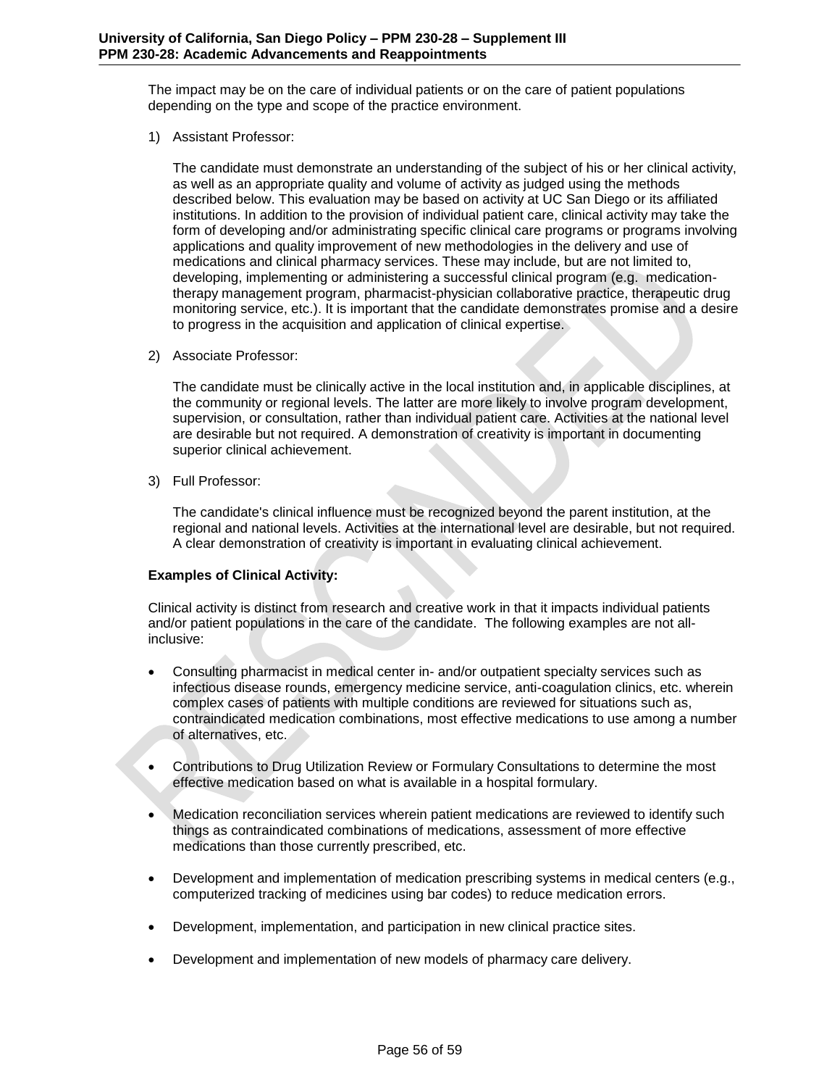The impact may be on the care of individual patients or on the care of patient populations depending on the type and scope of the practice environment.

1) Assistant Professor:

The candidate must demonstrate an understanding of the subject of his or her clinical activity, as well as an appropriate quality and volume of activity as judged using the methods described below. This evaluation may be based on activity at UC San Diego or its affiliated institutions. In addition to the provision of individual patient care, clinical activity may take the form of developing and/or administrating specific clinical care programs or programs involving applications and quality improvement of new methodologies in the delivery and use of medications and clinical pharmacy services. These may include, but are not limited to, developing, implementing or administering a successful clinical program (e.g. medicationtherapy management program, pharmacist-physician collaborative practice, therapeutic drug monitoring service, etc.). It is important that the candidate demonstrates promise and a desire to progress in the acquisition and application of clinical expertise.

2) Associate Professor:

The candidate must be clinically active in the local institution and, in applicable disciplines, at the community or regional levels. The latter are more likely to involve program development, supervision, or consultation, rather than individual patient care. Activities at the national level are desirable but not required. A demonstration of creativity is important in documenting superior clinical achievement.

3) Full Professor:

The candidate's clinical influence must be recognized beyond the parent institution, at the regional and national levels. Activities at the international level are desirable, but not required. A clear demonstration of creativity is important in evaluating clinical achievement.

### **Examples of Clinical Activity:**

Clinical activity is distinct from research and creative work in that it impacts individual patients and/or patient populations in the care of the candidate. The following examples are not allinclusive:

- Consulting pharmacist in medical center in- and/or outpatient specialty services such as infectious disease rounds, emergency medicine service, anti-coagulation clinics, etc. wherein complex cases of patients with multiple conditions are reviewed for situations such as, contraindicated medication combinations, most effective medications to use among a number of alternatives, etc.
- Contributions to Drug Utilization Review or Formulary Consultations to determine the most effective medication based on what is available in a hospital formulary.
- Medication reconciliation services wherein patient medications are reviewed to identify such things as contraindicated combinations of medications, assessment of more effective medications than those currently prescribed, etc.
- Development and implementation of medication prescribing systems in medical centers (e.g., computerized tracking of medicines using bar codes) to reduce medication errors.
- Development, implementation, and participation in new clinical practice sites.
- Development and implementation of new models of pharmacy care delivery.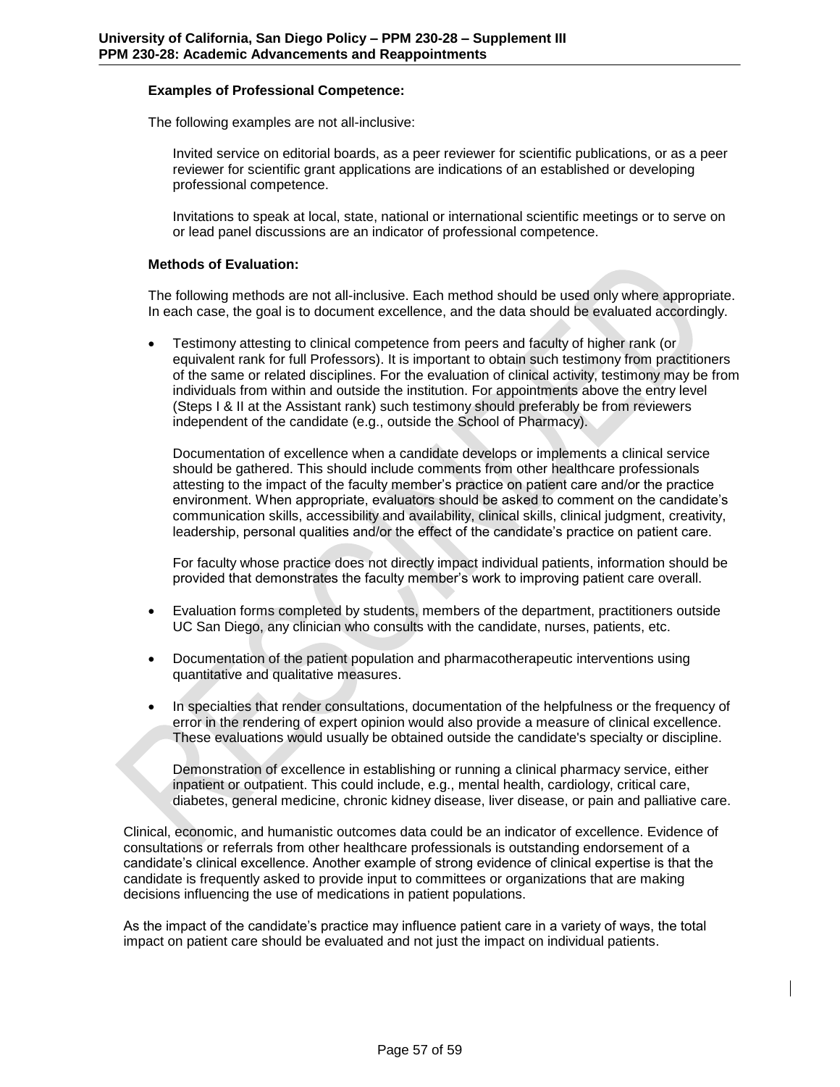### **Examples of Professional Competence:**

The following examples are not all-inclusive:

Invited service on editorial boards, as a peer reviewer for scientific publications, or as a peer reviewer for scientific grant applications are indications of an established or developing professional competence.

Invitations to speak at local, state, national or international scientific meetings or to serve on or lead panel discussions are an indicator of professional competence.

### **Methods of Evaluation:**

The following methods are not all-inclusive. Each method should be used only where appropriate. In each case, the goal is to document excellence, and the data should be evaluated accordingly.

 Testimony attesting to clinical competence from peers and faculty of higher rank (or equivalent rank for full Professors). It is important to obtain such testimony from practitioners of the same or related disciplines. For the evaluation of clinical activity, testimony may be from individuals from within and outside the institution. For appointments above the entry level (Steps I & II at the Assistant rank) such testimony should preferably be from reviewers independent of the candidate (e.g., outside the School of Pharmacy).

Documentation of excellence when a candidate develops or implements a clinical service should be gathered. This should include comments from other healthcare professionals attesting to the impact of the faculty member's practice on patient care and/or the practice environment. When appropriate, evaluators should be asked to comment on the candidate's communication skills, accessibility and availability, clinical skills, clinical judgment, creativity, leadership, personal qualities and/or the effect of the candidate's practice on patient care.

For faculty whose practice does not directly impact individual patients, information should be provided that demonstrates the faculty member's work to improving patient care overall.

- Evaluation forms completed by students, members of the department, practitioners outside UC San Diego, any clinician who consults with the candidate, nurses, patients, etc.
- Documentation of the patient population and pharmacotherapeutic interventions using quantitative and qualitative measures.
- In specialties that render consultations, documentation of the helpfulness or the frequency of error in the rendering of expert opinion would also provide a measure of clinical excellence. These evaluations would usually be obtained outside the candidate's specialty or discipline.

Demonstration of excellence in establishing or running a clinical pharmacy service, either inpatient or outpatient. This could include, e.g., mental health, cardiology, critical care, diabetes, general medicine, chronic kidney disease, liver disease, or pain and palliative care.

Clinical, economic, and humanistic outcomes data could be an indicator of excellence. Evidence of consultations or referrals from other healthcare professionals is outstanding endorsement of a candidate's clinical excellence. Another example of strong evidence of clinical expertise is that the candidate is frequently asked to provide input to committees or organizations that are making decisions influencing the use of medications in patient populations.

As the impact of the candidate's practice may influence patient care in a variety of ways, the total impact on patient care should be evaluated and not just the impact on individual patients.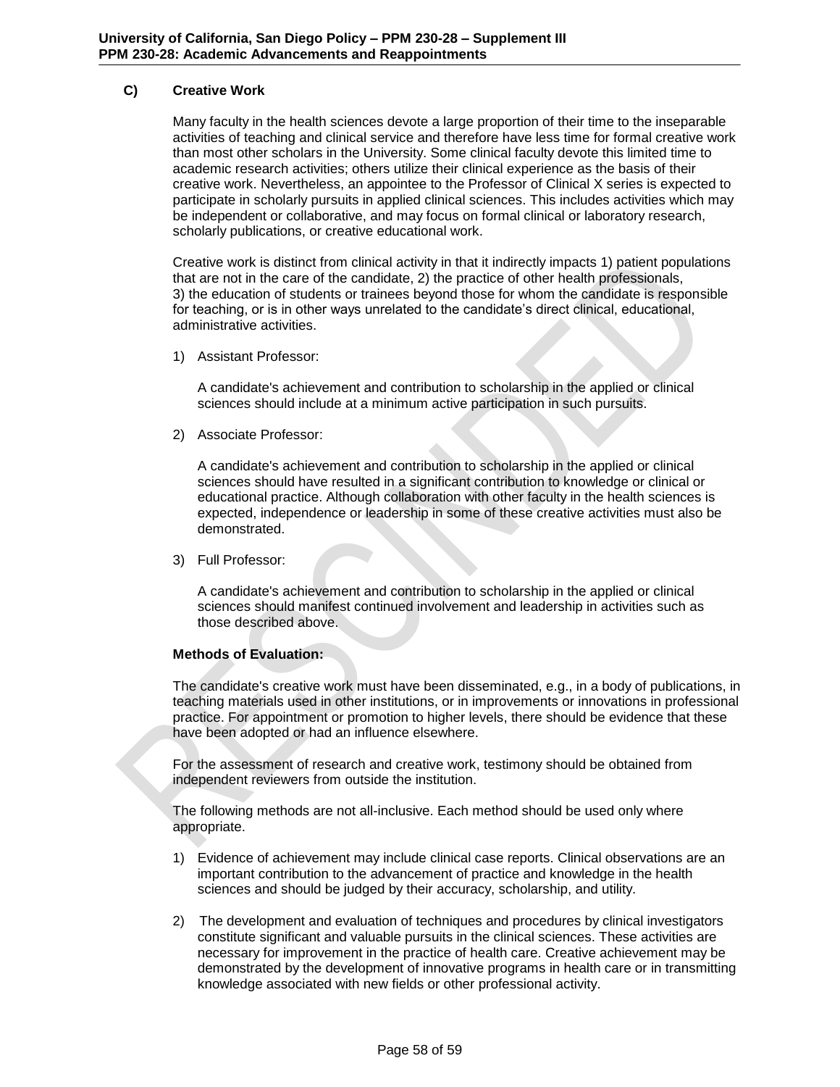# **C) Creative Work**

Many faculty in the health sciences devote a large proportion of their time to the inseparable activities of teaching and clinical service and therefore have less time for formal creative work than most other scholars in the University. Some clinical faculty devote this limited time to academic research activities; others utilize their clinical experience as the basis of their creative work. Nevertheless, an appointee to the Professor of Clinical X series is expected to participate in scholarly pursuits in applied clinical sciences. This includes activities which may be independent or collaborative, and may focus on formal clinical or laboratory research, scholarly publications, or creative educational work.

Creative work is distinct from clinical activity in that it indirectly impacts 1) patient populations that are not in the care of the candidate, 2) the practice of other health professionals, 3) the education of students or trainees beyond those for whom the candidate is responsible for teaching, or is in other ways unrelated to the candidate's direct clinical, educational, administrative activities.

1) Assistant Professor:

A candidate's achievement and contribution to scholarship in the applied or clinical sciences should include at a minimum active participation in such pursuits.

2) Associate Professor:

A candidate's achievement and contribution to scholarship in the applied or clinical sciences should have resulted in a significant contribution to knowledge or clinical or educational practice. Although collaboration with other faculty in the health sciences is expected, independence or leadership in some of these creative activities must also be demonstrated.

3) Full Professor:

A candidate's achievement and contribution to scholarship in the applied or clinical sciences should manifest continued involvement and leadership in activities such as those described above.

### **Methods of Evaluation:**

The candidate's creative work must have been disseminated, e.g., in a body of publications, in teaching materials used in other institutions, or in improvements or innovations in professional practice. For appointment or promotion to higher levels, there should be evidence that these have been adopted or had an influence elsewhere.

For the assessment of research and creative work, testimony should be obtained from independent reviewers from outside the institution.

The following methods are not all-inclusive. Each method should be used only where appropriate.

- 1) Evidence of achievement may include clinical case reports. Clinical observations are an important contribution to the advancement of practice and knowledge in the health sciences and should be judged by their accuracy, scholarship, and utility.
- 2) The development and evaluation of techniques and procedures by clinical investigators constitute significant and valuable pursuits in the clinical sciences. These activities are necessary for improvement in the practice of health care. Creative achievement may be demonstrated by the development of innovative programs in health care or in transmitting knowledge associated with new fields or other professional activity.